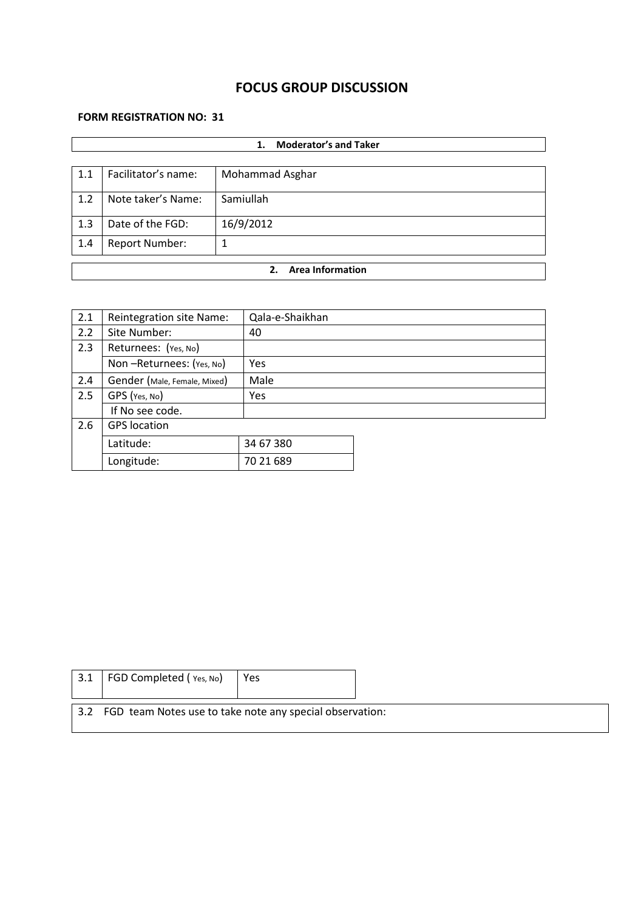# **FOCUS GROUP DISCUSSION**

#### **FORM REGISTRATION NO: 31**

|     | <b>Moderator's and Taker</b><br>1. |                 |  |  |  |
|-----|------------------------------------|-----------------|--|--|--|
|     |                                    |                 |  |  |  |
| 1.1 | Facilitator's name:                | Mohammad Asghar |  |  |  |
| 1.2 | Note taker's Name:                 | Samiullah       |  |  |  |
| 1.3 | Date of the FGD:                   | 16/9/2012       |  |  |  |
| 1.4 | <b>Report Number:</b>              |                 |  |  |  |
|     | <b>Area Information</b><br>2.      |                 |  |  |  |
|     |                                    |                 |  |  |  |

| 2.1 | <b>Reintegration site Name:</b> | Qala-e-Shaikhan |  |
|-----|---------------------------------|-----------------|--|
| 2.2 | Site Number:                    | 40              |  |
| 2.3 | Returnees: (Yes, No)            |                 |  |
|     | Non-Returnees: (Yes, No)        | Yes             |  |
| 2.4 | Gender (Male, Female, Mixed)    | Male            |  |
| 2.5 | GPS (Yes, No)                   | <b>Yes</b>      |  |
|     | If No see code.                 |                 |  |
| 2.6 | <b>GPS</b> location             |                 |  |
|     | Latitude:                       | 34 67 380       |  |
|     | Longitude:                      | 70 21 689       |  |

| 3.1 | FGD Completed (Yes, No)                                      | Yes |  |
|-----|--------------------------------------------------------------|-----|--|
|     | 3.2 FGD team Notes use to take note any special observation: |     |  |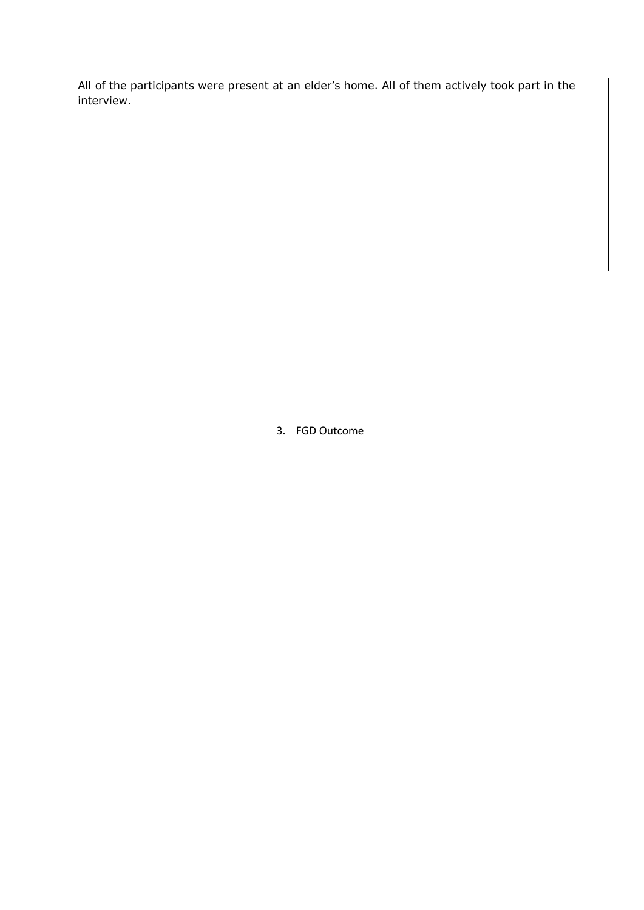All of the participants were present at an elder's home. All of them actively took part in the interview.

3. FGD Outcome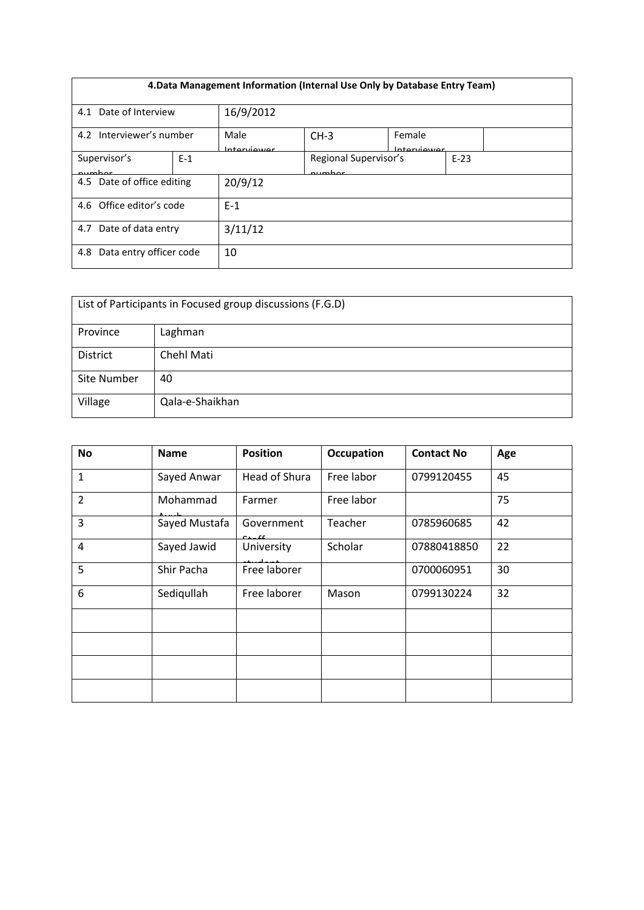| 4. Data Management Information (Internal Use Only by Database Entry Team) |       |                      |                                 |                       |        |  |
|---------------------------------------------------------------------------|-------|----------------------|---------------------------------|-----------------------|--------|--|
| 4.1 Date of Interview                                                     |       | 16/9/2012            |                                 |                       |        |  |
| 4.2 Interviewer's number                                                  |       | Male<br>Intraniiouor | $CH-3$                          | Female<br>Intonviower |        |  |
| Supervisor's<br>numhar                                                    | $E-1$ |                      | Regional Supervisor's<br>numhar |                       | $E-23$ |  |
| 4.5 Date of office editing                                                |       | 20/9/12              |                                 |                       |        |  |
| 4.6 Office editor's code                                                  |       | $E-1$                |                                 |                       |        |  |
| Date of data entry<br>4.7                                                 |       | 3/11/12              |                                 |                       |        |  |
| Data entry officer code<br>4.8                                            |       | 10                   |                                 |                       |        |  |

| List of Participants in Focused group discussions (F.G.D) |                 |  |  |  |
|-----------------------------------------------------------|-----------------|--|--|--|
| Province                                                  | Laghman         |  |  |  |
| <b>District</b>                                           | Chehl Mati      |  |  |  |
| <b>Site Number</b>                                        | 40              |  |  |  |
| Village                                                   | Qala-e-Shaikhan |  |  |  |

| <b>No</b>      | <b>Name</b>   | <b>Position</b>      | <b>Occupation</b> | <b>Contact No</b> | Age |
|----------------|---------------|----------------------|-------------------|-------------------|-----|
| $\mathbf{1}$   | Sayed Anwar   | Head of Shura        | Free labor        | 0799120455        | 45  |
| $\overline{2}$ | Mohammad      | Farmer               | Free labor        |                   | 75  |
| $\overline{3}$ | Sayed Mustafa | Government<br>o Linn | Teacher           | 0785960685        | 42  |
| 4              | Sayed Jawid   | University           | Scholar           | 07880418850       | 22  |
| 5              | Shir Pacha    | Free laborer         |                   | 0700060951        | 30  |
| 6              | Sediqullah    | Free laborer         | Mason             | 0799130224        | 32  |
|                |               |                      |                   |                   |     |
|                |               |                      |                   |                   |     |
|                |               |                      |                   |                   |     |
|                |               |                      |                   |                   |     |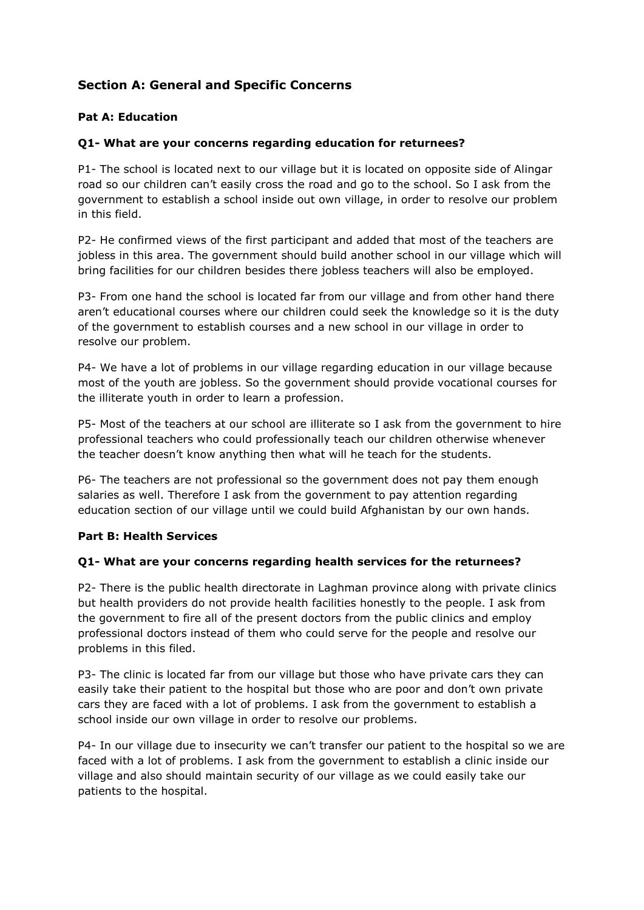# **Section A: General and Specific Concerns**

## **Pat A: Education**

## **Q1- What are your concerns regarding education for returnees?**

P1- The school is located next to our village but it is located on opposite side of Alingar road so our children can't easily cross the road and go to the school. So I ask from the government to establish a school inside out own village, in order to resolve our problem in this field.

P2- He confirmed views of the first participant and added that most of the teachers are jobless in this area. The government should build another school in our village which will bring facilities for our children besides there jobless teachers will also be employed.

P3- From one hand the school is located far from our village and from other hand there aren't educational courses where our children could seek the knowledge so it is the duty of the government to establish courses and a new school in our village in order to resolve our problem.

P4- We have a lot of problems in our village regarding education in our village because most of the youth are jobless. So the government should provide vocational courses for the illiterate youth in order to learn a profession.

P5- Most of the teachers at our school are illiterate so I ask from the government to hire professional teachers who could professionally teach our children otherwise whenever the teacher doesn't know anything then what will he teach for the students.

P6- The teachers are not professional so the government does not pay them enough salaries as well. Therefore I ask from the government to pay attention regarding education section of our village until we could build Afghanistan by our own hands.

#### **Part B: Health Services**

#### **Q1- What are your concerns regarding health services for the returnees?**

P2- There is the public health directorate in Laghman province along with private clinics but health providers do not provide health facilities honestly to the people. I ask from the government to fire all of the present doctors from the public clinics and employ professional doctors instead of them who could serve for the people and resolve our problems in this filed.

P3- The clinic is located far from our village but those who have private cars they can easily take their patient to the hospital but those who are poor and don't own private cars they are faced with a lot of problems. I ask from the government to establish a school inside our own village in order to resolve our problems.

P4- In our village due to insecurity we can't transfer our patient to the hospital so we are faced with a lot of problems. I ask from the government to establish a clinic inside our village and also should maintain security of our village as we could easily take our patients to the hospital.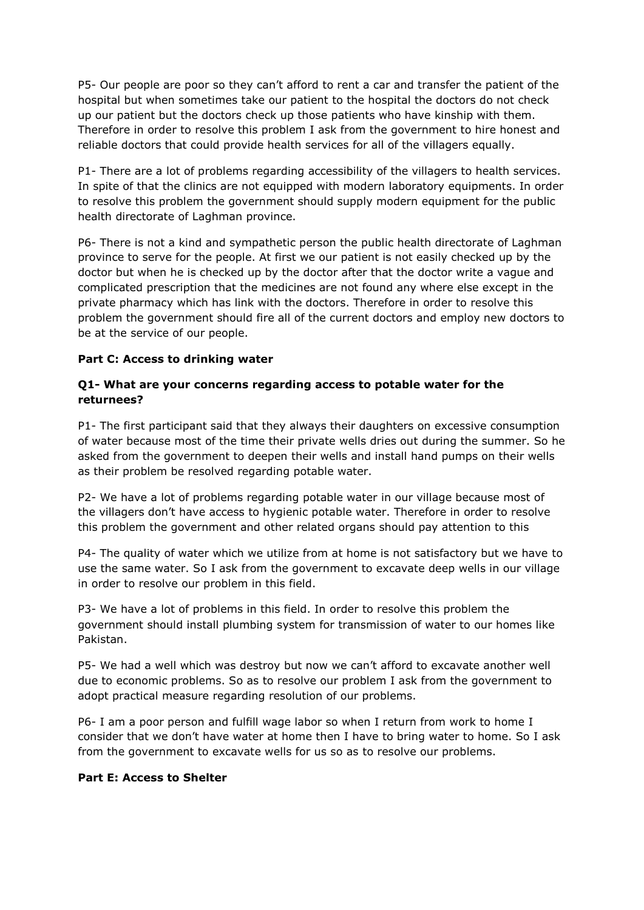P5- Our people are poor so they can't afford to rent a car and transfer the patient of the hospital but when sometimes take our patient to the hospital the doctors do not check up our patient but the doctors check up those patients who have kinship with them. Therefore in order to resolve this problem I ask from the government to hire honest and reliable doctors that could provide health services for all of the villagers equally.

P1- There are a lot of problems regarding accessibility of the villagers to health services. In spite of that the clinics are not equipped with modern laboratory equipments. In order to resolve this problem the government should supply modern equipment for the public health directorate of Laghman province.

P6- There is not a kind and sympathetic person the public health directorate of Laghman province to serve for the people. At first we our patient is not easily checked up by the doctor but when he is checked up by the doctor after that the doctor write a vague and complicated prescription that the medicines are not found any where else except in the private pharmacy which has link with the doctors. Therefore in order to resolve this problem the government should fire all of the current doctors and employ new doctors to be at the service of our people.

#### **Part C: Access to drinking water**

## **Q1- What are your concerns regarding access to potable water for the returnees?**

P1- The first participant said that they always their daughters on excessive consumption of water because most of the time their private wells dries out during the summer. So he asked from the government to deepen their wells and install hand pumps on their wells as their problem be resolved regarding potable water.

P2- We have a lot of problems regarding potable water in our village because most of the villagers don't have access to hygienic potable water. Therefore in order to resolve this problem the government and other related organs should pay attention to this

P4- The quality of water which we utilize from at home is not satisfactory but we have to use the same water. So I ask from the government to excavate deep wells in our village in order to resolve our problem in this field.

P3- We have a lot of problems in this field. In order to resolve this problem the government should install plumbing system for transmission of water to our homes like Pakistan.

P5- We had a well which was destroy but now we can't afford to excavate another well due to economic problems. So as to resolve our problem I ask from the government to adopt practical measure regarding resolution of our problems.

P6- I am a poor person and fulfill wage labor so when I return from work to home I consider that we don't have water at home then I have to bring water to home. So I ask from the government to excavate wells for us so as to resolve our problems.

#### **Part E: Access to Shelter**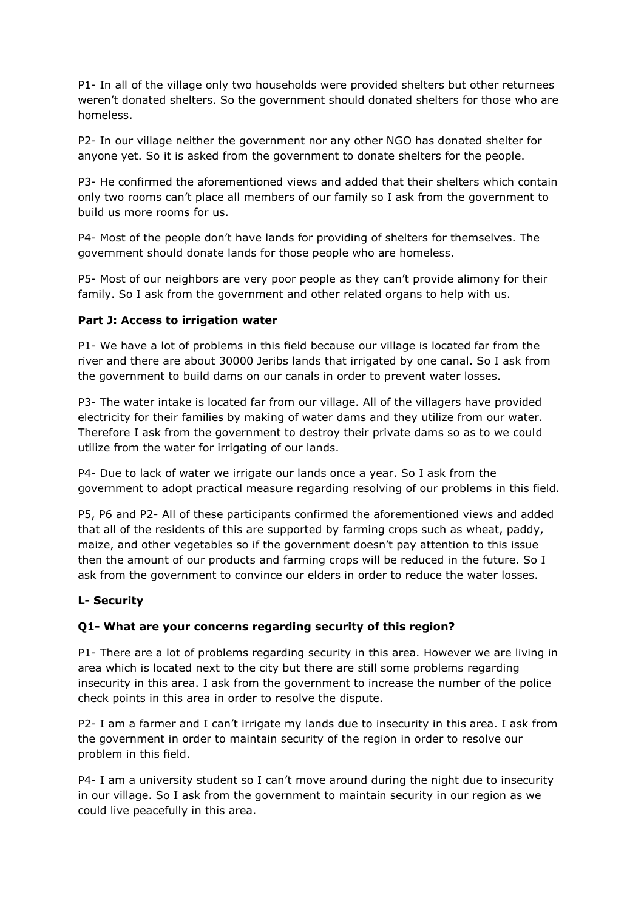P1- In all of the village only two households were provided shelters but other returnees weren't donated shelters. So the government should donated shelters for those who are homeless.

P2- In our village neither the government nor any other NGO has donated shelter for anyone yet. So it is asked from the government to donate shelters for the people.

P3- He confirmed the aforementioned views and added that their shelters which contain only two rooms can't place all members of our family so I ask from the government to build us more rooms for us.

P4- Most of the people don't have lands for providing of shelters for themselves. The government should donate lands for those people who are homeless.

P5- Most of our neighbors are very poor people as they can't provide alimony for their family. So I ask from the government and other related organs to help with us.

## **Part J: Access to irrigation water**

P1- We have a lot of problems in this field because our village is located far from the river and there are about 30000 Jeribs lands that irrigated by one canal. So I ask from the government to build dams on our canals in order to prevent water losses.

P3- The water intake is located far from our village. All of the villagers have provided electricity for their families by making of water dams and they utilize from our water. Therefore I ask from the government to destroy their private dams so as to we could utilize from the water for irrigating of our lands.

P4- Due to lack of water we irrigate our lands once a year. So I ask from the government to adopt practical measure regarding resolving of our problems in this field.

P5, P6 and P2- All of these participants confirmed the aforementioned views and added that all of the residents of this are supported by farming crops such as wheat, paddy, maize, and other vegetables so if the government doesn't pay attention to this issue then the amount of our products and farming crops will be reduced in the future. So I ask from the government to convince our elders in order to reduce the water losses.

#### **L- Security**

## **Q1- What are your concerns regarding security of this region?**

P1- There are a lot of problems regarding security in this area. However we are living in area which is located next to the city but there are still some problems regarding insecurity in this area. I ask from the government to increase the number of the police check points in this area in order to resolve the dispute.

P2- I am a farmer and I can't irrigate my lands due to insecurity in this area. I ask from the government in order to maintain security of the region in order to resolve our problem in this field.

P4- I am a university student so I can't move around during the night due to insecurity in our village. So I ask from the government to maintain security in our region as we could live peacefully in this area.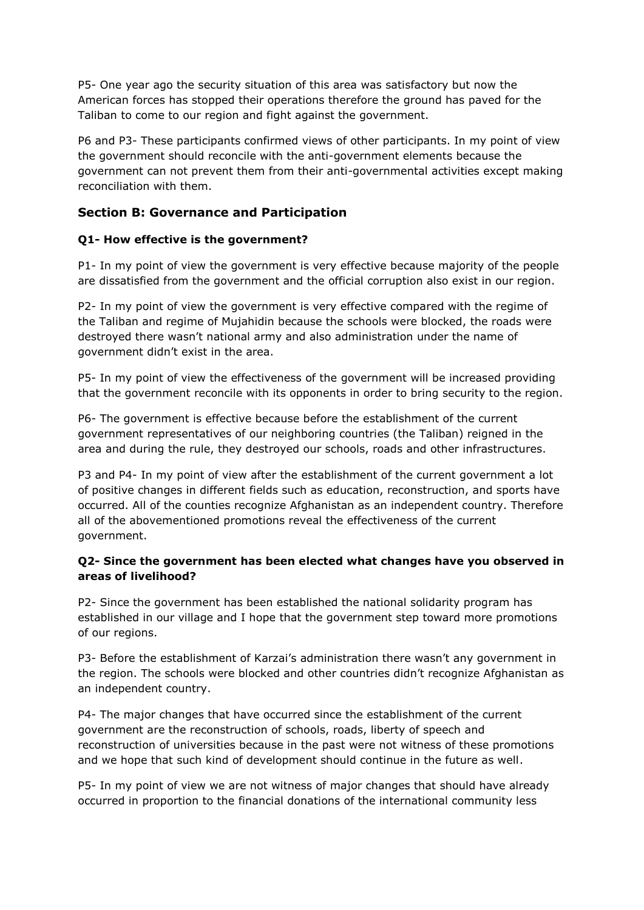P5- One year ago the security situation of this area was satisfactory but now the American forces has stopped their operations therefore the ground has paved for the Taliban to come to our region and fight against the government.

P6 and P3- These participants confirmed views of other participants. In my point of view the government should reconcile with the anti-government elements because the government can not prevent them from their anti-governmental activities except making reconciliation with them.

## **Section B: Governance and Participation**

## **Q1- How effective is the government?**

P1- In my point of view the government is very effective because majority of the people are dissatisfied from the government and the official corruption also exist in our region.

P2- In my point of view the government is very effective compared with the regime of the Taliban and regime of Mujahidin because the schools were blocked, the roads were destroyed there wasn't national army and also administration under the name of government didn't exist in the area.

P5- In my point of view the effectiveness of the government will be increased providing that the government reconcile with its opponents in order to bring security to the region.

P6- The government is effective because before the establishment of the current government representatives of our neighboring countries (the Taliban) reigned in the area and during the rule, they destroyed our schools, roads and other infrastructures.

P3 and P4- In my point of view after the establishment of the current government a lot of positive changes in different fields such as education, reconstruction, and sports have occurred. All of the counties recognize Afghanistan as an independent country. Therefore all of the abovementioned promotions reveal the effectiveness of the current government.

## **Q2- Since the government has been elected what changes have you observed in areas of livelihood?**

P2- Since the government has been established the national solidarity program has established in our village and I hope that the government step toward more promotions of our regions.

P3- Before the establishment of Karzai's administration there wasn't any government in the region. The schools were blocked and other countries didn't recognize Afghanistan as an independent country.

P4- The major changes that have occurred since the establishment of the current government are the reconstruction of schools, roads, liberty of speech and reconstruction of universities because in the past were not witness of these promotions and we hope that such kind of development should continue in the future as well.

P5- In my point of view we are not witness of major changes that should have already occurred in proportion to the financial donations of the international community less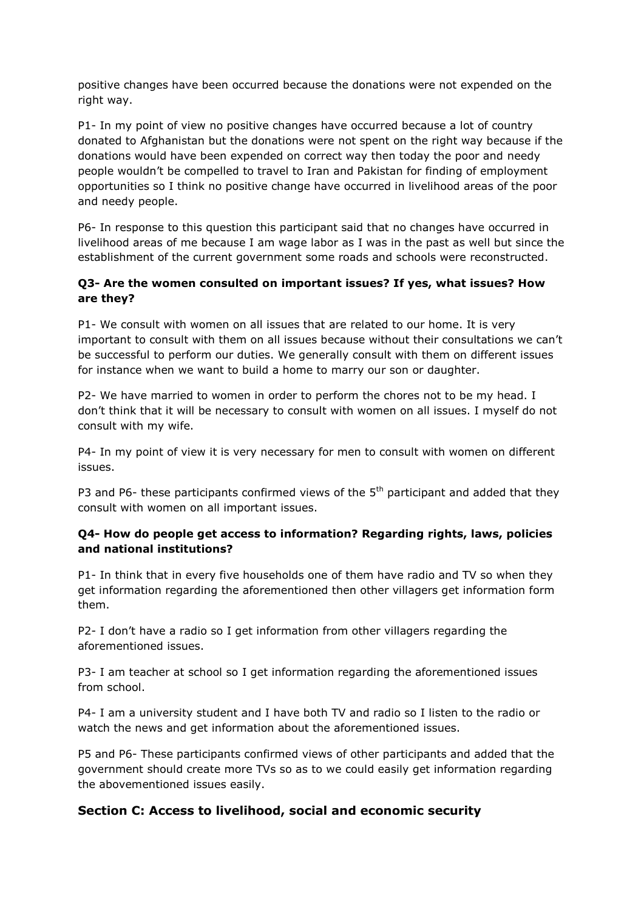positive changes have been occurred because the donations were not expended on the right way.

P1- In my point of view no positive changes have occurred because a lot of country donated to Afghanistan but the donations were not spent on the right way because if the donations would have been expended on correct way then today the poor and needy people wouldn't be compelled to travel to Iran and Pakistan for finding of employment opportunities so I think no positive change have occurred in livelihood areas of the poor and needy people.

P6- In response to this question this participant said that no changes have occurred in livelihood areas of me because I am wage labor as I was in the past as well but since the establishment of the current government some roads and schools were reconstructed.

#### **Q3- Are the women consulted on important issues? If yes, what issues? How are they?**

P1- We consult with women on all issues that are related to our home. It is very important to consult with them on all issues because without their consultations we can't be successful to perform our duties. We generally consult with them on different issues for instance when we want to build a home to marry our son or daughter.

P2- We have married to women in order to perform the chores not to be my head. I don't think that it will be necessary to consult with women on all issues. I myself do not consult with my wife.

P4- In my point of view it is very necessary for men to consult with women on different issues.

P3 and P6- these participants confirmed views of the  $5<sup>th</sup>$  participant and added that they consult with women on all important issues.

#### **Q4- How do people get access to information? Regarding rights, laws, policies and national institutions?**

P1- In think that in every five households one of them have radio and TV so when they get information regarding the aforementioned then other villagers get information form them.

P2- I don't have a radio so I get information from other villagers regarding the aforementioned issues.

P3- I am teacher at school so I get information regarding the aforementioned issues from school.

P4- I am a university student and I have both TV and radio so I listen to the radio or watch the news and get information about the aforementioned issues.

P5 and P6- These participants confirmed views of other participants and added that the government should create more TVs so as to we could easily get information regarding the abovementioned issues easily.

## **Section C: Access to livelihood, social and economic security**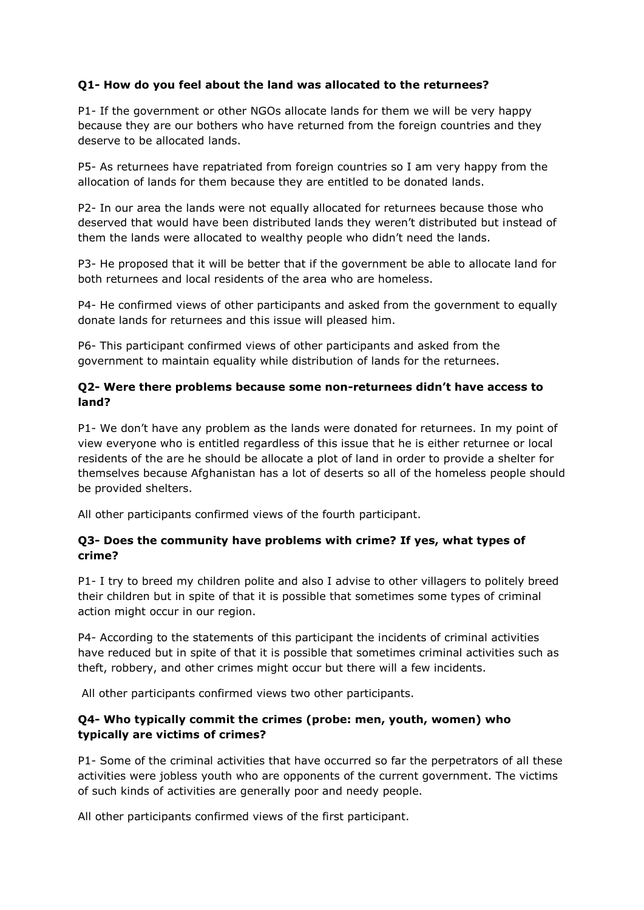## **Q1- How do you feel about the land was allocated to the returnees?**

P1- If the government or other NGOs allocate lands for them we will be very happy because they are our bothers who have returned from the foreign countries and they deserve to be allocated lands.

P5- As returnees have repatriated from foreign countries so I am very happy from the allocation of lands for them because they are entitled to be donated lands.

P2- In our area the lands were not equally allocated for returnees because those who deserved that would have been distributed lands they weren't distributed but instead of them the lands were allocated to wealthy people who didn't need the lands.

P3- He proposed that it will be better that if the government be able to allocate land for both returnees and local residents of the area who are homeless.

P4- He confirmed views of other participants and asked from the government to equally donate lands for returnees and this issue will pleased him.

P6- This participant confirmed views of other participants and asked from the government to maintain equality while distribution of lands for the returnees.

#### **Q2- Were there problems because some non-returnees didn't have access to land?**

P1- We don't have any problem as the lands were donated for returnees. In my point of view everyone who is entitled regardless of this issue that he is either returnee or local residents of the are he should be allocate a plot of land in order to provide a shelter for themselves because Afghanistan has a lot of deserts so all of the homeless people should be provided shelters.

All other participants confirmed views of the fourth participant.

#### **Q3- Does the community have problems with crime? If yes, what types of crime?**

P1- I try to breed my children polite and also I advise to other villagers to politely breed their children but in spite of that it is possible that sometimes some types of criminal action might occur in our region.

P4- According to the statements of this participant the incidents of criminal activities have reduced but in spite of that it is possible that sometimes criminal activities such as theft, robbery, and other crimes might occur but there will a few incidents.

All other participants confirmed views two other participants.

## **Q4- Who typically commit the crimes (probe: men, youth, women) who typically are victims of crimes?**

P1- Some of the criminal activities that have occurred so far the perpetrators of all these activities were jobless youth who are opponents of the current government. The victims of such kinds of activities are generally poor and needy people.

All other participants confirmed views of the first participant.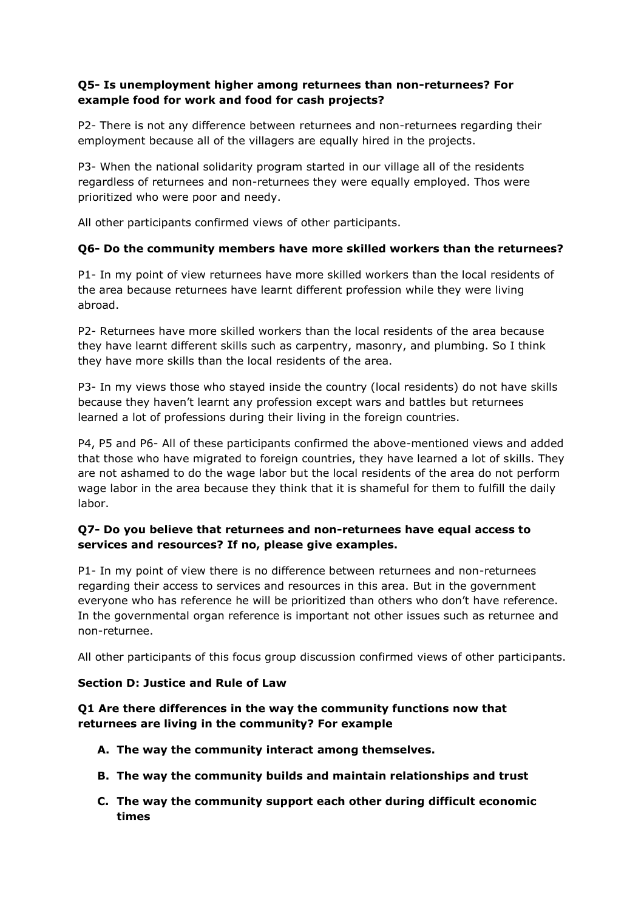### **Q5- Is unemployment higher among returnees than non-returnees? For example food for work and food for cash projects?**

P2- There is not any difference between returnees and non-returnees regarding their employment because all of the villagers are equally hired in the projects.

P3- When the national solidarity program started in our village all of the residents regardless of returnees and non-returnees they were equally employed. Thos were prioritized who were poor and needy.

All other participants confirmed views of other participants.

#### **Q6- Do the community members have more skilled workers than the returnees?**

P1- In my point of view returnees have more skilled workers than the local residents of the area because returnees have learnt different profession while they were living abroad.

P2- Returnees have more skilled workers than the local residents of the area because they have learnt different skills such as carpentry, masonry, and plumbing. So I think they have more skills than the local residents of the area.

P3- In my views those who stayed inside the country (local residents) do not have skills because they haven't learnt any profession except wars and battles but returnees learned a lot of professions during their living in the foreign countries.

P4, P5 and P6- All of these participants confirmed the above-mentioned views and added that those who have migrated to foreign countries, they have learned a lot of skills. They are not ashamed to do the wage labor but the local residents of the area do not perform wage labor in the area because they think that it is shameful for them to fulfill the daily labor.

## **Q7- Do you believe that returnees and non-returnees have equal access to services and resources? If no, please give examples.**

P1- In my point of view there is no difference between returnees and non-returnees regarding their access to services and resources in this area. But in the government everyone who has reference he will be prioritized than others who don't have reference. In the governmental organ reference is important not other issues such as returnee and non-returnee.

All other participants of this focus group discussion confirmed views of other participants.

#### **Section D: Justice and Rule of Law**

#### **Q1 Are there differences in the way the community functions now that returnees are living in the community? For example**

- **A. The way the community interact among themselves.**
- **B. The way the community builds and maintain relationships and trust**
- **C. The way the community support each other during difficult economic times**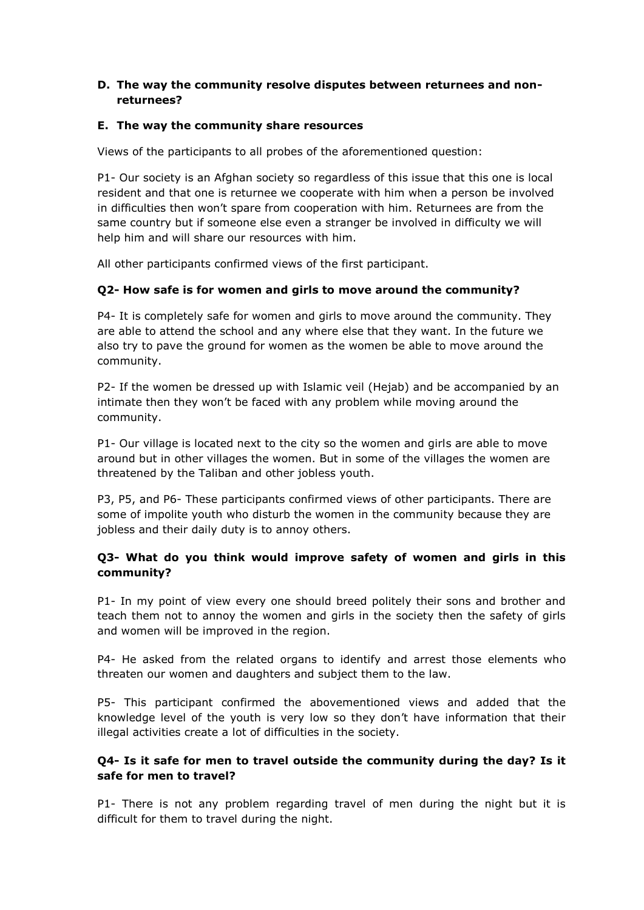#### **D. The way the community resolve disputes between returnees and nonreturnees?**

#### **E. The way the community share resources**

Views of the participants to all probes of the aforementioned question:

P1- Our society is an Afghan society so regardless of this issue that this one is local resident and that one is returnee we cooperate with him when a person be involved in difficulties then won't spare from cooperation with him. Returnees are from the same country but if someone else even a stranger be involved in difficulty we will help him and will share our resources with him.

All other participants confirmed views of the first participant.

#### **Q2- How safe is for women and girls to move around the community?**

P4- It is completely safe for women and girls to move around the community. They are able to attend the school and any where else that they want. In the future we also try to pave the ground for women as the women be able to move around the community.

P2- If the women be dressed up with Islamic veil (Hejab) and be accompanied by an intimate then they won't be faced with any problem while moving around the community.

P1- Our village is located next to the city so the women and girls are able to move around but in other villages the women. But in some of the villages the women are threatened by the Taliban and other jobless youth.

P3, P5, and P6- These participants confirmed views of other participants. There are some of impolite youth who disturb the women in the community because they are jobless and their daily duty is to annoy others.

## **Q3- What do you think would improve safety of women and girls in this community?**

P1- In my point of view every one should breed politely their sons and brother and teach them not to annoy the women and girls in the society then the safety of girls and women will be improved in the region.

P4- He asked from the related organs to identify and arrest those elements who threaten our women and daughters and subject them to the law.

P5- This participant confirmed the abovementioned views and added that the knowledge level of the youth is very low so they don't have information that their illegal activities create a lot of difficulties in the society.

#### **Q4- Is it safe for men to travel outside the community during the day? Is it safe for men to travel?**

P1- There is not any problem regarding travel of men during the night but it is difficult for them to travel during the night.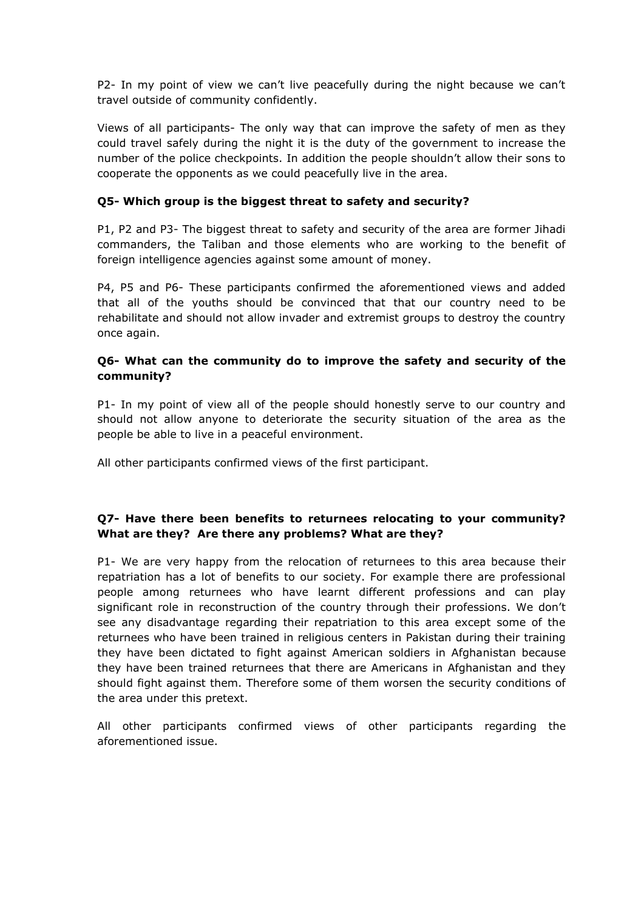P2- In my point of view we can't live peacefully during the night because we can't travel outside of community confidently.

Views of all participants- The only way that can improve the safety of men as they could travel safely during the night it is the duty of the government to increase the number of the police checkpoints. In addition the people shouldn't allow their sons to cooperate the opponents as we could peacefully live in the area.

#### **Q5- Which group is the biggest threat to safety and security?**

P1, P2 and P3- The biggest threat to safety and security of the area are former Jihadi commanders, the Taliban and those elements who are working to the benefit of foreign intelligence agencies against some amount of money.

P4, P5 and P6- These participants confirmed the aforementioned views and added that all of the youths should be convinced that that our country need to be rehabilitate and should not allow invader and extremist groups to destroy the country once again.

#### **Q6- What can the community do to improve the safety and security of the community?**

P1- In my point of view all of the people should honestly serve to our country and should not allow anyone to deteriorate the security situation of the area as the people be able to live in a peaceful environment.

All other participants confirmed views of the first participant.

## **Q7- Have there been benefits to returnees relocating to your community? What are they? Are there any problems? What are they?**

P1- We are very happy from the relocation of returnees to this area because their repatriation has a lot of benefits to our society. For example there are professional people among returnees who have learnt different professions and can play significant role in reconstruction of the country through their professions. We don't see any disadvantage regarding their repatriation to this area except some of the returnees who have been trained in religious centers in Pakistan during their training they have been dictated to fight against American soldiers in Afghanistan because they have been trained returnees that there are Americans in Afghanistan and they should fight against them. Therefore some of them worsen the security conditions of the area under this pretext.

All other participants confirmed views of other participants regarding the aforementioned issue.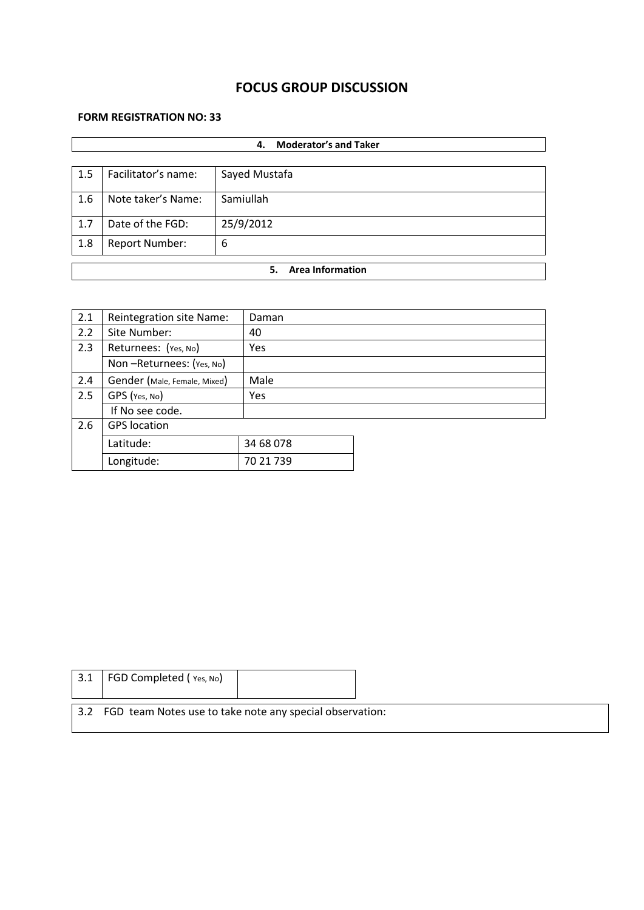# **FOCUS GROUP DISCUSSION**

### **FORM REGISTRATION NO: 33**

|     | <b>Moderator's and Taker</b><br>4. |                               |  |  |  |
|-----|------------------------------------|-------------------------------|--|--|--|
|     |                                    |                               |  |  |  |
| 1.5 | Facilitator's name:                | Sayed Mustafa                 |  |  |  |
| 1.6 | Note taker's Name:                 | Samiullah                     |  |  |  |
| 1.7 | Date of the FGD:                   | 25/9/2012                     |  |  |  |
| 1.8 | <b>Report Number:</b>              | 6                             |  |  |  |
|     |                                    |                               |  |  |  |
|     |                                    | <b>Area Information</b><br>5. |  |  |  |

| 2.1 | Reintegration site Name:     | Daman     |  |
|-----|------------------------------|-----------|--|
| 2.2 | Site Number:                 | 40        |  |
| 2.3 | Returnees: (Yes, No)         | Yes       |  |
|     | Non-Returnees: (Yes, No)     |           |  |
| 2.4 | Gender (Male, Female, Mixed) | Male      |  |
| 2.5 | GPS (Yes, No)                | Yes       |  |
|     | If No see code.              |           |  |
| 2.6 | <b>GPS</b> location          |           |  |
|     | Latitude:                    | 34 68 078 |  |
|     | Longitude:                   | 70 21 739 |  |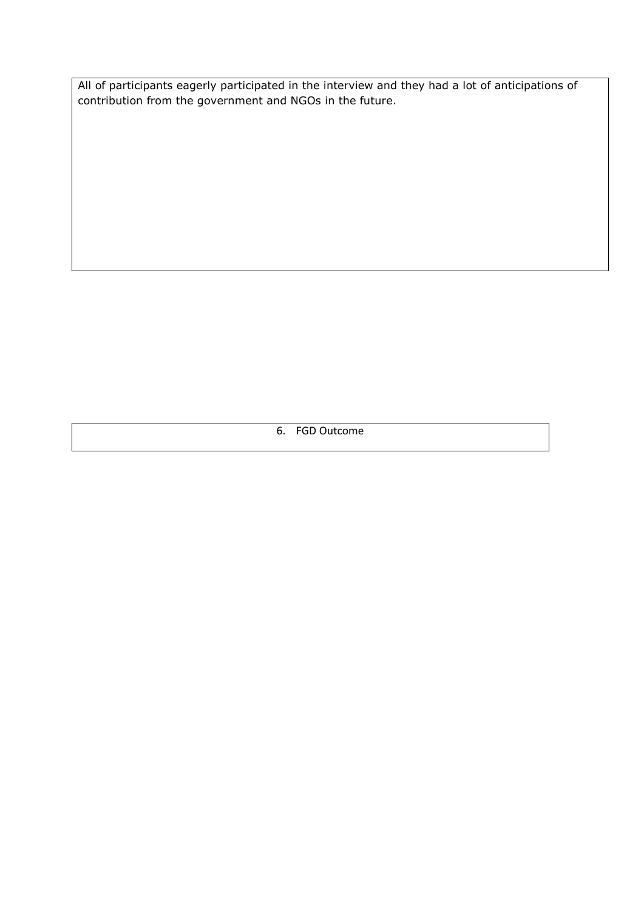All of participants eagerly participated in the interview and they had a lot of anticipations of contribution from the government and NGOs in the future.

6. FGD Outcome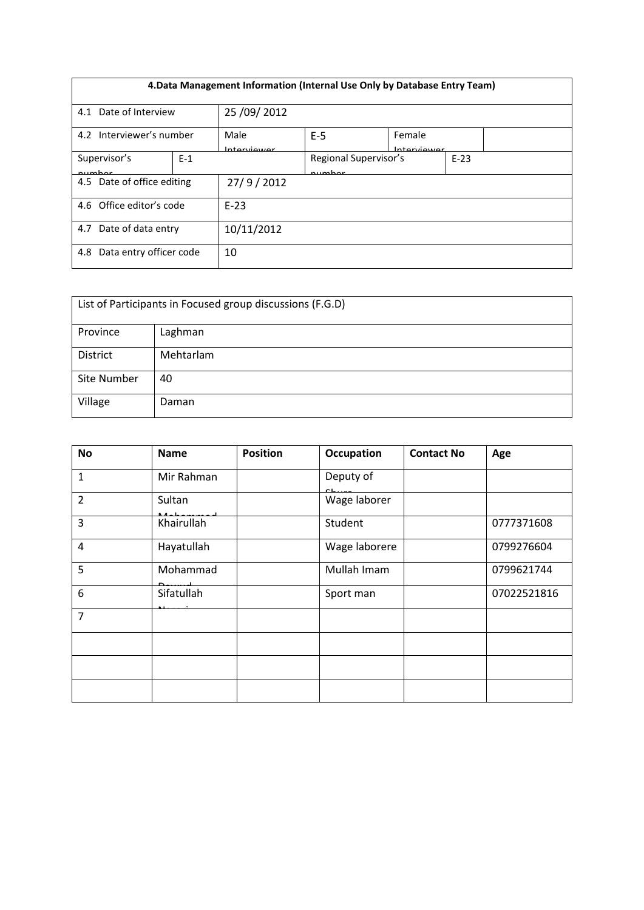| 4. Data Management Information (Internal Use Only by Database Entry Team) |       |                       |                                 |                       |        |  |
|---------------------------------------------------------------------------|-------|-----------------------|---------------------------------|-----------------------|--------|--|
| 4.1 Date of Interview                                                     |       | 25 / 09 / 2012        |                                 |                       |        |  |
| 4.2 Interviewer's number                                                  |       | Male<br>Intarationner | $E-5$                           | Female<br>Intarviowar |        |  |
| Supervisor's<br>numhar                                                    | $E-1$ |                       | Regional Supervisor's<br>numhar |                       | $E-23$ |  |
| 4.5 Date of office editing                                                |       | 27/9/2012             |                                 |                       |        |  |
| 4.6 Office editor's code                                                  |       | $F-23$                |                                 |                       |        |  |
| Date of data entry<br>4.7                                                 |       | 10/11/2012            |                                 |                       |        |  |
| Data entry officer code<br>4.8                                            |       | 10                    |                                 |                       |        |  |

| List of Participants in Focused group discussions (F.G.D) |           |  |  |  |
|-----------------------------------------------------------|-----------|--|--|--|
| Province                                                  | Laghman   |  |  |  |
| District                                                  | Mehtarlam |  |  |  |
| Site Number                                               | 40        |  |  |  |
| Village                                                   | Daman     |  |  |  |

| <b>No</b>      | <b>Name</b>                                                              | <b>Position</b> | Occupation    | <b>Contact No</b> | Age         |
|----------------|--------------------------------------------------------------------------|-----------------|---------------|-------------------|-------------|
| $\mathbf{1}$   | Mir Rahman                                                               |                 | Deputy of     |                   |             |
| $\overline{2}$ | Sultan                                                                   |                 | Wage laborer  |                   |             |
| $\overline{3}$ | Khairullah                                                               |                 | Student       |                   | 0777371608  |
| $\overline{4}$ | Hayatullah                                                               |                 | Wage laborere |                   | 0799276604  |
| 5              | Mohammad                                                                 |                 | Mullah Imam   |                   | 0799621744  |
| 6              | Sifatullah<br>$\mathbf{A} \mathbf{B} = \mathbf{A} \mathbf{B} \mathbf{A}$ |                 | Sport man     |                   | 07022521816 |
| $\overline{7}$ |                                                                          |                 |               |                   |             |
|                |                                                                          |                 |               |                   |             |
|                |                                                                          |                 |               |                   |             |
|                |                                                                          |                 |               |                   |             |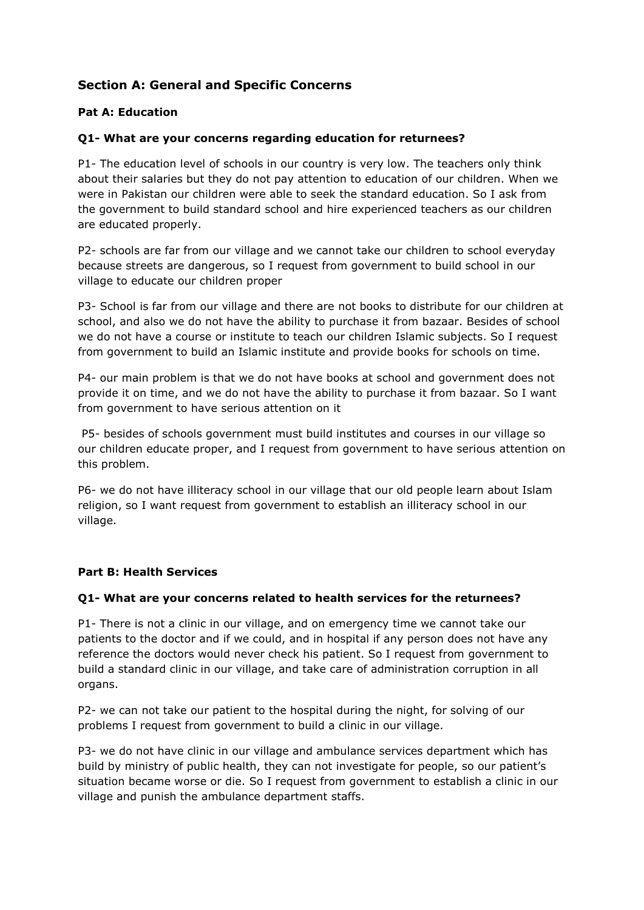# **Section A: General and Specific Concerns**

## **Pat A: Education**

## **Q1- What are your concerns regarding education for returnees?**

P1- The education level of schools in our country is very low. The teachers only think about their salaries but they do not pay attention to education of our children. When we were in Pakistan our children were able to seek the standard education. So I ask from the government to build standard school and hire experienced teachers as our children are educated properly.

P2- schools are far from our village and we cannot take our children to school everyday because streets are dangerous, so I request from government to build school in our village to educate our children proper

P3- School is far from our village and there are not books to distribute for our children at school, and also we do not have the ability to purchase it from bazaar. Besides of school we do not have a course or institute to teach our children Islamic subjects. So I request from government to build an Islamic institute and provide books for schools on time.

P4- our main problem is that we do not have books at school and government does not provide it on time, and we do not have the ability to purchase it from bazaar. So I want from government to have serious attention on it

P5- besides of schools government must build institutes and courses in our village so our children educate proper, and I request from government to have serious attention on this problem.

P6- we do not have illiteracy school in our village that our old people learn about Islam religion, so I want request from government to establish an illiteracy school in our village.

#### **Part B: Health Services**

#### **Q1- What are your concerns related to health services for the returnees?**

P1- There is not a clinic in our village, and on emergency time we cannot take our patients to the doctor and if we could, and in hospital if any person does not have any reference the doctors would never check his patient. So I request from government to build a standard clinic in our village, and take care of administration corruption in all organs.

P2- we can not take our patient to the hospital during the night, for solving of our problems I request from government to build a clinic in our village.

P3- we do not have clinic in our village and ambulance services department which has build by ministry of public health, they can not investigate for people, so our patient's situation became worse or die. So I request from government to establish a clinic in our village and punish the ambulance department staffs.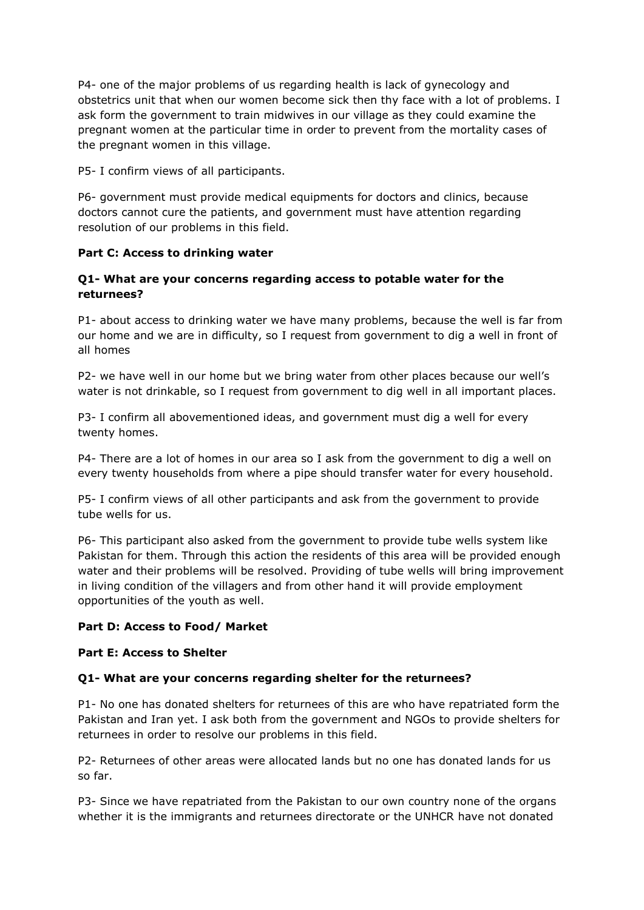P4- one of the major problems of us regarding health is lack of gynecology and obstetrics unit that when our women become sick then thy face with a lot of problems. I ask form the government to train midwives in our village as they could examine the pregnant women at the particular time in order to prevent from the mortality cases of the pregnant women in this village.

P5- I confirm views of all participants.

P6- government must provide medical equipments for doctors and clinics, because doctors cannot cure the patients, and government must have attention regarding resolution of our problems in this field.

## **Part C: Access to drinking water**

## **Q1- What are your concerns regarding access to potable water for the returnees?**

P1- about access to drinking water we have many problems, because the well is far from our home and we are in difficulty, so I request from government to dig a well in front of all homes

P2- we have well in our home but we bring water from other places because our well's water is not drinkable, so I request from government to dig well in all important places.

P3- I confirm all abovementioned ideas, and government must dig a well for every twenty homes.

P4- There are a lot of homes in our area so I ask from the government to dig a well on every twenty households from where a pipe should transfer water for every household.

P5- I confirm views of all other participants and ask from the government to provide tube wells for us.

P6- This participant also asked from the government to provide tube wells system like Pakistan for them. Through this action the residents of this area will be provided enough water and their problems will be resolved. Providing of tube wells will bring improvement in living condition of the villagers and from other hand it will provide employment opportunities of the youth as well.

#### **Part D: Access to Food/ Market**

#### **Part E: Access to Shelter**

## **Q1- What are your concerns regarding shelter for the returnees?**

P1- No one has donated shelters for returnees of this are who have repatriated form the Pakistan and Iran yet. I ask both from the government and NGOs to provide shelters for returnees in order to resolve our problems in this field.

P2- Returnees of other areas were allocated lands but no one has donated lands for us so far.

P3- Since we have repatriated from the Pakistan to our own country none of the organs whether it is the immigrants and returnees directorate or the UNHCR have not donated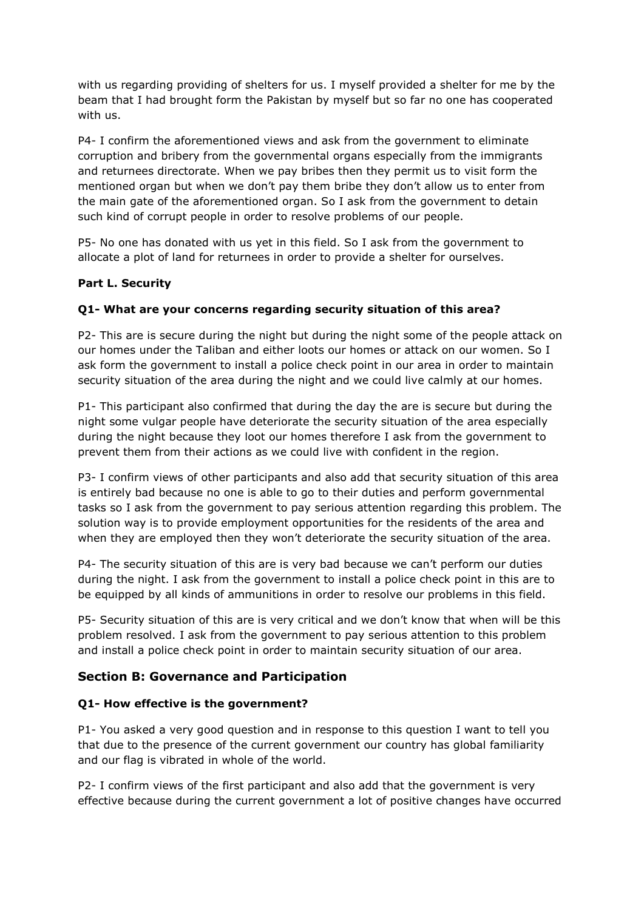with us regarding providing of shelters for us. I myself provided a shelter for me by the beam that I had brought form the Pakistan by myself but so far no one has cooperated with us.

P4- I confirm the aforementioned views and ask from the government to eliminate corruption and bribery from the governmental organs especially from the immigrants and returnees directorate. When we pay bribes then they permit us to visit form the mentioned organ but when we don't pay them bribe they don't allow us to enter from the main gate of the aforementioned organ. So I ask from the government to detain such kind of corrupt people in order to resolve problems of our people.

P5- No one has donated with us yet in this field. So I ask from the government to allocate a plot of land for returnees in order to provide a shelter for ourselves.

#### **Part L. Security**

## **Q1- What are your concerns regarding security situation of this area?**

P2- This are is secure during the night but during the night some of the people attack on our homes under the Taliban and either loots our homes or attack on our women. So I ask form the government to install a police check point in our area in order to maintain security situation of the area during the night and we could live calmly at our homes.

P1- This participant also confirmed that during the day the are is secure but during the night some vulgar people have deteriorate the security situation of the area especially during the night because they loot our homes therefore I ask from the government to prevent them from their actions as we could live with confident in the region.

P3- I confirm views of other participants and also add that security situation of this area is entirely bad because no one is able to go to their duties and perform governmental tasks so I ask from the government to pay serious attention regarding this problem. The solution way is to provide employment opportunities for the residents of the area and when they are employed then they won't deteriorate the security situation of the area.

P4- The security situation of this are is very bad because we can't perform our duties during the night. I ask from the government to install a police check point in this are to be equipped by all kinds of ammunitions in order to resolve our problems in this field.

P5- Security situation of this are is very critical and we don't know that when will be this problem resolved. I ask from the government to pay serious attention to this problem and install a police check point in order to maintain security situation of our area.

## **Section B: Governance and Participation**

#### **Q1- How effective is the government?**

P1- You asked a very good question and in response to this question I want to tell you that due to the presence of the current government our country has global familiarity and our flag is vibrated in whole of the world.

P2- I confirm views of the first participant and also add that the government is very effective because during the current government a lot of positive changes have occurred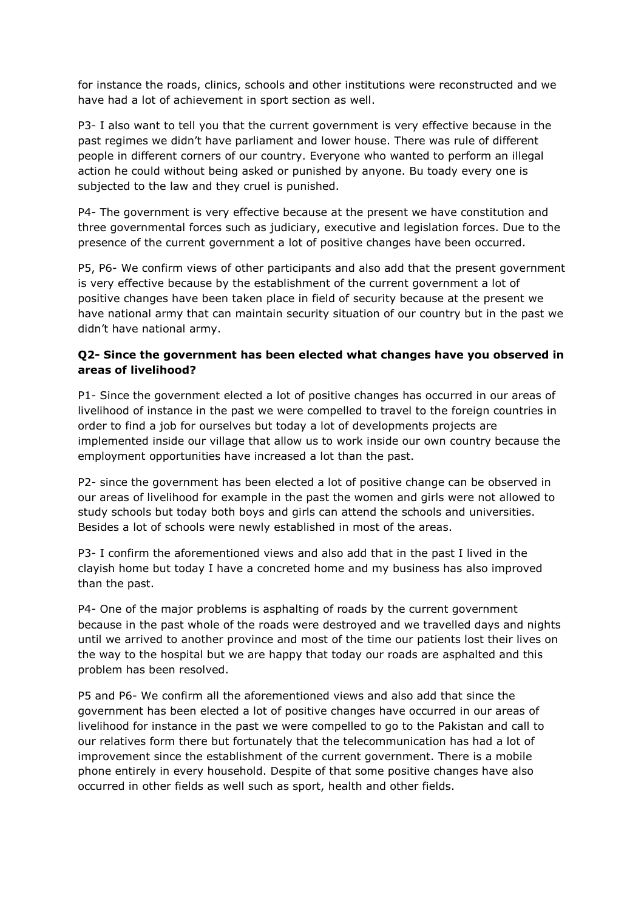for instance the roads, clinics, schools and other institutions were reconstructed and we have had a lot of achievement in sport section as well.

P3- I also want to tell you that the current government is very effective because in the past regimes we didn't have parliament and lower house. There was rule of different people in different corners of our country. Everyone who wanted to perform an illegal action he could without being asked or punished by anyone. Bu toady every one is subjected to the law and they cruel is punished.

P4- The government is very effective because at the present we have constitution and three governmental forces such as judiciary, executive and legislation forces. Due to the presence of the current government a lot of positive changes have been occurred.

P5, P6- We confirm views of other participants and also add that the present government is very effective because by the establishment of the current government a lot of positive changes have been taken place in field of security because at the present we have national army that can maintain security situation of our country but in the past we didn't have national army.

## **Q2- Since the government has been elected what changes have you observed in areas of livelihood?**

P1- Since the government elected a lot of positive changes has occurred in our areas of livelihood of instance in the past we were compelled to travel to the foreign countries in order to find a job for ourselves but today a lot of developments projects are implemented inside our village that allow us to work inside our own country because the employment opportunities have increased a lot than the past.

P2- since the government has been elected a lot of positive change can be observed in our areas of livelihood for example in the past the women and girls were not allowed to study schools but today both boys and girls can attend the schools and universities. Besides a lot of schools were newly established in most of the areas.

P3- I confirm the aforementioned views and also add that in the past I lived in the clayish home but today I have a concreted home and my business has also improved than the past.

P4- One of the major problems is asphalting of roads by the current government because in the past whole of the roads were destroyed and we travelled days and nights until we arrived to another province and most of the time our patients lost their lives on the way to the hospital but we are happy that today our roads are asphalted and this problem has been resolved.

P5 and P6- We confirm all the aforementioned views and also add that since the government has been elected a lot of positive changes have occurred in our areas of livelihood for instance in the past we were compelled to go to the Pakistan and call to our relatives form there but fortunately that the telecommunication has had a lot of improvement since the establishment of the current government. There is a mobile phone entirely in every household. Despite of that some positive changes have also occurred in other fields as well such as sport, health and other fields.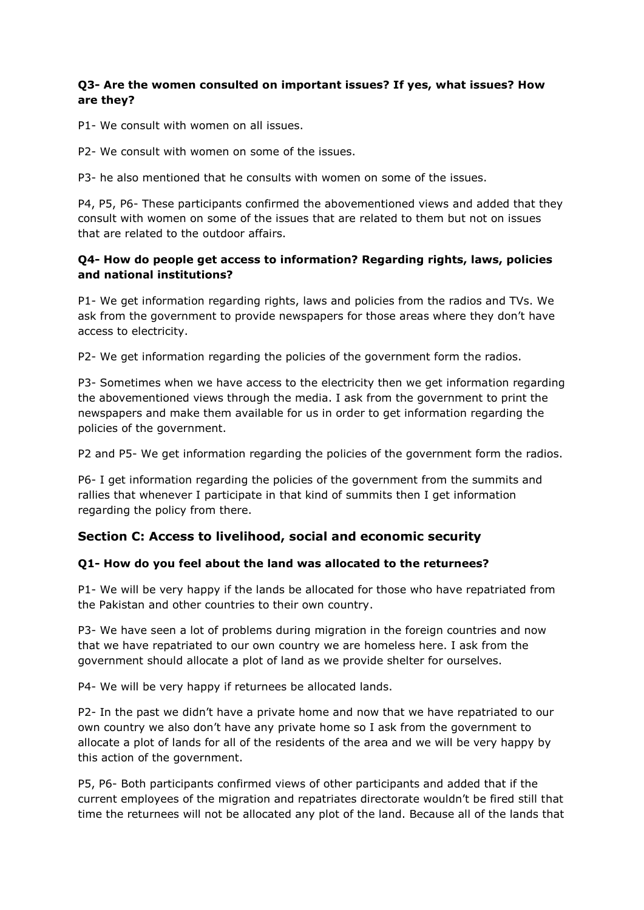#### **Q3- Are the women consulted on important issues? If yes, what issues? How are they?**

P1- We consult with women on all issues.

P2- We consult with women on some of the issues.

P3- he also mentioned that he consults with women on some of the issues.

P4, P5, P6- These participants confirmed the abovementioned views and added that they consult with women on some of the issues that are related to them but not on issues that are related to the outdoor affairs.

## **Q4- How do people get access to information? Regarding rights, laws, policies and national institutions?**

P1- We get information regarding rights, laws and policies from the radios and TVs. We ask from the government to provide newspapers for those areas where they don't have access to electricity.

P2- We get information regarding the policies of the government form the radios.

P3- Sometimes when we have access to the electricity then we get information regarding the abovementioned views through the media. I ask from the government to print the newspapers and make them available for us in order to get information regarding the policies of the government.

P2 and P5- We get information regarding the policies of the government form the radios.

P6- I get information regarding the policies of the government from the summits and rallies that whenever I participate in that kind of summits then I get information regarding the policy from there.

## **Section C: Access to livelihood, social and economic security**

#### **Q1- How do you feel about the land was allocated to the returnees?**

P1- We will be very happy if the lands be allocated for those who have repatriated from the Pakistan and other countries to their own country.

P3- We have seen a lot of problems during migration in the foreign countries and now that we have repatriated to our own country we are homeless here. I ask from the government should allocate a plot of land as we provide shelter for ourselves.

P4- We will be very happy if returnees be allocated lands.

P2- In the past we didn't have a private home and now that we have repatriated to our own country we also don't have any private home so I ask from the government to allocate a plot of lands for all of the residents of the area and we will be very happy by this action of the government.

P5, P6- Both participants confirmed views of other participants and added that if the current employees of the migration and repatriates directorate wouldn't be fired still that time the returnees will not be allocated any plot of the land. Because all of the lands that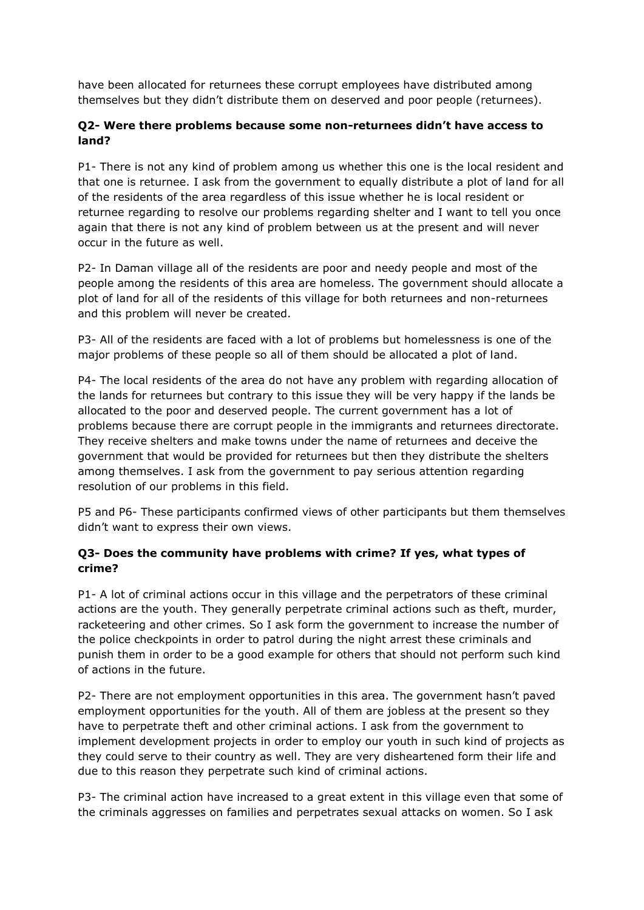have been allocated for returnees these corrupt employees have distributed among themselves but they didn't distribute them on deserved and poor people (returnees).

## **Q2- Were there problems because some non-returnees didn't have access to land?**

P1- There is not any kind of problem among us whether this one is the local resident and that one is returnee. I ask from the government to equally distribute a plot of land for all of the residents of the area regardless of this issue whether he is local resident or returnee regarding to resolve our problems regarding shelter and I want to tell you once again that there is not any kind of problem between us at the present and will never occur in the future as well.

P2- In Daman village all of the residents are poor and needy people and most of the people among the residents of this area are homeless. The government should allocate a plot of land for all of the residents of this village for both returnees and non-returnees and this problem will never be created.

P3- All of the residents are faced with a lot of problems but homelessness is one of the major problems of these people so all of them should be allocated a plot of land.

P4- The local residents of the area do not have any problem with regarding allocation of the lands for returnees but contrary to this issue they will be very happy if the lands be allocated to the poor and deserved people. The current government has a lot of problems because there are corrupt people in the immigrants and returnees directorate. They receive shelters and make towns under the name of returnees and deceive the government that would be provided for returnees but then they distribute the shelters among themselves. I ask from the government to pay serious attention regarding resolution of our problems in this field.

P5 and P6- These participants confirmed views of other participants but them themselves didn't want to express their own views.

## **Q3- Does the community have problems with crime? If yes, what types of crime?**

P1- A lot of criminal actions occur in this village and the perpetrators of these criminal actions are the youth. They generally perpetrate criminal actions such as theft, murder, racketeering and other crimes. So I ask form the government to increase the number of the police checkpoints in order to patrol during the night arrest these criminals and punish them in order to be a good example for others that should not perform such kind of actions in the future.

P2- There are not employment opportunities in this area. The government hasn't paved employment opportunities for the youth. All of them are jobless at the present so they have to perpetrate theft and other criminal actions. I ask from the government to implement development projects in order to employ our youth in such kind of projects as they could serve to their country as well. They are very disheartened form their life and due to this reason they perpetrate such kind of criminal actions.

P3- The criminal action have increased to a great extent in this village even that some of the criminals aggresses on families and perpetrates sexual attacks on women. So I ask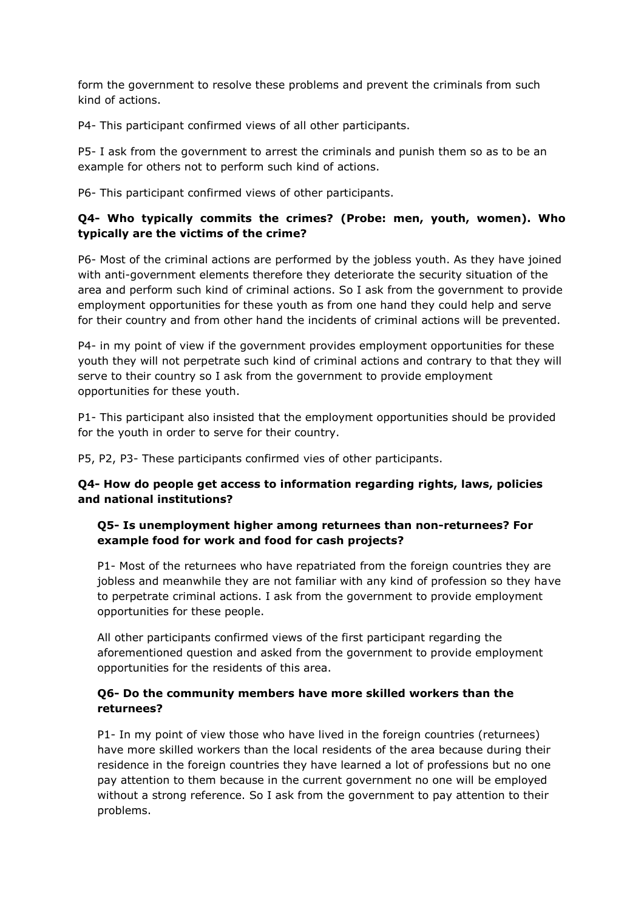form the government to resolve these problems and prevent the criminals from such kind of actions.

P4- This participant confirmed views of all other participants.

P5- I ask from the government to arrest the criminals and punish them so as to be an example for others not to perform such kind of actions.

P6- This participant confirmed views of other participants.

## **Q4- Who typically commits the crimes? (Probe: men, youth, women). Who typically are the victims of the crime?**

P6- Most of the criminal actions are performed by the jobless youth. As they have joined with anti-government elements therefore they deteriorate the security situation of the area and perform such kind of criminal actions. So I ask from the government to provide employment opportunities for these youth as from one hand they could help and serve for their country and from other hand the incidents of criminal actions will be prevented.

P4- in my point of view if the government provides employment opportunities for these youth they will not perpetrate such kind of criminal actions and contrary to that they will serve to their country so I ask from the government to provide employment opportunities for these youth.

P1- This participant also insisted that the employment opportunities should be provided for the youth in order to serve for their country.

P5, P2, P3- These participants confirmed vies of other participants.

## **Q4- How do people get access to information regarding rights, laws, policies and national institutions?**

## **Q5- Is unemployment higher among returnees than non-returnees? For example food for work and food for cash projects?**

P1- Most of the returnees who have repatriated from the foreign countries they are jobless and meanwhile they are not familiar with any kind of profession so they have to perpetrate criminal actions. I ask from the government to provide employment opportunities for these people.

All other participants confirmed views of the first participant regarding the aforementioned question and asked from the government to provide employment opportunities for the residents of this area.

## **Q6- Do the community members have more skilled workers than the returnees?**

P1- In my point of view those who have lived in the foreign countries (returnees) have more skilled workers than the local residents of the area because during their residence in the foreign countries they have learned a lot of professions but no one pay attention to them because in the current government no one will be employed without a strong reference. So I ask from the government to pay attention to their problems.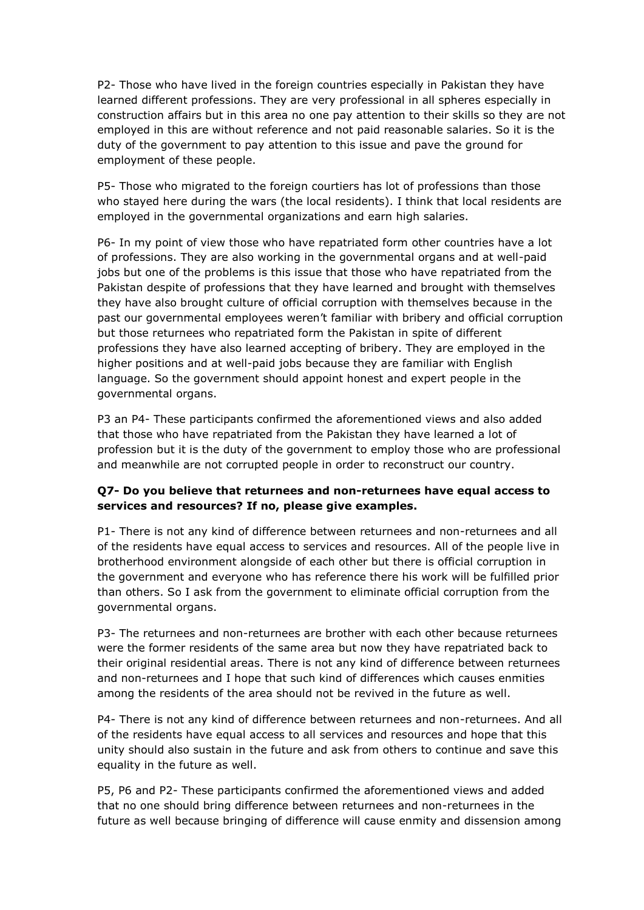P2- Those who have lived in the foreign countries especially in Pakistan they have learned different professions. They are very professional in all spheres especially in construction affairs but in this area no one pay attention to their skills so they are not employed in this are without reference and not paid reasonable salaries. So it is the duty of the government to pay attention to this issue and pave the ground for employment of these people.

P5- Those who migrated to the foreign courtiers has lot of professions than those who stayed here during the wars (the local residents). I think that local residents are employed in the governmental organizations and earn high salaries.

P6- In my point of view those who have repatriated form other countries have a lot of professions. They are also working in the governmental organs and at well-paid jobs but one of the problems is this issue that those who have repatriated from the Pakistan despite of professions that they have learned and brought with themselves they have also brought culture of official corruption with themselves because in the past our governmental employees weren't familiar with bribery and official corruption but those returnees who repatriated form the Pakistan in spite of different professions they have also learned accepting of bribery. They are employed in the higher positions and at well-paid jobs because they are familiar with English language. So the government should appoint honest and expert people in the governmental organs.

P3 an P4- These participants confirmed the aforementioned views and also added that those who have repatriated from the Pakistan they have learned a lot of profession but it is the duty of the government to employ those who are professional and meanwhile are not corrupted people in order to reconstruct our country.

## **Q7- Do you believe that returnees and non-returnees have equal access to services and resources? If no, please give examples.**

P1- There is not any kind of difference between returnees and non-returnees and all of the residents have equal access to services and resources. All of the people live in brotherhood environment alongside of each other but there is official corruption in the government and everyone who has reference there his work will be fulfilled prior than others. So I ask from the government to eliminate official corruption from the governmental organs.

P3- The returnees and non-returnees are brother with each other because returnees were the former residents of the same area but now they have repatriated back to their original residential areas. There is not any kind of difference between returnees and non-returnees and I hope that such kind of differences which causes enmities among the residents of the area should not be revived in the future as well.

P4- There is not any kind of difference between returnees and non-returnees. And all of the residents have equal access to all services and resources and hope that this unity should also sustain in the future and ask from others to continue and save this equality in the future as well.

P5, P6 and P2- These participants confirmed the aforementioned views and added that no one should bring difference between returnees and non-returnees in the future as well because bringing of difference will cause enmity and dissension among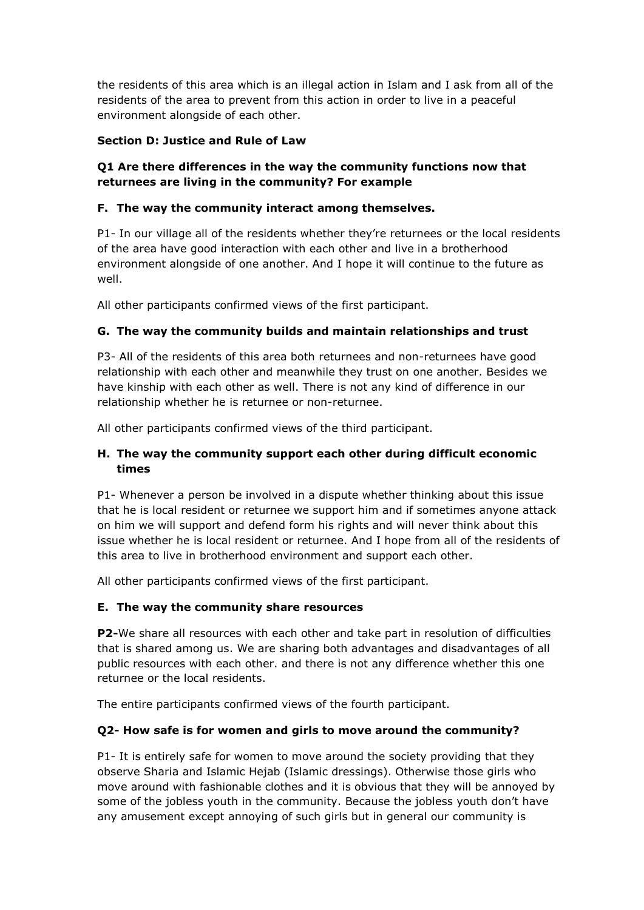the residents of this area which is an illegal action in Islam and I ask from all of the residents of the area to prevent from this action in order to live in a peaceful environment alongside of each other.

## **Section D: Justice and Rule of Law**

## **Q1 Are there differences in the way the community functions now that returnees are living in the community? For example**

## **F. The way the community interact among themselves.**

P1- In our village all of the residents whether they're returnees or the local residents of the area have good interaction with each other and live in a brotherhood environment alongside of one another. And I hope it will continue to the future as well.

All other participants confirmed views of the first participant.

## **G. The way the community builds and maintain relationships and trust**

P3- All of the residents of this area both returnees and non-returnees have good relationship with each other and meanwhile they trust on one another. Besides we have kinship with each other as well. There is not any kind of difference in our relationship whether he is returnee or non-returnee.

All other participants confirmed views of the third participant.

## **H. The way the community support each other during difficult economic times**

P1- Whenever a person be involved in a dispute whether thinking about this issue that he is local resident or returnee we support him and if sometimes anyone attack on him we will support and defend form his rights and will never think about this issue whether he is local resident or returnee. And I hope from all of the residents of this area to live in brotherhood environment and support each other.

All other participants confirmed views of the first participant.

#### **E. The way the community share resources**

**P2-**We share all resources with each other and take part in resolution of difficulties that is shared among us. We are sharing both advantages and disadvantages of all public resources with each other. and there is not any difference whether this one returnee or the local residents.

The entire participants confirmed views of the fourth participant.

## **Q2- How safe is for women and girls to move around the community?**

P1- It is entirely safe for women to move around the society providing that they observe Sharia and Islamic Hejab (Islamic dressings). Otherwise those girls who move around with fashionable clothes and it is obvious that they will be annoyed by some of the jobless youth in the community. Because the jobless youth don't have any amusement except annoying of such girls but in general our community is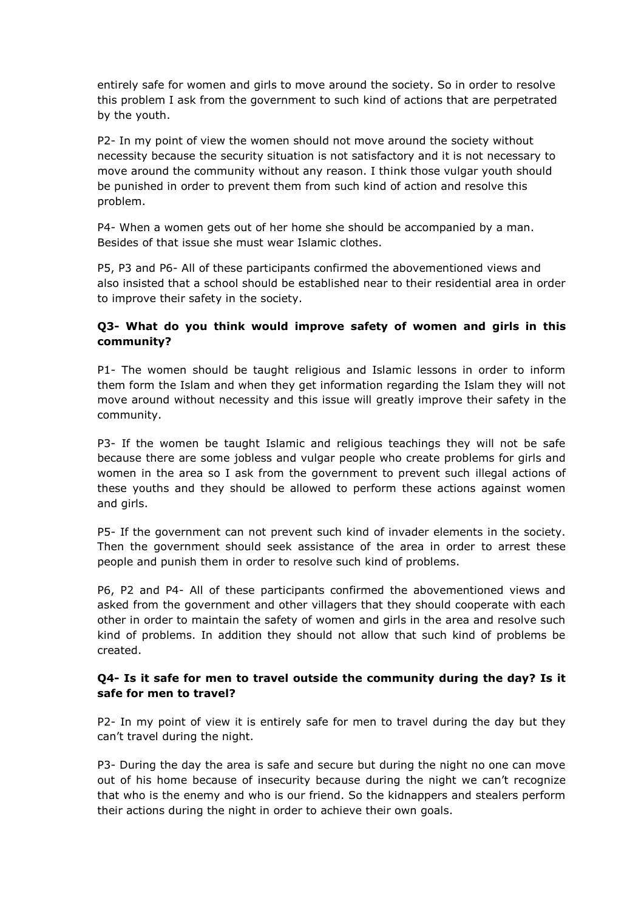entirely safe for women and girls to move around the society. So in order to resolve this problem I ask from the government to such kind of actions that are perpetrated by the youth.

P2- In my point of view the women should not move around the society without necessity because the security situation is not satisfactory and it is not necessary to move around the community without any reason. I think those vulgar youth should be punished in order to prevent them from such kind of action and resolve this problem.

P4- When a women gets out of her home she should be accompanied by a man. Besides of that issue she must wear Islamic clothes.

P5, P3 and P6- All of these participants confirmed the abovementioned views and also insisted that a school should be established near to their residential area in order to improve their safety in the society.

## **Q3- What do you think would improve safety of women and girls in this community?**

P1- The women should be taught religious and Islamic lessons in order to inform them form the Islam and when they get information regarding the Islam they will not move around without necessity and this issue will greatly improve their safety in the community.

P3- If the women be taught Islamic and religious teachings they will not be safe because there are some jobless and vulgar people who create problems for girls and women in the area so I ask from the government to prevent such illegal actions of these youths and they should be allowed to perform these actions against women and girls.

P5- If the government can not prevent such kind of invader elements in the society. Then the government should seek assistance of the area in order to arrest these people and punish them in order to resolve such kind of problems.

P6, P2 and P4- All of these participants confirmed the abovementioned views and asked from the government and other villagers that they should cooperate with each other in order to maintain the safety of women and girls in the area and resolve such kind of problems. In addition they should not allow that such kind of problems be created.

## **Q4- Is it safe for men to travel outside the community during the day? Is it safe for men to travel?**

P2- In my point of view it is entirely safe for men to travel during the day but they can't travel during the night.

P3- During the day the area is safe and secure but during the night no one can move out of his home because of insecurity because during the night we can't recognize that who is the enemy and who is our friend. So the kidnappers and stealers perform their actions during the night in order to achieve their own goals.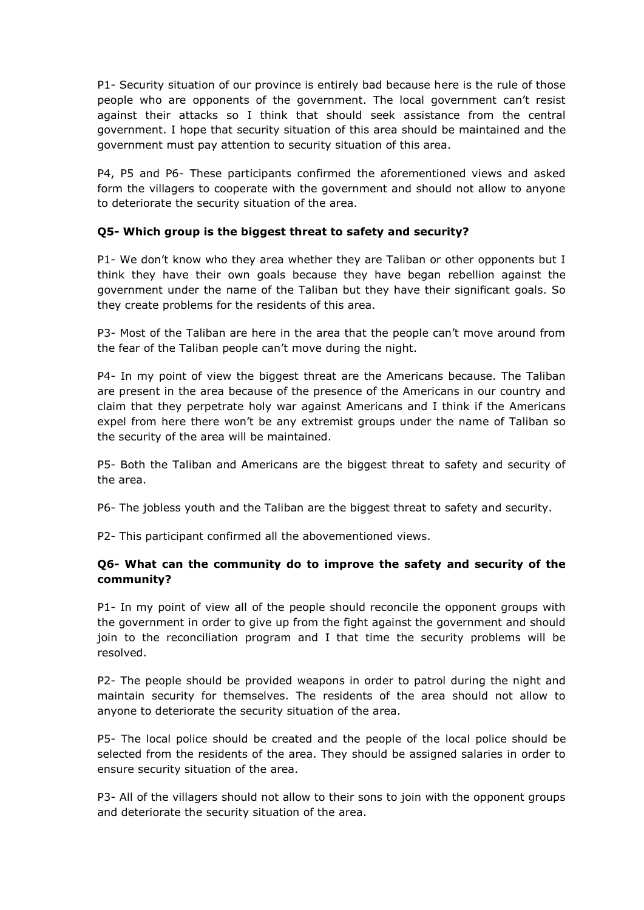P1- Security situation of our province is entirely bad because here is the rule of those people who are opponents of the government. The local government can't resist against their attacks so I think that should seek assistance from the central government. I hope that security situation of this area should be maintained and the government must pay attention to security situation of this area.

P4, P5 and P6- These participants confirmed the aforementioned views and asked form the villagers to cooperate with the government and should not allow to anyone to deteriorate the security situation of the area.

## **Q5- Which group is the biggest threat to safety and security?**

P1- We don't know who they area whether they are Taliban or other opponents but I think they have their own goals because they have began rebellion against the government under the name of the Taliban but they have their significant goals. So they create problems for the residents of this area.

P3- Most of the Taliban are here in the area that the people can't move around from the fear of the Taliban people can't move during the night.

P4- In my point of view the biggest threat are the Americans because. The Taliban are present in the area because of the presence of the Americans in our country and claim that they perpetrate holy war against Americans and I think if the Americans expel from here there won't be any extremist groups under the name of Taliban so the security of the area will be maintained.

P5- Both the Taliban and Americans are the biggest threat to safety and security of the area.

P6- The jobless youth and the Taliban are the biggest threat to safety and security.

P2- This participant confirmed all the abovementioned views.

## **Q6- What can the community do to improve the safety and security of the community?**

P1- In my point of view all of the people should reconcile the opponent groups with the government in order to give up from the fight against the government and should join to the reconciliation program and I that time the security problems will be resolved.

P2- The people should be provided weapons in order to patrol during the night and maintain security for themselves. The residents of the area should not allow to anyone to deteriorate the security situation of the area.

P5- The local police should be created and the people of the local police should be selected from the residents of the area. They should be assigned salaries in order to ensure security situation of the area.

P3- All of the villagers should not allow to their sons to join with the opponent groups and deteriorate the security situation of the area.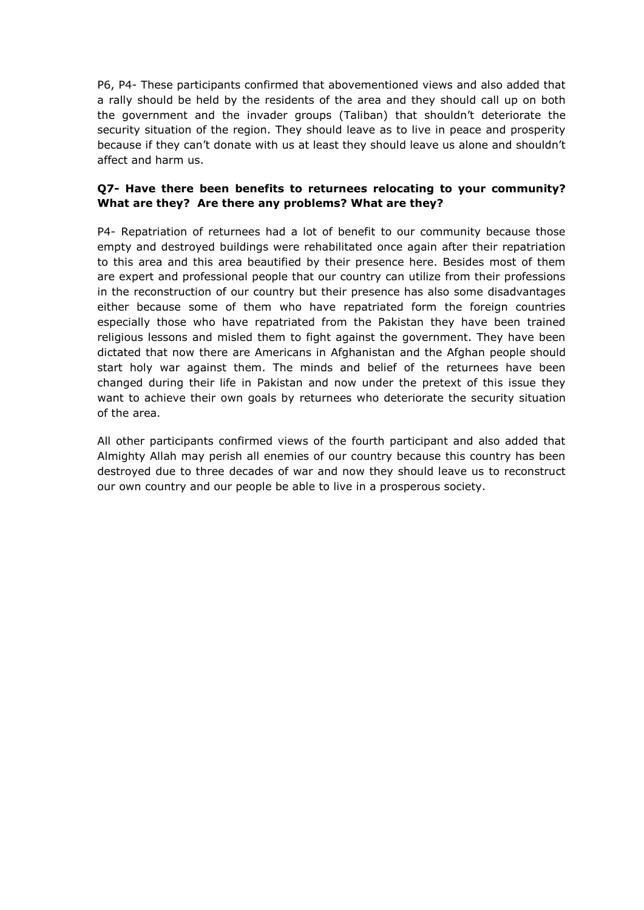P6, P4- These participants confirmed that abovementioned views and also added that a rally should be held by the residents of the area and they should call up on both the government and the invader groups (Taliban) that shouldn't deteriorate the security situation of the region. They should leave as to live in peace and prosperity because if they can't donate with us at least they should leave us alone and shouldn't affect and harm us.

## **Q7- Have there been benefits to returnees relocating to your community? What are they? Are there any problems? What are they?**

P4- Repatriation of returnees had a lot of benefit to our community because those empty and destroyed buildings were rehabilitated once again after their repatriation to this area and this area beautified by their presence here. Besides most of them are expert and professional people that our country can utilize from their professions in the reconstruction of our country but their presence has also some disadvantages either because some of them who have repatriated form the foreign countries especially those who have repatriated from the Pakistan they have been trained religious lessons and misled them to fight against the government. They have been dictated that now there are Americans in Afghanistan and the Afghan people should start holy war against them. The minds and belief of the returnees have been changed during their life in Pakistan and now under the pretext of this issue they want to achieve their own goals by returnees who deteriorate the security situation of the area.

All other participants confirmed views of the fourth participant and also added that Almighty Allah may perish all enemies of our country because this country has been destroyed due to three decades of war and now they should leave us to reconstruct our own country and our people be able to live in a prosperous society.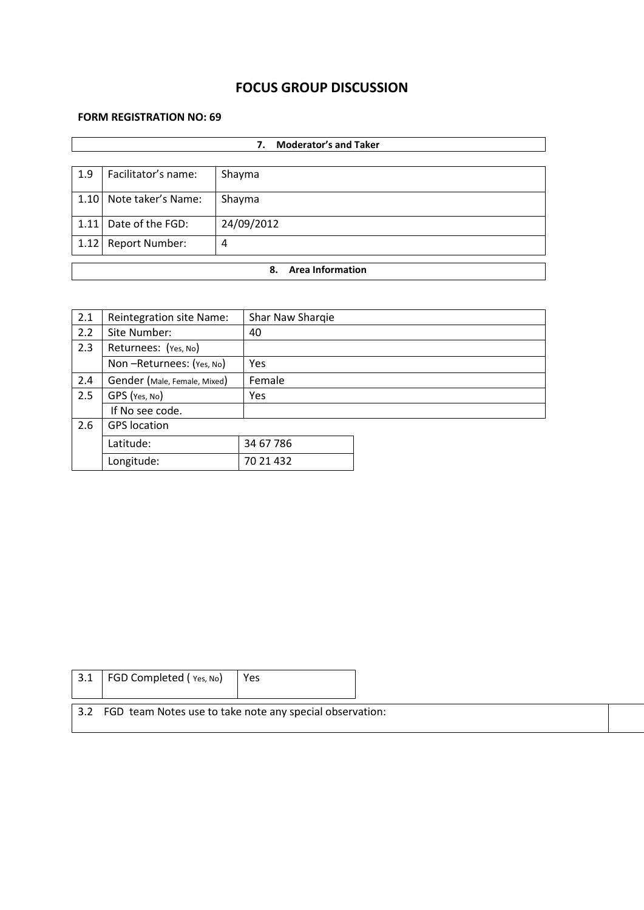# **FOCUS GROUP DISCUSSION**

## **FORM REGISTRATION NO: 69**

|      | <b>Moderator's and Taker</b><br>7. |            |  |  |  |
|------|------------------------------------|------------|--|--|--|
| 1.9  | Facilitator's name:                | Shayma     |  |  |  |
|      | 1.10 Note taker's Name:            | Shayma     |  |  |  |
| 1.11 | Date of the FGD:                   | 24/09/2012 |  |  |  |
| 1.12 | <b>Report Number:</b>              | 4          |  |  |  |
|      | <b>Area Information</b><br>8.      |            |  |  |  |

| 2.1 | Reintegration site Name:     | Shar Naw Sharqie |  |
|-----|------------------------------|------------------|--|
| 2.2 | Site Number:                 | 40               |  |
| 2.3 | Returnees: (Yes, No)         |                  |  |
|     | Non-Returnees: (Yes, No)     | Yes              |  |
| 2.4 | Gender (Male, Female, Mixed) | Female           |  |
| 2.5 | GPS (Yes, No)                | Yes              |  |
|     | If No see code.              |                  |  |
| 2.6 | <b>GPS</b> location          |                  |  |
|     | Latitude:                    | 34 67 786        |  |
|     | Longitude:                   | 70 21 432        |  |

| 3.1                                                          | FGD Completed (Yes, No) | Yes |  |  |  |
|--------------------------------------------------------------|-------------------------|-----|--|--|--|
| 3.2 FGD team Notes use to take note any special observation: |                         |     |  |  |  |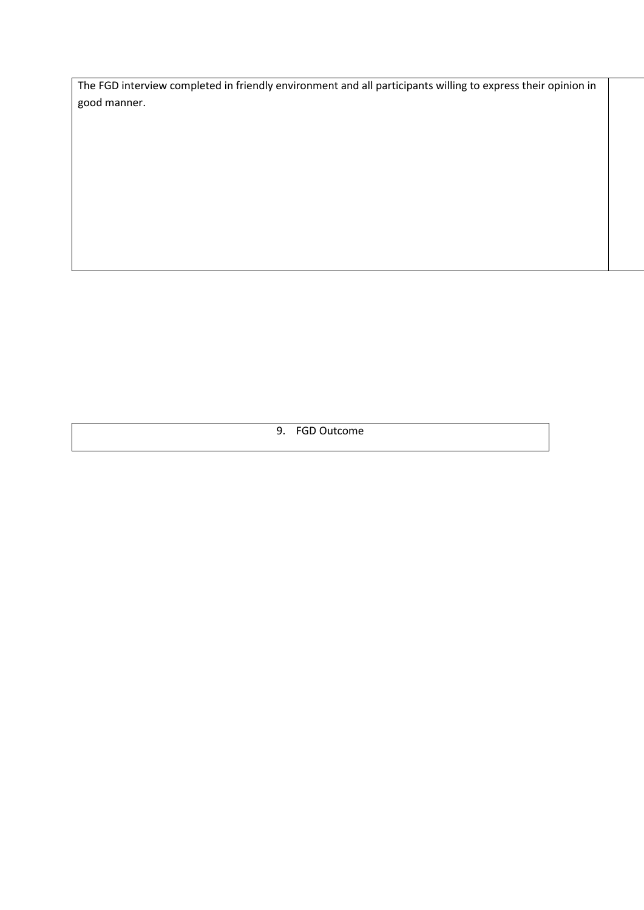The FGD interview completed in friendly environment and all participants willing to express their opinion in good manner.

9. FGD Outcome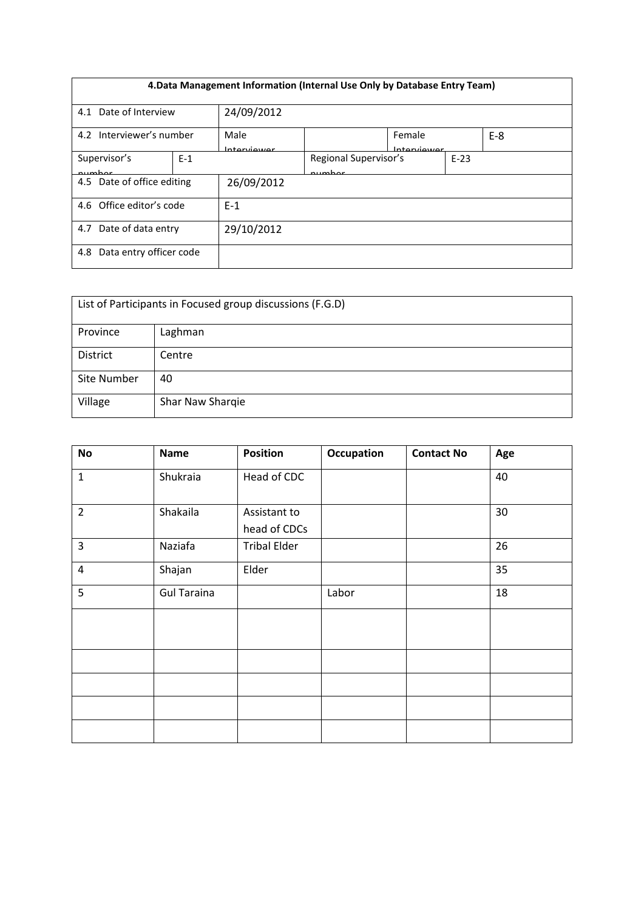| 4. Data Management Information (Internal Use Only by Database Entry Team) |       |                      |                                 |                        |        |       |
|---------------------------------------------------------------------------|-------|----------------------|---------------------------------|------------------------|--------|-------|
| Date of Interview<br>4.1                                                  |       | 24/09/2012           |                                 |                        |        |       |
| 4.2 Interviewer's number                                                  |       | Male<br>Intraniiouor |                                 | Female<br>Intraniiouwr |        | $E-8$ |
| Supervisor's<br>numhar                                                    | $E-1$ |                      | Regional Supervisor's<br>numhar |                        | $E-23$ |       |
| 4.5 Date of office editing                                                |       | 26/09/2012           |                                 |                        |        |       |
| 4.6 Office editor's code                                                  |       | $E-1$                |                                 |                        |        |       |
| Date of data entry<br>4.7                                                 |       | 29/10/2012           |                                 |                        |        |       |
| Data entry officer code<br>4.8                                            |       |                      |                                 |                        |        |       |

| List of Participants in Focused group discussions (F.G.D) |                  |  |  |  |
|-----------------------------------------------------------|------------------|--|--|--|
| Province                                                  | Laghman          |  |  |  |
| <b>District</b>                                           | Centre           |  |  |  |
| Site Number                                               | 40               |  |  |  |
| Village                                                   | Shar Naw Sharqie |  |  |  |

| <b>No</b>      | <b>Name</b>        | <b>Position</b>              | <b>Occupation</b> | <b>Contact No</b> | Age |
|----------------|--------------------|------------------------------|-------------------|-------------------|-----|
| $\mathbf{1}$   | Shukraia           | Head of CDC                  |                   |                   | 40  |
| $\overline{2}$ | Shakaila           | Assistant to<br>head of CDCs |                   |                   | 30  |
| $\overline{3}$ | Naziafa            | <b>Tribal Elder</b>          |                   |                   | 26  |
| $\sqrt{4}$     | Shajan             | Elder                        |                   |                   | 35  |
| 5              | <b>Gul Taraina</b> |                              | Labor             |                   | 18  |
|                |                    |                              |                   |                   |     |
|                |                    |                              |                   |                   |     |
|                |                    |                              |                   |                   |     |
|                |                    |                              |                   |                   |     |
|                |                    |                              |                   |                   |     |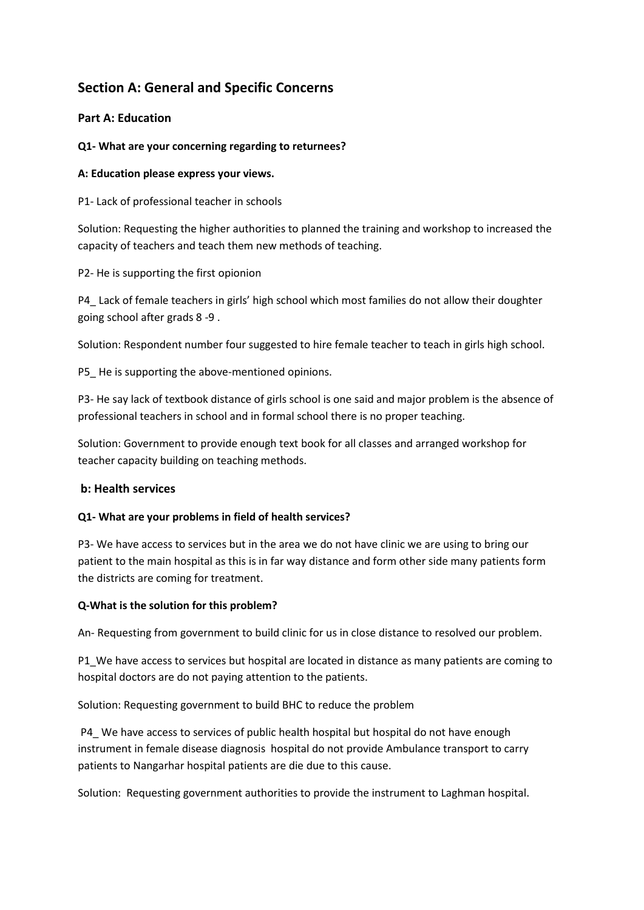# **Section A: General and Specific Concerns**

## **Part A: Education**

#### **Q1- What are your concerning regarding to returnees?**

#### **A: Education please express your views.**

P1- Lack of professional teacher in schools

Solution: Requesting the higher authorities to planned the training and workshop to increased the capacity of teachers and teach them new methods of teaching.

P2- He is supporting the first opionion

P4\_ Lack of female teachers in girls' high school which most families do not allow their doughter going school after grads 8 -9 .

Solution: Respondent number four suggested to hire female teacher to teach in girls high school.

P5 He is supporting the above-mentioned opinions.

P3- He say lack of textbook distance of girls school is one said and major problem is the absence of professional teachers in school and in formal school there is no proper teaching.

Solution: Government to provide enough text book for all classes and arranged workshop for teacher capacity building on teaching methods.

#### **b: Health services**

#### **Q1- What are your problems in field of health services?**

P3- We have access to services but in the area we do not have clinic we are using to bring our patient to the main hospital as this is in far way distance and form other side many patients form the districts are coming for treatment.

#### **Q-What is the solution for this problem?**

An- Requesting from government to build clinic for us in close distance to resolved our problem.

P1\_We have access to services but hospital are located in distance as many patients are coming to hospital doctors are do not paying attention to the patients.

Solution: Requesting government to build BHC to reduce the problem

P4\_ We have access to services of public health hospital but hospital do not have enough instrument in female disease diagnosis hospital do not provide Ambulance transport to carry patients to Nangarhar hospital patients are die due to this cause.

Solution: Requesting government authorities to provide the instrument to Laghman hospital.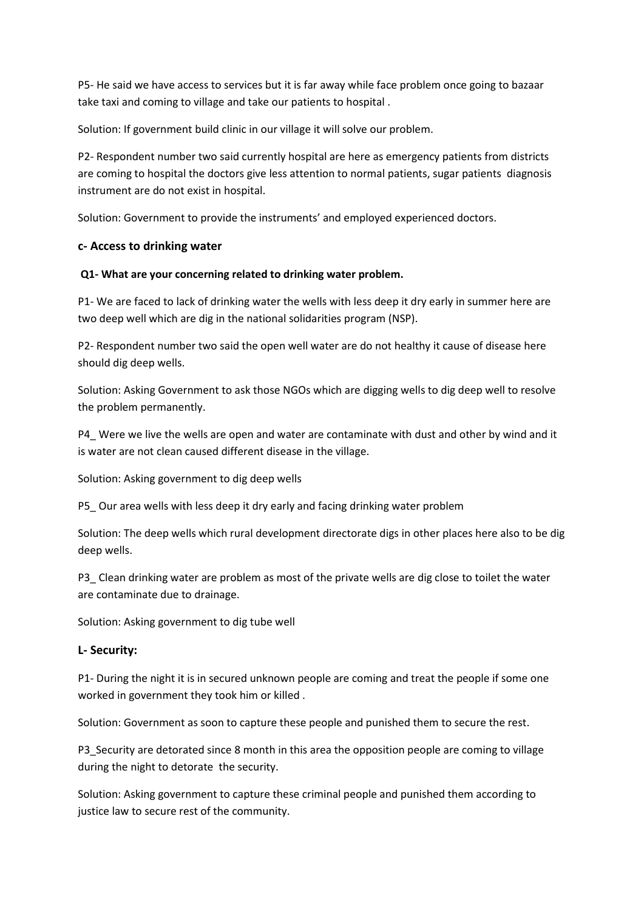P5- He said we have access to services but it is far away while face problem once going to bazaar take taxi and coming to village and take our patients to hospital .

Solution: If government build clinic in our village it will solve our problem.

P2- Respondent number two said currently hospital are here as emergency patients from districts are coming to hospital the doctors give less attention to normal patients, sugar patients diagnosis instrument are do not exist in hospital.

Solution: Government to provide the instruments' and employed experienced doctors.

#### **c- Access to drinking water**

#### **Q1- What are your concerning related to drinking water problem.**

P1- We are faced to lack of drinking water the wells with less deep it dry early in summer here are two deep well which are dig in the national solidarities program (NSP).

P2- Respondent number two said the open well water are do not healthy it cause of disease here should dig deep wells.

Solution: Asking Government to ask those NGOs which are digging wells to dig deep well to resolve the problem permanently.

P4\_ Were we live the wells are open and water are contaminate with dust and other by wind and it is water are not clean caused different disease in the village.

Solution: Asking government to dig deep wells

P5\_ Our area wells with less deep it dry early and facing drinking water problem

Solution: The deep wells which rural development directorate digs in other places here also to be dig deep wells.

P3\_ Clean drinking water are problem as most of the private wells are dig close to toilet the water are contaminate due to drainage.

Solution: Asking government to dig tube well

#### **L- Security:**

P1- During the night it is in secured unknown people are coming and treat the people if some one worked in government they took him or killed .

Solution: Government as soon to capture these people and punished them to secure the rest.

P3\_Security are detorated since 8 month in this area the opposition people are coming to village during the night to detorate the security.

Solution: Asking government to capture these criminal people and punished them according to justice law to secure rest of the community.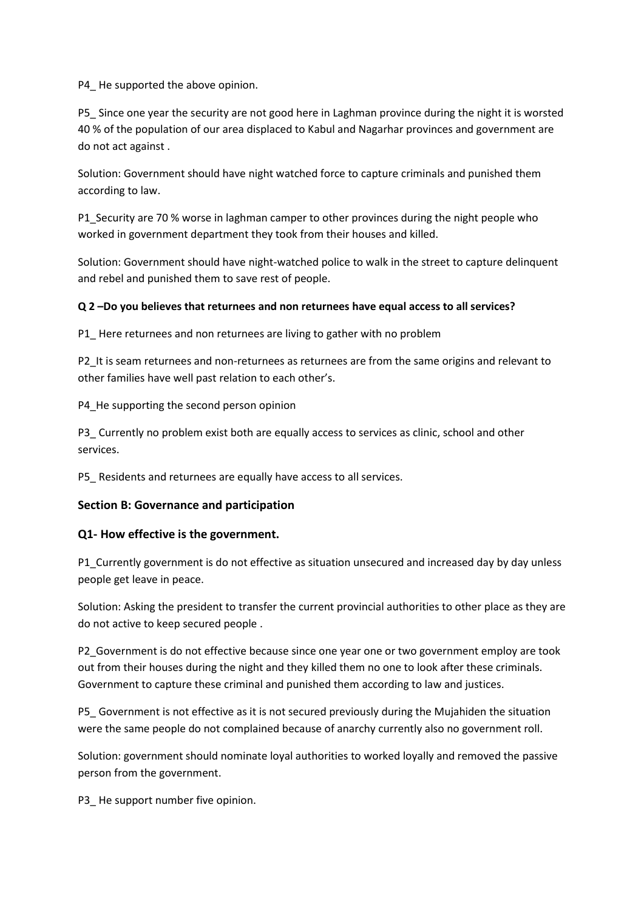P4 He supported the above opinion.

P5 Since one year the security are not good here in Laghman province during the night it is worsted 40 % of the population of our area displaced to Kabul and Nagarhar provinces and government are do not act against .

Solution: Government should have night watched force to capture criminals and punished them according to law.

P1 Security are 70 % worse in laghman camper to other provinces during the night people who worked in government department they took from their houses and killed.

Solution: Government should have night-watched police to walk in the street to capture delinquent and rebel and punished them to save rest of people.

#### **Q 2 –Do you believes that returnees and non returnees have equal access to all services?**

P1\_ Here returnees and non returnees are living to gather with no problem

P2 It is seam returnees and non-returnees as returnees are from the same origins and relevant to other families have well past relation to each other's.

P4 He supporting the second person opinion

P3 Currently no problem exist both are equally access to services as clinic, school and other services.

P5\_ Residents and returnees are equally have access to all services.

#### **Section B: Governance and participation**

#### **Q1- How effective is the government.**

P1\_Currently government is do not effective as situation unsecured and increased day by day unless people get leave in peace.

Solution: Asking the president to transfer the current provincial authorities to other place as they are do not active to keep secured people .

P2 Government is do not effective because since one year one or two government employ are took out from their houses during the night and they killed them no one to look after these criminals. Government to capture these criminal and punished them according to law and justices.

P5\_ Government is not effective as it is not secured previously during the Mujahiden the situation were the same people do not complained because of anarchy currently also no government roll.

Solution: government should nominate loyal authorities to worked loyally and removed the passive person from the government.

P3 He support number five opinion.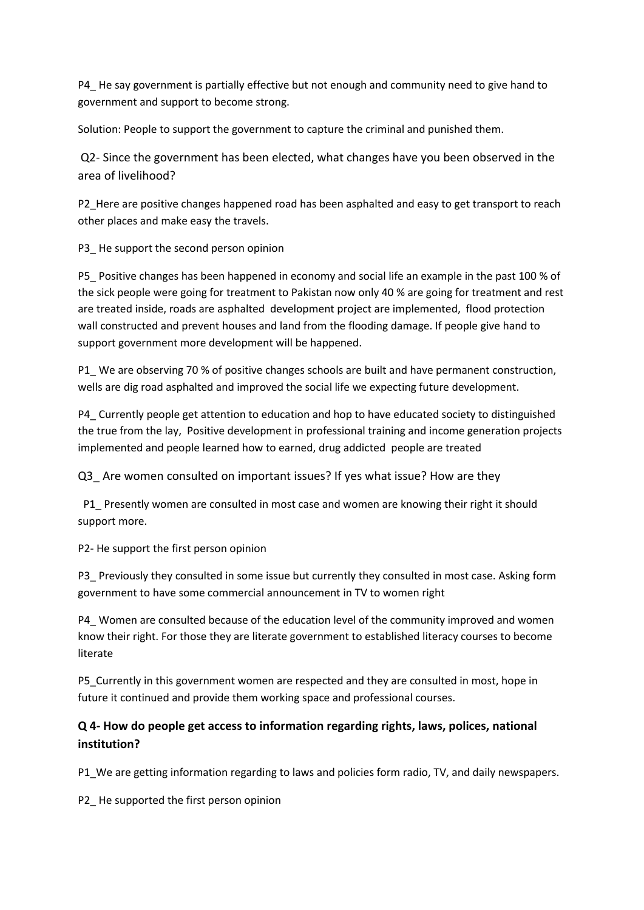P4 He say government is partially effective but not enough and community need to give hand to government and support to become strong.

Solution: People to support the government to capture the criminal and punished them.

Q2- Since the government has been elected, what changes have you been observed in the area of livelihood?

P2\_Here are positive changes happened road has been asphalted and easy to get transport to reach other places and make easy the travels.

P3 He support the second person opinion

P5 Positive changes has been happened in economy and social life an example in the past 100 % of the sick people were going for treatment to Pakistan now only 40 % are going for treatment and rest are treated inside, roads are asphalted development project are implemented, flood protection wall constructed and prevent houses and land from the flooding damage. If people give hand to support government more development will be happened.

P1 We are observing 70 % of positive changes schools are built and have permanent construction, wells are dig road asphalted and improved the social life we expecting future development.

P4\_ Currently people get attention to education and hop to have educated society to distinguished the true from the lay, Positive development in professional training and income generation projects implemented and people learned how to earned, drug addicted people are treated

Q3\_ Are women consulted on important issues? If yes what issue? How are they

P1 Presently women are consulted in most case and women are knowing their right it should support more.

P2- He support the first person opinion

P3\_ Previously they consulted in some issue but currently they consulted in most case. Asking form government to have some commercial announcement in TV to women right

P4\_ Women are consulted because of the education level of the community improved and women know their right. For those they are literate government to established literacy courses to become literate

P5\_Currently in this government women are respected and they are consulted in most, hope in future it continued and provide them working space and professional courses.

# **Q 4- How do people get access to information regarding rights, laws, polices, national institution?**

P1 We are getting information regarding to laws and policies form radio, TV, and daily newspapers.

P2\_ He supported the first person opinion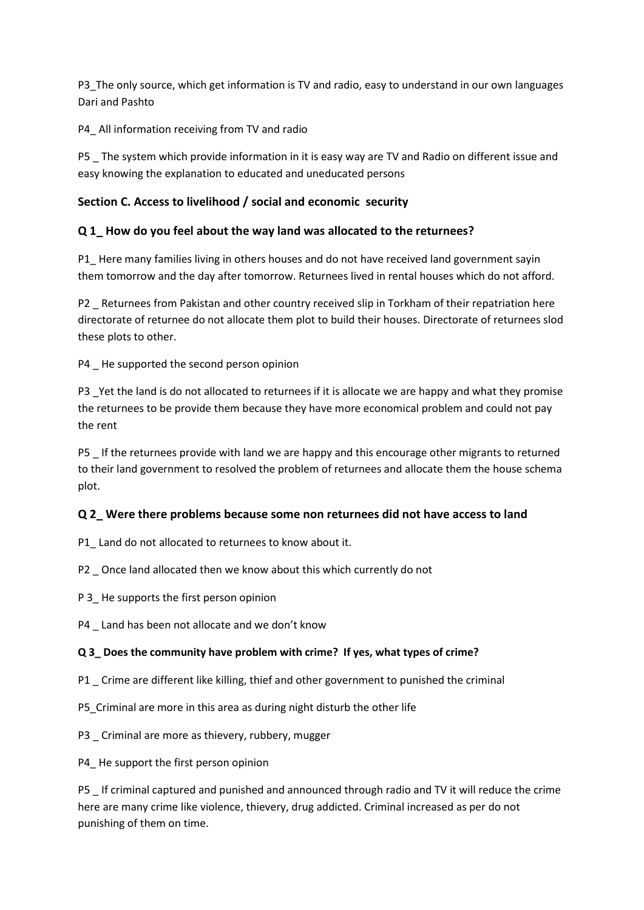P3 The only source, which get information is TV and radio, easy to understand in our own languages Dari and Pashto

P4\_ All information receiving from TV and radio

P5 The system which provide information in it is easy way are TV and Radio on different issue and easy knowing the explanation to educated and uneducated persons

## **Section C. Access to livelihood / social and economic security**

## **Q 1\_ How do you feel about the way land was allocated to the returnees?**

P1 Here many families living in others houses and do not have received land government sayin them tomorrow and the day after tomorrow. Returnees lived in rental houses which do not afford.

P2 Returnees from Pakistan and other country received slip in Torkham of their repatriation here directorate of returnee do not allocate them plot to build their houses. Directorate of returnees slod these plots to other.

P4 He supported the second person opinion

P3 \_Yet the land is do not allocated to returnees if it is allocate we are happy and what they promise the returnees to be provide them because they have more economical problem and could not pay the rent

P5 \_ If the returnees provide with land we are happy and this encourage other migrants to returned to their land government to resolved the problem of returnees and allocate them the house schema plot.

## **Q 2\_ Were there problems because some non returnees did not have access to land**

P1 Land do not allocated to returnees to know about it.

P2 \_ Once land allocated then we know about this which currently do not

P 3 He supports the first person opinion

P4 Land has been not allocate and we don't know

#### **Q 3\_ Does the community have problem with crime? If yes, what types of crime?**

P1 Crime are different like killing, thief and other government to punished the criminal

P5\_Criminal are more in this area as during night disturb the other life

P3 Criminal are more as thievery, rubbery, mugger

P4 He support the first person opinion

P5 \_ If criminal captured and punished and announced through radio and TV it will reduce the crime here are many crime like violence, thievery, drug addicted. Criminal increased as per do not punishing of them on time.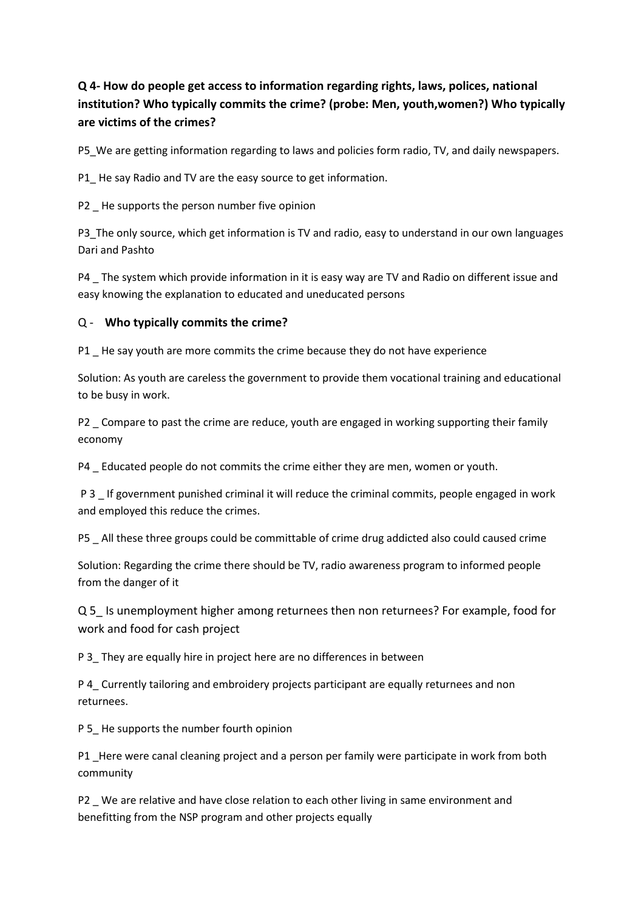# **Q 4- How do people get access to information regarding rights, laws, polices, national institution? Who typically commits the crime? (probe: Men, youth,women?) Who typically are victims of the crimes?**

P5 We are getting information regarding to laws and policies form radio, TV, and daily newspapers.

P1\_ He say Radio and TV are the easy source to get information.

P2 \_ He supports the person number five opinion

P3 The only source, which get information is TV and radio, easy to understand in our own languages Dari and Pashto

P4 The system which provide information in it is easy way are TV and Radio on different issue and easy knowing the explanation to educated and uneducated persons

## Q - **Who typically commits the crime?**

P1 \_ He say youth are more commits the crime because they do not have experience

Solution: As youth are careless the government to provide them vocational training and educational to be busy in work.

P2 \_ Compare to past the crime are reduce, youth are engaged in working supporting their family economy

P4 \_ Educated people do not commits the crime either they are men, women or youth.

P 3 If government punished criminal it will reduce the criminal commits, people engaged in work and employed this reduce the crimes.

P5 \_ All these three groups could be committable of crime drug addicted also could caused crime

Solution: Regarding the crime there should be TV, radio awareness program to informed people from the danger of it

Q 5\_ Is unemployment higher among returnees then non returnees? For example, food for work and food for cash project

P 3 They are equally hire in project here are no differences in between

P 4\_ Currently tailoring and embroidery projects participant are equally returnees and non returnees.

P 5 He supports the number fourth opinion

P1 Here were canal cleaning project and a person per family were participate in work from both community

P2 \_ We are relative and have close relation to each other living in same environment and benefitting from the NSP program and other projects equally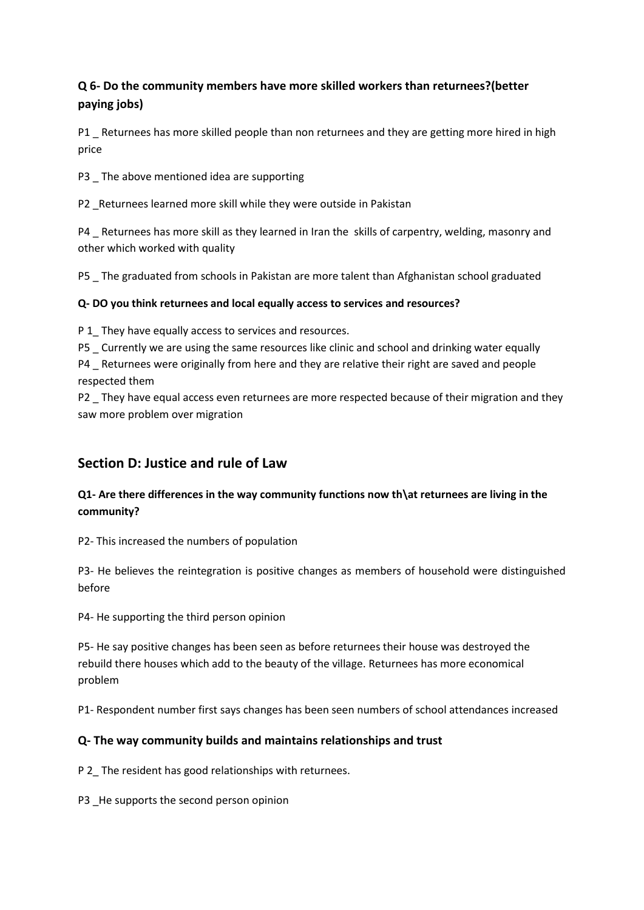# **Q 6- Do the community members have more skilled workers than returnees?(better paying jobs)**

P1 Returnees has more skilled people than non returnees and they are getting more hired in high price

P3 The above mentioned idea are supporting

P2 \_Returnees learned more skill while they were outside in Pakistan

P4 \_ Returnees has more skill as they learned in Iran the skills of carpentry, welding, masonry and other which worked with quality

P5 \_ The graduated from schools in Pakistan are more talent than Afghanistan school graduated

# **Q- DO you think returnees and local equally access to services and resources?**

P 1\_ They have equally access to services and resources.

P5 \_ Currently we are using the same resources like clinic and school and drinking water equally

P4 Returnees were originally from here and they are relative their right are saved and people respected them

P2 They have equal access even returnees are more respected because of their migration and they saw more problem over migration

# **Section D: Justice and rule of Law**

# **Q1- Are there differences in the way community functions now th\at returnees are living in the community?**

P2- This increased the numbers of population

P3- He believes the reintegration is positive changes as members of household were distinguished before

P4- He supporting the third person opinion

P5- He say positive changes has been seen as before returnees their house was destroyed the rebuild there houses which add to the beauty of the village. Returnees has more economical problem

P1- Respondent number first says changes has been seen numbers of school attendances increased

# **Q- The way community builds and maintains relationships and trust**

P 2\_ The resident has good relationships with returnees.

P3 He supports the second person opinion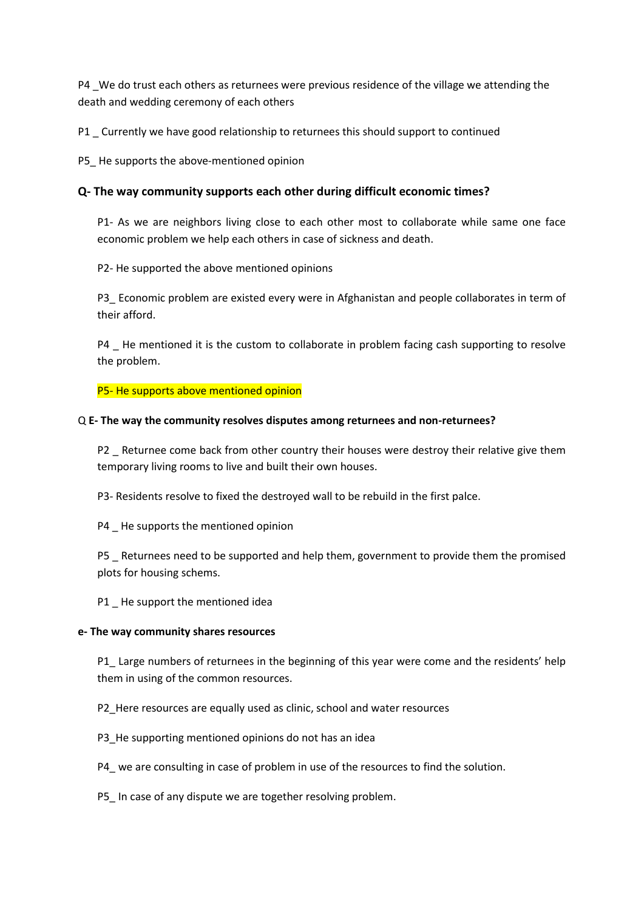P4 We do trust each others as returnees were previous residence of the village we attending the death and wedding ceremony of each others

P1 Currently we have good relationship to returnees this should support to continued

P5\_ He supports the above-mentioned opinion

### **Q- The way community supports each other during difficult economic times?**

P1- As we are neighbors living close to each other most to collaborate while same one face economic problem we help each others in case of sickness and death.

P2- He supported the above mentioned opinions

P3\_ Economic problem are existed every were in Afghanistan and people collaborates in term of their afford.

P4 \_ He mentioned it is the custom to collaborate in problem facing cash supporting to resolve the problem.

P5- He supports above mentioned opinion

#### Q **E- The way the community resolves disputes among returnees and non-returnees?**

P2 Returnee come back from other country their houses were destroy their relative give them temporary living rooms to live and built their own houses.

P3- Residents resolve to fixed the destroyed wall to be rebuild in the first palce.

P4 He supports the mentioned opinion

P5 \_ Returnees need to be supported and help them, government to provide them the promised plots for housing schems.

P1 He support the mentioned idea

#### **e- The way community shares resources**

P1 Large numbers of returnees in the beginning of this year were come and the residents' help them in using of the common resources.

- P2\_Here resources are equally used as clinic, school and water resources
- P3 He supporting mentioned opinions do not has an idea
- P4\_ we are consulting in case of problem in use of the resources to find the solution.
- P5 In case of any dispute we are together resolving problem.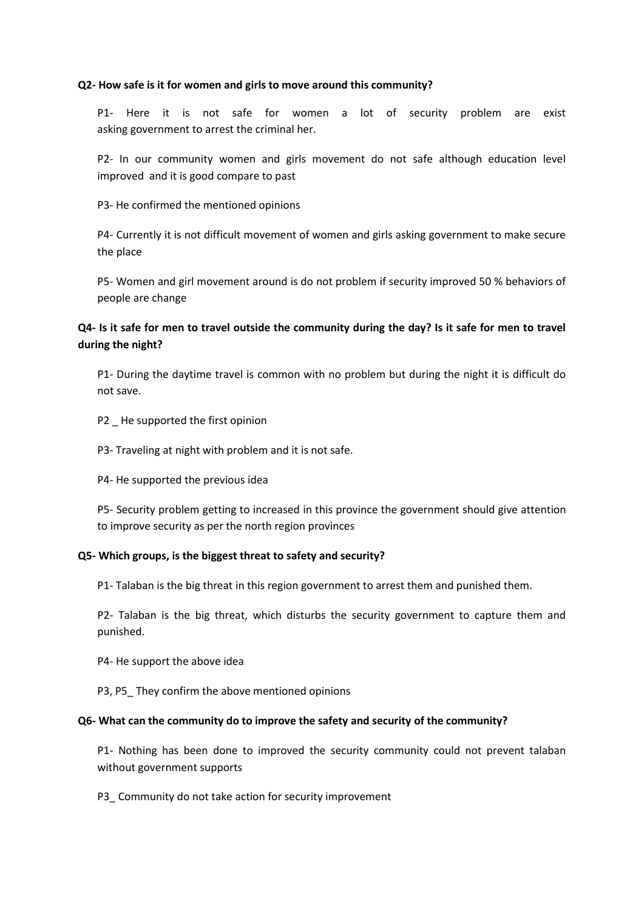#### **Q2- How safe is it for women and girls to move around this community?**

P1- Here it is not safe for women a lot of security problem are exist asking government to arrest the criminal her.

P2- In our community women and girls movement do not safe although education level improved and it is good compare to past

P3- He confirmed the mentioned opinions

P4- Currently it is not difficult movement of women and girls asking government to make secure the place

P5- Women and girl movement around is do not problem if security improved 50 % behaviors of people are change

# **Q4- Is it safe for men to travel outside the community during the day? Is it safe for men to travel during the night?**

P1- During the daytime travel is common with no problem but during the night it is difficult do not save.

- P2 He supported the first opinion
- P3- Traveling at night with problem and it is not safe.
- P4- He supported the previous idea

P5- Security problem getting to increased in this province the government should give attention to improve security as per the north region provinces

#### **Q5- Which groups, is the biggest threat to safety and security?**

P1- Talaban is the big threat in this region government to arrest them and punished them.

P2- Talaban is the big threat, which disturbs the security government to capture them and punished.

P4- He support the above idea

P3, P5\_ They confirm the above mentioned opinions

#### **Q6- What can the community do to improve the safety and security of the community?**

P1- Nothing has been done to improved the security community could not prevent talaban without government supports

#### P3 Community do not take action for security improvement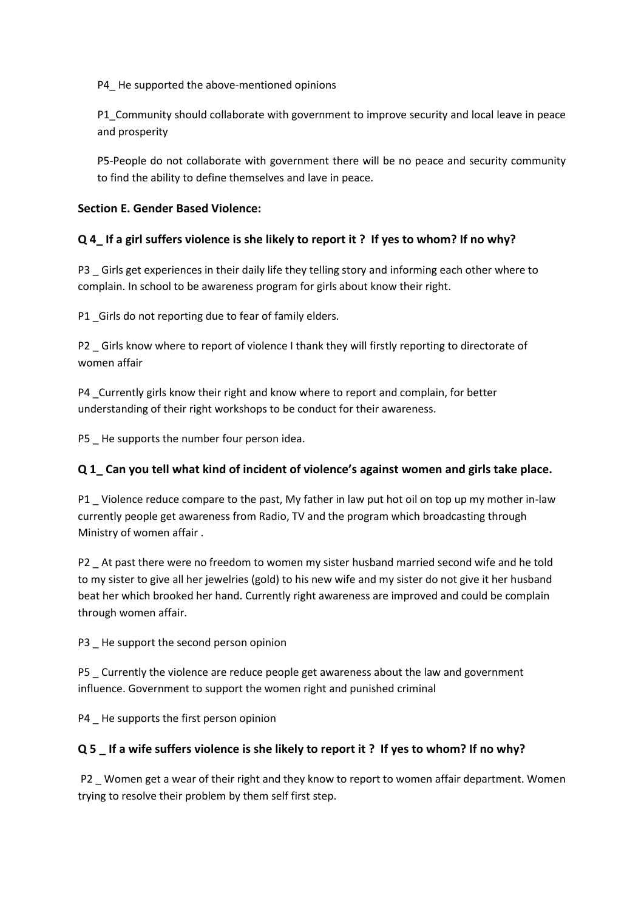P4 He supported the above-mentioned opinions

P1\_Community should collaborate with government to improve security and local leave in peace and prosperity

P5-People do not collaborate with government there will be no peace and security community to find the ability to define themselves and lave in peace.

# **Section E. Gender Based Violence:**

# **Q 4\_ If a girl suffers violence is she likely to report it ? If yes to whom? If no why?**

P3 Girls get experiences in their daily life they telling story and informing each other where to complain. In school to be awareness program for girls about know their right.

P1 Girls do not reporting due to fear of family elders.

P2 \_ Girls know where to report of violence I thank they will firstly reporting to directorate of women affair

P4 Currently girls know their right and know where to report and complain, for better understanding of their right workshops to be conduct for their awareness.

P5 He supports the number four person idea.

# **Q 1\_ Can you tell what kind of incident of violence's against women and girls take place.**

P1 Violence reduce compare to the past, My father in law put hot oil on top up my mother in-law currently people get awareness from Radio, TV and the program which broadcasting through Ministry of women affair .

P2 \_ At past there were no freedom to women my sister husband married second wife and he told to my sister to give all her jewelries (gold) to his new wife and my sister do not give it her husband beat her which brooked her hand. Currently right awareness are improved and could be complain through women affair.

P3 He support the second person opinion

P5 Currently the violence are reduce people get awareness about the law and government influence. Government to support the women right and punished criminal

P4 He supports the first person opinion

# **Q 5 \_ If a wife suffers violence is she likely to report it ? If yes to whom? If no why?**

P2 \_ Women get a wear of their right and they know to report to women affair department. Women trying to resolve their problem by them self first step.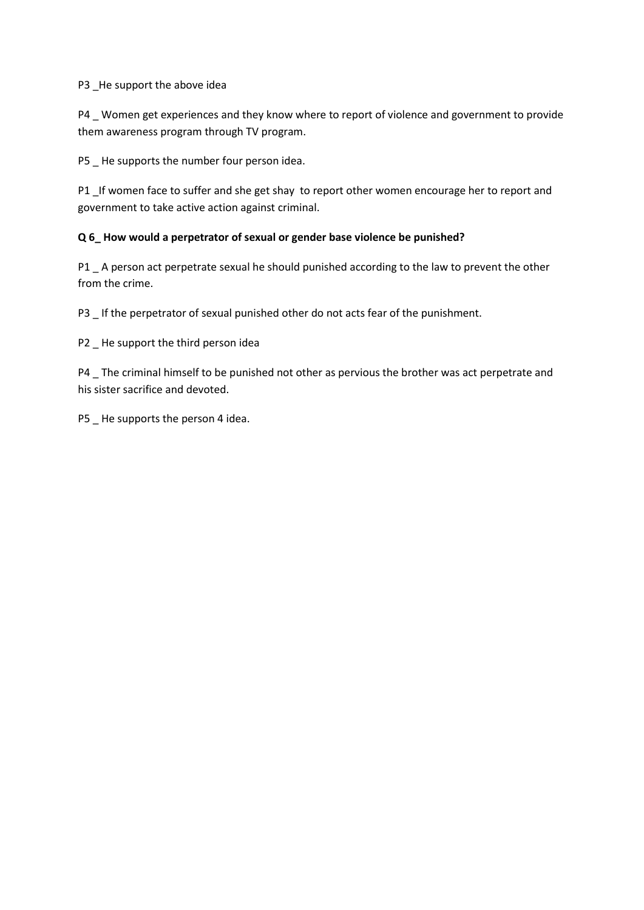P3 \_He support the above idea

P4 Women get experiences and they know where to report of violence and government to provide them awareness program through TV program.

P5 \_ He supports the number four person idea.

P1 \_If women face to suffer and she get shay to report other women encourage her to report and government to take active action against criminal.

### **Q 6\_ How would a perpetrator of sexual or gender base violence be punished?**

P1 \_ A person act perpetrate sexual he should punished according to the law to prevent the other from the crime.

P3 If the perpetrator of sexual punished other do not acts fear of the punishment.

P2 \_ He support the third person idea

P4 \_ The criminal himself to be punished not other as pervious the brother was act perpetrate and his sister sacrifice and devoted.

P5 \_ He supports the person 4 idea.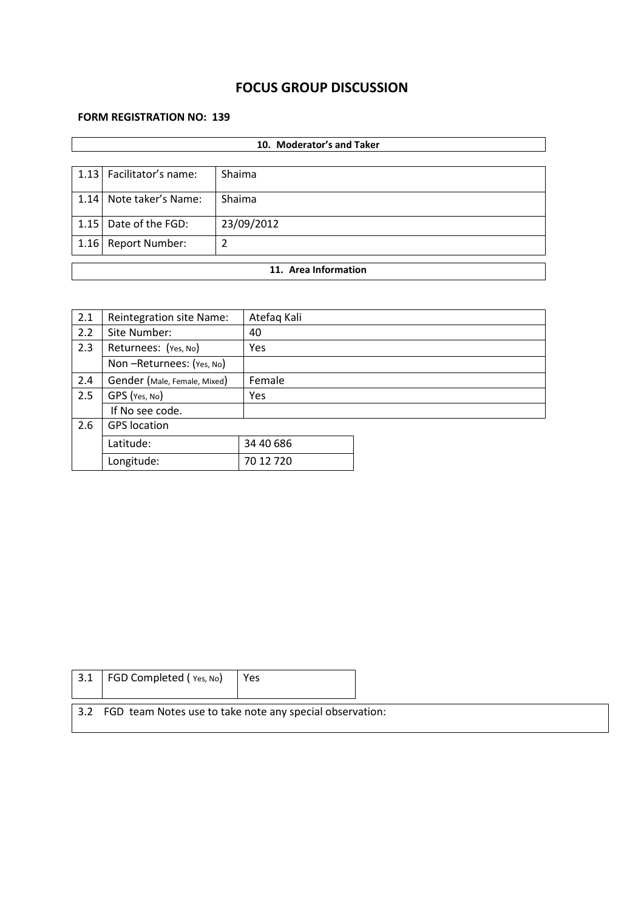# **FOCUS GROUP DISCUSSION**

### **FORM REGISTRATION NO: 139**

| 10. Moderator's and Taker |                          |            |  |  |  |  |  |
|---------------------------|--------------------------|------------|--|--|--|--|--|
|                           |                          |            |  |  |  |  |  |
|                           | 1.13 Facilitator's name: | Shaima     |  |  |  |  |  |
|                           | 1.14 Note taker's Name:  | Shaima     |  |  |  |  |  |
| 1.15                      | Date of the FGD:         | 23/09/2012 |  |  |  |  |  |
| 1.16                      | <b>Report Number:</b>    | 2          |  |  |  |  |  |
| 11. Area Information      |                          |            |  |  |  |  |  |
|                           |                          |            |  |  |  |  |  |

| 2.1 | Reintegration site Name:     | Atefaq Kali |  |
|-----|------------------------------|-------------|--|
| 2.2 | Site Number:                 | 40          |  |
| 2.3 | Returnees: (Yes, No)         | <b>Yes</b>  |  |
|     | Non-Returnees: (Yes, No)     |             |  |
| 2.4 | Gender (Male, Female, Mixed) | Female      |  |
| 2.5 | GPS (Yes, No)                | Yes         |  |
|     | If No see code.              |             |  |
| 2.6 | <b>GPS</b> location          |             |  |
|     | Latitude:                    | 34 40 686   |  |
|     | Longitude:                   | 70 12 720   |  |

| $\vert$ 3.1 FGD Completed (Yes, No)                          | Yes |  |
|--------------------------------------------------------------|-----|--|
| 3.2 FGD team Notes use to take note any special observation: |     |  |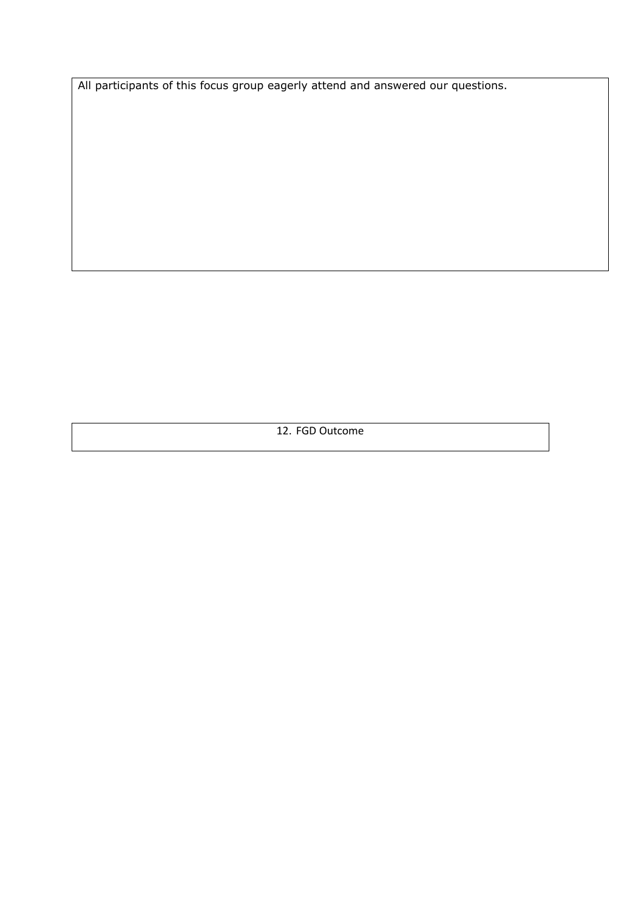All participants of this focus group eagerly attend and answered our questions.

12. FGD Outcome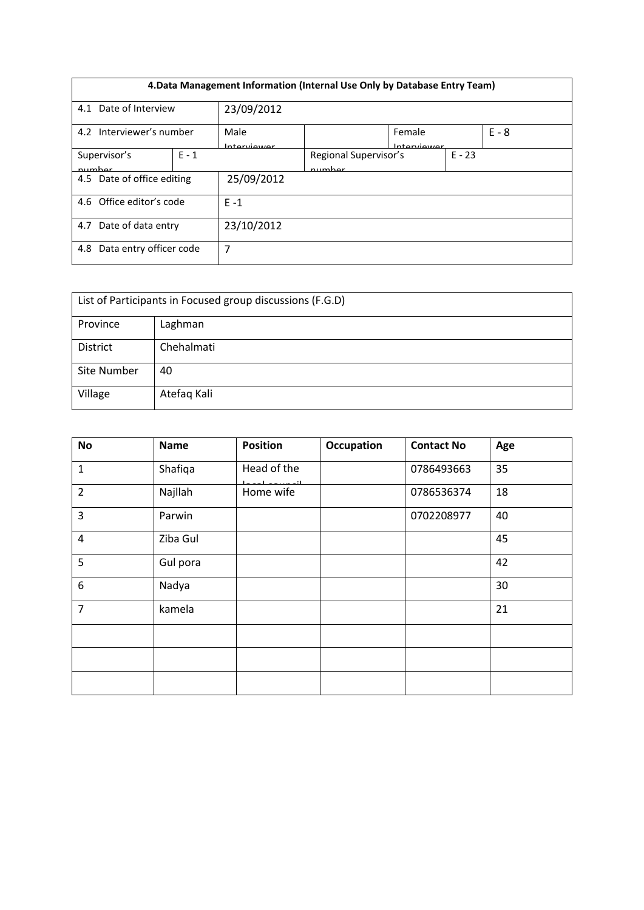| 4. Data Management Information (Internal Use Only by Database Entry Team) |         |                     |                                 |                       |          |         |  |
|---------------------------------------------------------------------------|---------|---------------------|---------------------------------|-----------------------|----------|---------|--|
| 23/09/2012<br>Date of Interview<br>4.1                                    |         |                     |                                 |                       |          |         |  |
| 4.2 Interviewer's number                                                  |         | Male<br>Interviewer |                                 | Female<br>Interviewer |          | $F - 8$ |  |
| Supervisor's<br>numhar                                                    | $E - 1$ |                     | Regional Supervisor's<br>numhar |                       | $E - 23$ |         |  |
| 4.5 Date of office editing                                                |         | 25/09/2012          |                                 |                       |          |         |  |
| 4.6 Office editor's code                                                  |         | $E - 1$             |                                 |                       |          |         |  |
| Date of data entry<br>4.7                                                 |         | 23/10/2012          |                                 |                       |          |         |  |
| Data entry officer code<br>4.8                                            |         | 7                   |                                 |                       |          |         |  |

| List of Participants in Focused group discussions (F.G.D) |             |  |  |  |  |
|-----------------------------------------------------------|-------------|--|--|--|--|
| Province                                                  | Laghman     |  |  |  |  |
| <b>District</b>                                           | Chehalmati  |  |  |  |  |
| Site Number                                               | 40          |  |  |  |  |
| Village                                                   | Atefaq Kali |  |  |  |  |

| <b>No</b>        | <b>Name</b> | <b>Position</b> | <b>Occupation</b> | <b>Contact No</b> | Age |
|------------------|-------------|-----------------|-------------------|-------------------|-----|
| $\mathbf 1$      | Shafiqa     | Head of the     |                   | 0786493663        | 35  |
| $\overline{2}$   | Najllah     | Home wife       |                   | 0786536374        | 18  |
| 3                | Parwin      |                 |                   | 0702208977        | 40  |
| $\overline{4}$   | Ziba Gul    |                 |                   |                   | 45  |
| 5                | Gul pora    |                 |                   |                   | 42  |
| $\boldsymbol{6}$ | Nadya       |                 |                   |                   | 30  |
| $\overline{7}$   | kamela      |                 |                   |                   | 21  |
|                  |             |                 |                   |                   |     |
|                  |             |                 |                   |                   |     |
|                  |             |                 |                   |                   |     |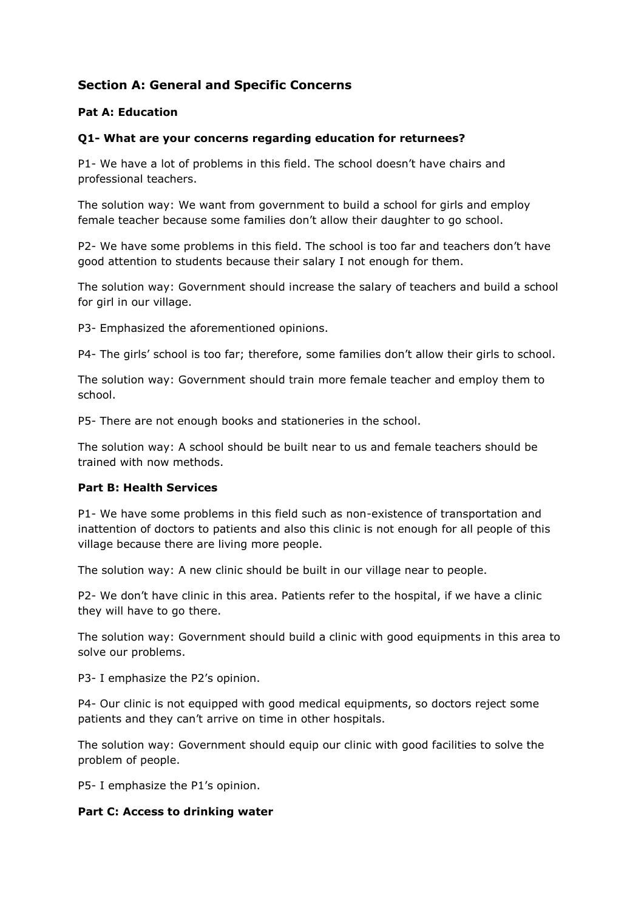# **Section A: General and Specific Concerns**

### **Pat A: Education**

#### **Q1- What are your concerns regarding education for returnees?**

P1- We have a lot of problems in this field. The school doesn't have chairs and professional teachers.

The solution way: We want from government to build a school for girls and employ female teacher because some families don't allow their daughter to go school.

P2- We have some problems in this field. The school is too far and teachers don't have good attention to students because their salary I not enough for them.

The solution way: Government should increase the salary of teachers and build a school for girl in our village.

P3- Emphasized the aforementioned opinions.

P4- The girls' school is too far; therefore, some families don't allow their girls to school.

The solution way: Government should train more female teacher and employ them to school.

P5- There are not enough books and stationeries in the school.

The solution way: A school should be built near to us and female teachers should be trained with now methods.

#### **Part B: Health Services**

P1- We have some problems in this field such as non-existence of transportation and inattention of doctors to patients and also this clinic is not enough for all people of this village because there are living more people.

The solution way: A new clinic should be built in our village near to people.

P2- We don't have clinic in this area. Patients refer to the hospital, if we have a clinic they will have to go there.

The solution way: Government should build a clinic with good equipments in this area to solve our problems.

P3- I emphasize the P2's opinion.

P4- Our clinic is not equipped with good medical equipments, so doctors reject some patients and they can't arrive on time in other hospitals.

The solution way: Government should equip our clinic with good facilities to solve the problem of people.

P5- I emphasize the P1's opinion.

#### **Part C: Access to drinking water**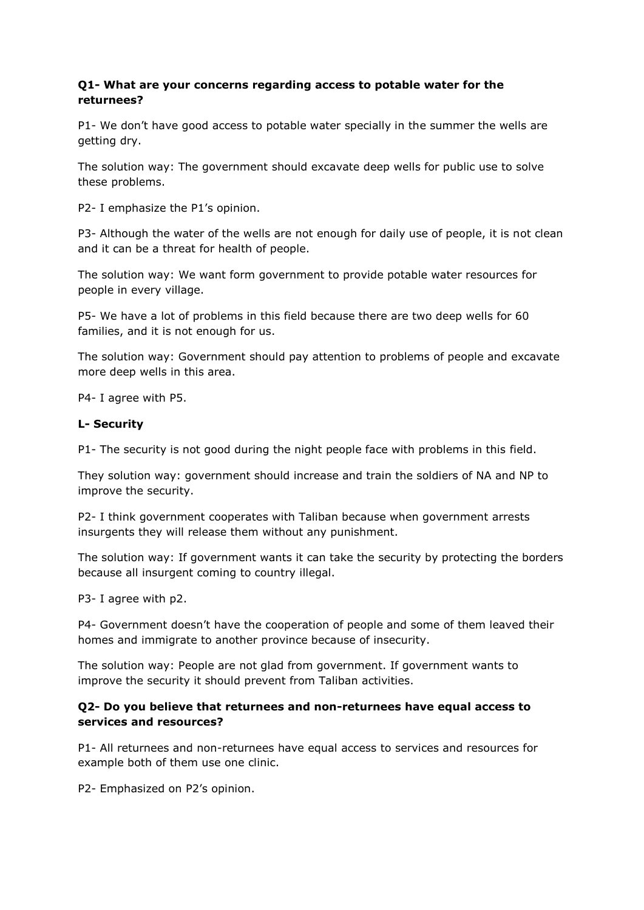### **Q1- What are your concerns regarding access to potable water for the returnees?**

P1- We don't have good access to potable water specially in the summer the wells are getting dry.

The solution way: The government should excavate deep wells for public use to solve these problems.

P2- I emphasize the P1's opinion.

P3- Although the water of the wells are not enough for daily use of people, it is not clean and it can be a threat for health of people.

The solution way: We want form government to provide potable water resources for people in every village.

P5- We have a lot of problems in this field because there are two deep wells for 60 families, and it is not enough for us.

The solution way: Government should pay attention to problems of people and excavate more deep wells in this area.

P4- I agree with P5.

#### **L- Security**

P1- The security is not good during the night people face with problems in this field.

They solution way: government should increase and train the soldiers of NA and NP to improve the security.

P2- I think government cooperates with Taliban because when government arrests insurgents they will release them without any punishment.

The solution way: If government wants it can take the security by protecting the borders because all insurgent coming to country illegal.

P3- I agree with p2.

P4- Government doesn't have the cooperation of people and some of them leaved their homes and immigrate to another province because of insecurity.

The solution way: People are not glad from government. If government wants to improve the security it should prevent from Taliban activities.

### **Q2- Do you believe that returnees and non-returnees have equal access to services and resources?**

P1- All returnees and non-returnees have equal access to services and resources for example both of them use one clinic.

P2- Emphasized on P2's opinion.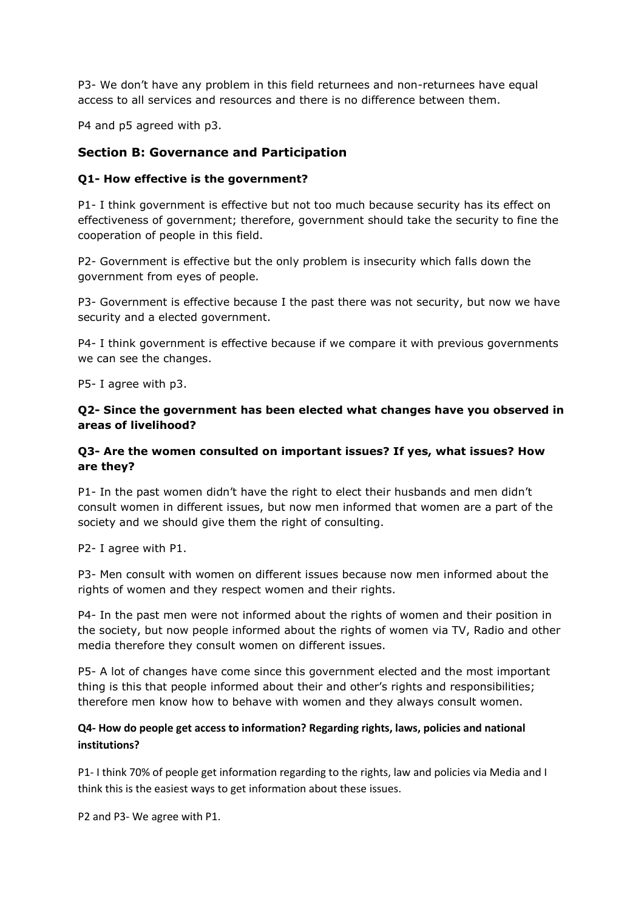P3- We don't have any problem in this field returnees and non-returnees have equal access to all services and resources and there is no difference between them.

P4 and p5 agreed with p3.

# **Section B: Governance and Participation**

### **Q1- How effective is the government?**

P1- I think government is effective but not too much because security has its effect on effectiveness of government; therefore, government should take the security to fine the cooperation of people in this field.

P2- Government is effective but the only problem is insecurity which falls down the government from eyes of people.

P3- Government is effective because I the past there was not security, but now we have security and a elected government.

P4- I think government is effective because if we compare it with previous governments we can see the changes.

P5- I agree with p3.

## **Q2- Since the government has been elected what changes have you observed in areas of livelihood?**

### **Q3- Are the women consulted on important issues? If yes, what issues? How are they?**

P1- In the past women didn't have the right to elect their husbands and men didn't consult women in different issues, but now men informed that women are a part of the society and we should give them the right of consulting.

P2- I agree with P1.

P3- Men consult with women on different issues because now men informed about the rights of women and they respect women and their rights.

P4- In the past men were not informed about the rights of women and their position in the society, but now people informed about the rights of women via TV, Radio and other media therefore they consult women on different issues.

P5- A lot of changes have come since this government elected and the most important thing is this that people informed about their and other's rights and responsibilities; therefore men know how to behave with women and they always consult women.

### **Q4- How do people get access to information? Regarding rights, laws, policies and national institutions?**

P1- I think 70% of people get information regarding to the rights, law and policies via Media and I think this is the easiest ways to get information about these issues.

P2 and P3- We agree with P1.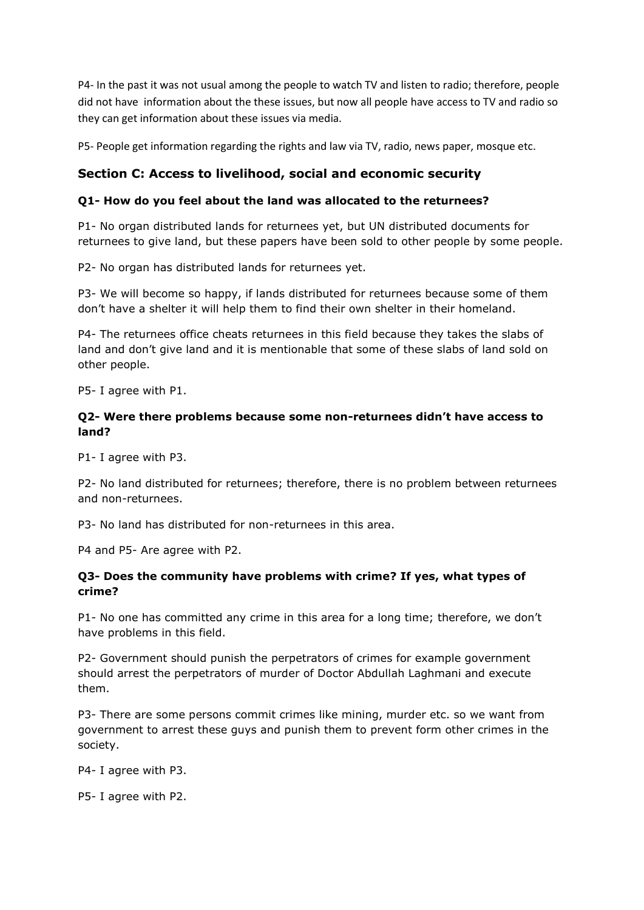P4- In the past it was not usual among the people to watch TV and listen to radio; therefore, people did not have information about the these issues, but now all people have access to TV and radio so they can get information about these issues via media.

P5- People get information regarding the rights and law via TV, radio, news paper, mosque etc.

# **Section C: Access to livelihood, social and economic security**

# **Q1- How do you feel about the land was allocated to the returnees?**

P1- No organ distributed lands for returnees yet, but UN distributed documents for returnees to give land, but these papers have been sold to other people by some people.

P2- No organ has distributed lands for returnees yet.

P3- We will become so happy, if lands distributed for returnees because some of them don't have a shelter it will help them to find their own shelter in their homeland.

P4- The returnees office cheats returnees in this field because they takes the slabs of land and don't give land and it is mentionable that some of these slabs of land sold on other people.

P5- I agree with P1.

## **Q2- Were there problems because some non-returnees didn't have access to land?**

P1- I agree with P3.

P2- No land distributed for returnees; therefore, there is no problem between returnees and non-returnees.

P3- No land has distributed for non-returnees in this area.

P4 and P5- Are agree with P2.

### **Q3- Does the community have problems with crime? If yes, what types of crime?**

P1- No one has committed any crime in this area for a long time; therefore, we don't have problems in this field.

P2- Government should punish the perpetrators of crimes for example government should arrest the perpetrators of murder of Doctor Abdullah Laghmani and execute them.

P3- There are some persons commit crimes like mining, murder etc. so we want from government to arrest these guys and punish them to prevent form other crimes in the society.

P4- I agree with P3.

P5- I agree with P2.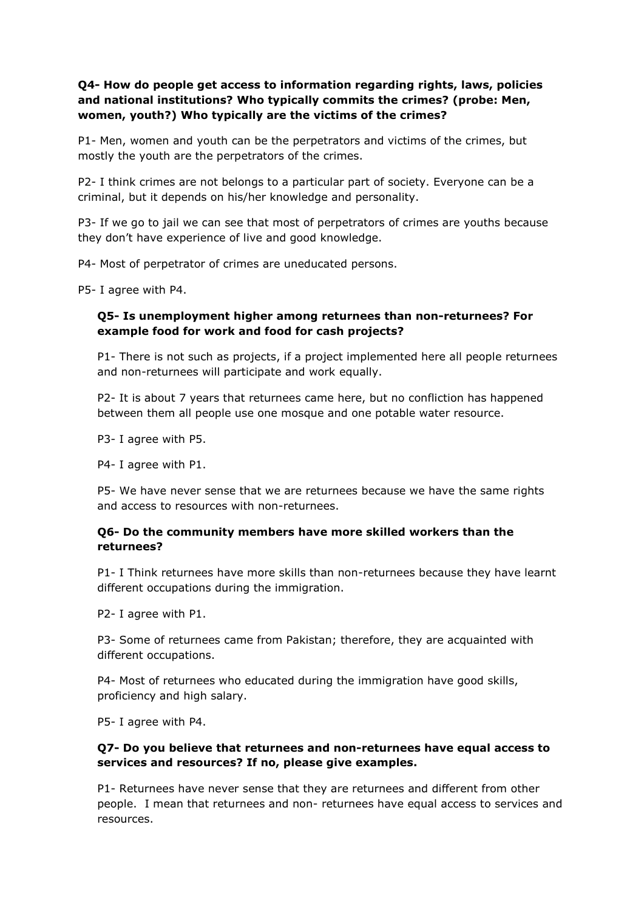# **Q4- How do people get access to information regarding rights, laws, policies and national institutions? Who typically commits the crimes? (probe: Men, women, youth?) Who typically are the victims of the crimes?**

P1- Men, women and youth can be the perpetrators and victims of the crimes, but mostly the youth are the perpetrators of the crimes.

P2- I think crimes are not belongs to a particular part of society. Everyone can be a criminal, but it depends on his/her knowledge and personality.

P3- If we go to jail we can see that most of perpetrators of crimes are youths because they don't have experience of live and good knowledge.

P4- Most of perpetrator of crimes are uneducated persons.

P5- I agree with P4.

# **Q5- Is unemployment higher among returnees than non-returnees? For example food for work and food for cash projects?**

P1- There is not such as projects, if a project implemented here all people returnees and non-returnees will participate and work equally.

P2- It is about 7 years that returnees came here, but no confliction has happened between them all people use one mosque and one potable water resource.

P3- I agree with P5.

P4- I agree with P1.

P5- We have never sense that we are returnees because we have the same rights and access to resources with non-returnees.

### **Q6- Do the community members have more skilled workers than the returnees?**

P1- I Think returnees have more skills than non-returnees because they have learnt different occupations during the immigration.

P2- I agree with P1.

P3- Some of returnees came from Pakistan; therefore, they are acquainted with different occupations.

P4- Most of returnees who educated during the immigration have good skills, proficiency and high salary.

P5- I agree with P4.

### **Q7- Do you believe that returnees and non-returnees have equal access to services and resources? If no, please give examples.**

P1- Returnees have never sense that they are returnees and different from other people. I mean that returnees and non- returnees have equal access to services and resources.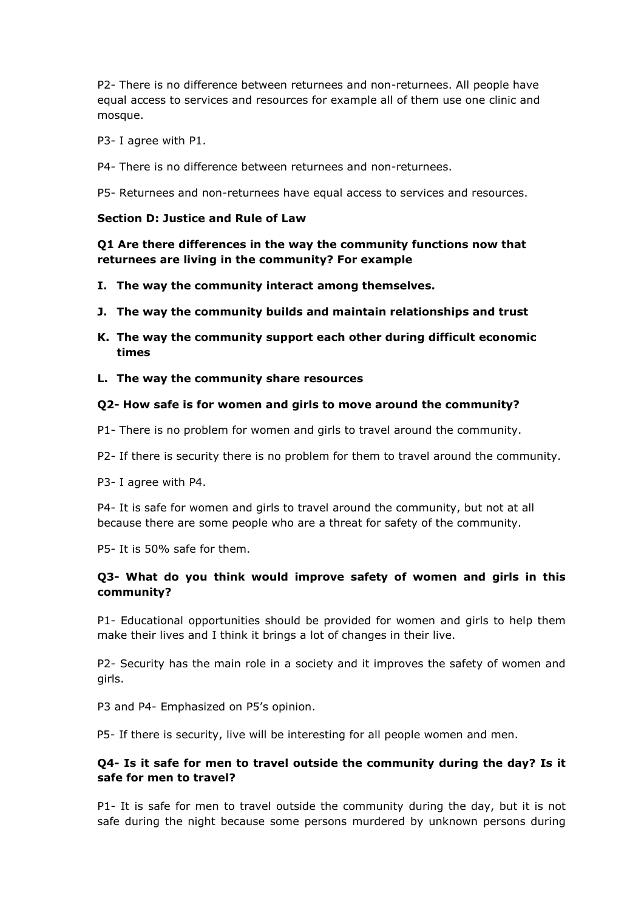P2- There is no difference between returnees and non-returnees. All people have equal access to services and resources for example all of them use one clinic and mosque.

- P3- I agree with P1.
- P4- There is no difference between returnees and non-returnees.

P5- Returnees and non-returnees have equal access to services and resources.

#### **Section D: Justice and Rule of Law**

**Q1 Are there differences in the way the community functions now that returnees are living in the community? For example**

- **I. The way the community interact among themselves.**
- **J. The way the community builds and maintain relationships and trust**
- **K. The way the community support each other during difficult economic times**
- **L. The way the community share resources**

#### **Q2- How safe is for women and girls to move around the community?**

- P1- There is no problem for women and girls to travel around the community.
- P2- If there is security there is no problem for them to travel around the community.
- P3- I agree with P4.

P4- It is safe for women and girls to travel around the community, but not at all because there are some people who are a threat for safety of the community.

P5- It is 50% safe for them.

# **Q3- What do you think would improve safety of women and girls in this community?**

P1- Educational opportunities should be provided for women and girls to help them make their lives and I think it brings a lot of changes in their live.

P2- Security has the main role in a society and it improves the safety of women and girls.

P3 and P4- Emphasized on P5's opinion.

P5- If there is security, live will be interesting for all people women and men.

## **Q4- Is it safe for men to travel outside the community during the day? Is it safe for men to travel?**

P1- It is safe for men to travel outside the community during the day, but it is not safe during the night because some persons murdered by unknown persons during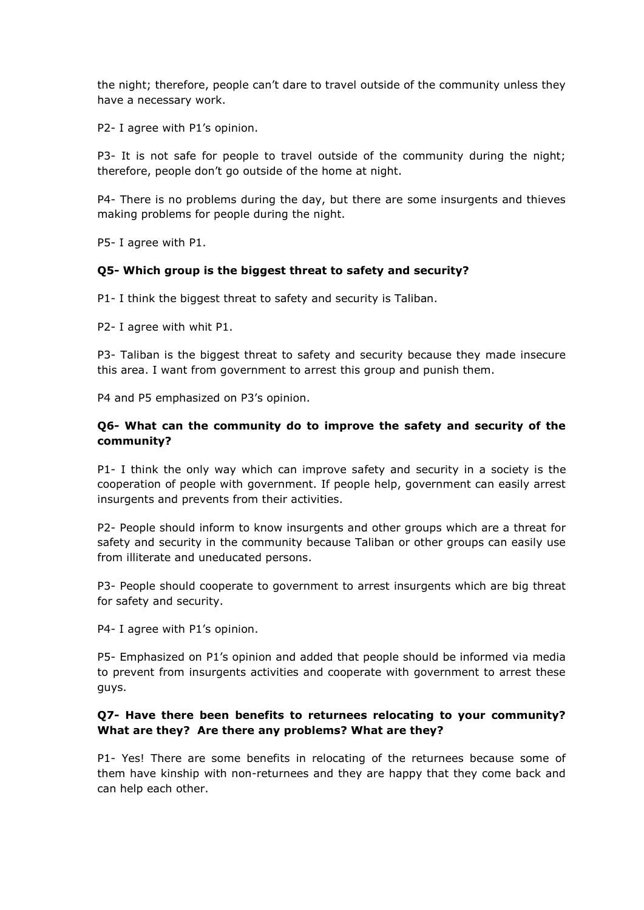the night; therefore, people can't dare to travel outside of the community unless they have a necessary work.

P2- I agree with P1's opinion.

P3- It is not safe for people to travel outside of the community during the night; therefore, people don't go outside of the home at night.

P4- There is no problems during the day, but there are some insurgents and thieves making problems for people during the night.

P5- I agree with P1.

#### **Q5- Which group is the biggest threat to safety and security?**

P1- I think the biggest threat to safety and security is Taliban.

P2- I agree with whit P1.

P3- Taliban is the biggest threat to safety and security because they made insecure this area. I want from government to arrest this group and punish them.

P4 and P5 emphasized on P3's opinion.

## **Q6- What can the community do to improve the safety and security of the community?**

P1- I think the only way which can improve safety and security in a society is the cooperation of people with government. If people help, government can easily arrest insurgents and prevents from their activities.

P2- People should inform to know insurgents and other groups which are a threat for safety and security in the community because Taliban or other groups can easily use from illiterate and uneducated persons.

P3- People should cooperate to government to arrest insurgents which are big threat for safety and security.

P4- I agree with P1's opinion.

P5- Emphasized on P1's opinion and added that people should be informed via media to prevent from insurgents activities and cooperate with government to arrest these guys.

### **Q7- Have there been benefits to returnees relocating to your community? What are they? Are there any problems? What are they?**

P1- Yes! There are some benefits in relocating of the returnees because some of them have kinship with non-returnees and they are happy that they come back and can help each other.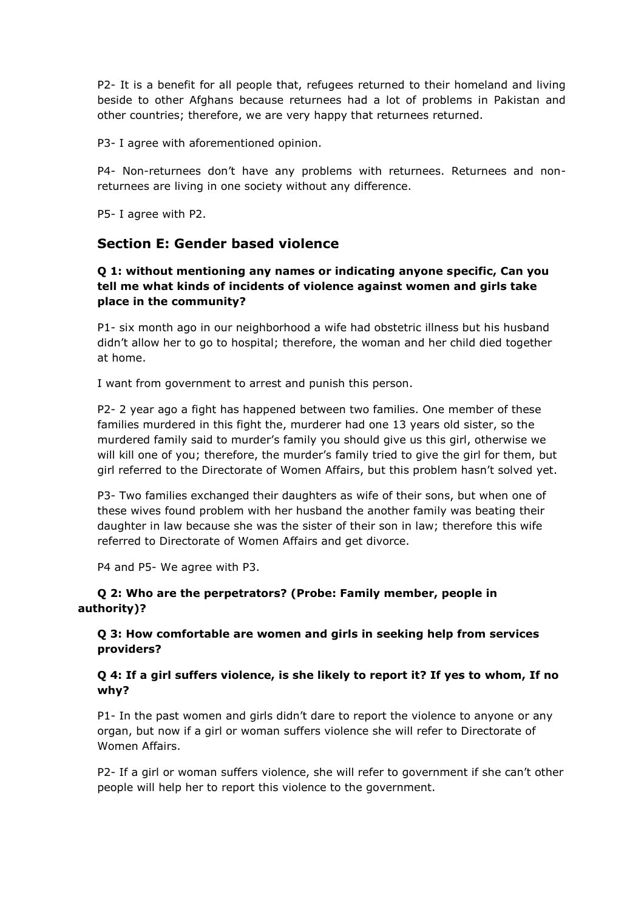P2- It is a benefit for all people that, refugees returned to their homeland and living beside to other Afghans because returnees had a lot of problems in Pakistan and other countries; therefore, we are very happy that returnees returned.

P3- I agree with aforementioned opinion.

P4- Non-returnees don't have any problems with returnees. Returnees and nonreturnees are living in one society without any difference.

P5- I agree with P2.

# **Section E: Gender based violence**

# **Q 1: without mentioning any names or indicating anyone specific, Can you tell me what kinds of incidents of violence against women and girls take place in the community?**

P1- six month ago in our neighborhood a wife had obstetric illness but his husband didn't allow her to go to hospital; therefore, the woman and her child died together at home.

I want from government to arrest and punish this person.

P2- 2 year ago a fight has happened between two families. One member of these families murdered in this fight the, murderer had one 13 years old sister, so the murdered family said to murder's family you should give us this girl, otherwise we will kill one of you; therefore, the murder's family tried to give the girl for them, but girl referred to the Directorate of Women Affairs, but this problem hasn't solved yet.

P3- Two families exchanged their daughters as wife of their sons, but when one of these wives found problem with her husband the another family was beating their daughter in law because she was the sister of their son in law; therefore this wife referred to Directorate of Women Affairs and get divorce.

P4 and P5- We agree with P3.

### **Q 2: Who are the perpetrators? (Probe: Family member, people in authority)?**

# **Q 3: How comfortable are women and girls in seeking help from services providers?**

# **Q 4: If a girl suffers violence, is she likely to report it? If yes to whom, If no why?**

P1- In the past women and girls didn't dare to report the violence to anyone or any organ, but now if a girl or woman suffers violence she will refer to Directorate of Women Affairs.

P2- If a girl or woman suffers violence, she will refer to government if she can't other people will help her to report this violence to the government.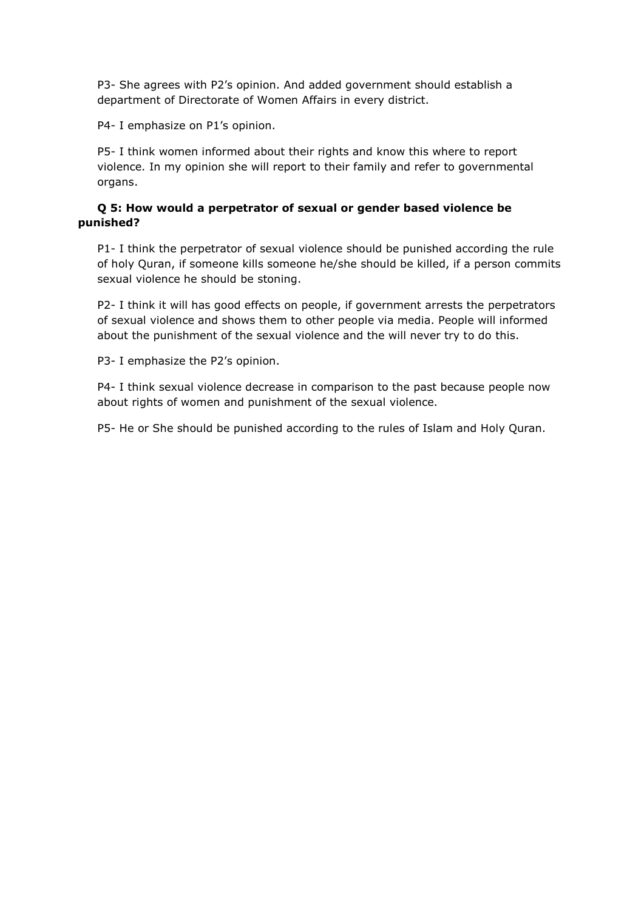P3- She agrees with P2's opinion. And added government should establish a department of Directorate of Women Affairs in every district.

P4- I emphasize on P1's opinion.

P5- I think women informed about their rights and know this where to report violence. In my opinion she will report to their family and refer to governmental organs.

# **Q 5: How would a perpetrator of sexual or gender based violence be punished?**

P1- I think the perpetrator of sexual violence should be punished according the rule of holy Quran, if someone kills someone he/she should be killed, if a person commits sexual violence he should be stoning.

P2- I think it will has good effects on people, if government arrests the perpetrators of sexual violence and shows them to other people via media. People will informed about the punishment of the sexual violence and the will never try to do this.

P3- I emphasize the P2's opinion.

P4- I think sexual violence decrease in comparison to the past because people now about rights of women and punishment of the sexual violence.

P5- He or She should be punished according to the rules of Islam and Holy Quran.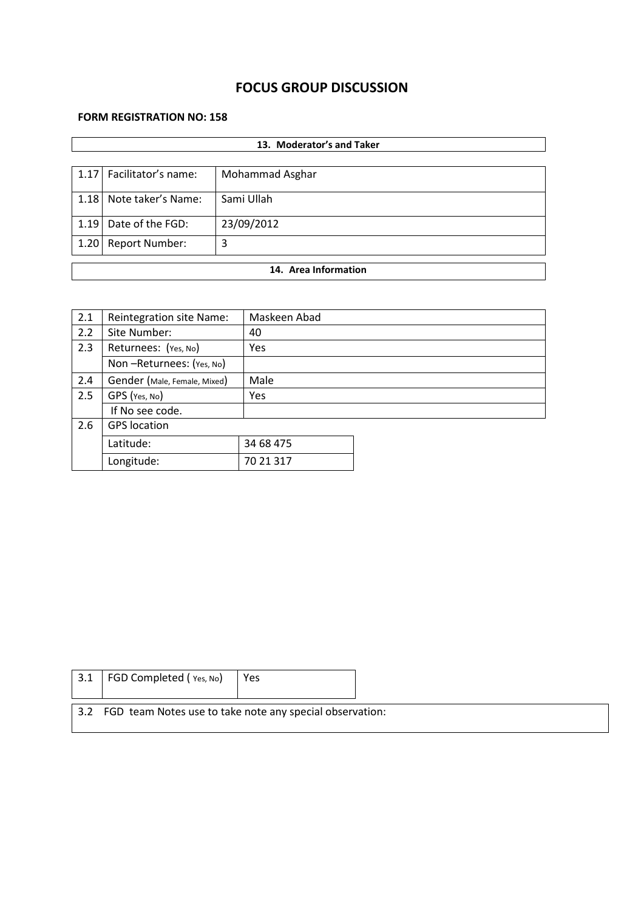# **FOCUS GROUP DISCUSSION**

# **FORM REGISTRATION NO: 158**

|                      | 13. Moderator's and Taker  |                 |  |  |  |  |
|----------------------|----------------------------|-----------------|--|--|--|--|
|                      |                            |                 |  |  |  |  |
| 1.17                 | Facilitator's name:        | Mohammad Asghar |  |  |  |  |
| 1.18                 | Note taker's Name:         | Sami Ullah      |  |  |  |  |
| 1.19                 | Date of the FGD:           | 23/09/2012      |  |  |  |  |
| 1.20                 | <b>Report Number:</b><br>3 |                 |  |  |  |  |
| 14. Area Information |                            |                 |  |  |  |  |
|                      |                            |                 |  |  |  |  |

| 2.1 | Reintegration site Name:     | Maskeen Abad |
|-----|------------------------------|--------------|
| 2.2 | Site Number:                 | 40           |
| 2.3 | Returnees: (Yes, No)         | Yes          |
|     | Non-Returnees: (Yes, No)     |              |
| 2.4 | Gender (Male, Female, Mixed) | Male         |
| 2.5 | GPS (Yes, No)                | Yes          |
|     | If No see code.              |              |
| 2.6 | <b>GPS</b> location          |              |
|     | Latitude:                    | 34 68 475    |
|     | Longitude:                   | 70 21 317    |

| 3.1 | FGD Completed (Yes, No)                                      | Yes |  |
|-----|--------------------------------------------------------------|-----|--|
|     | 3.2 FGD team Notes use to take note any special observation: |     |  |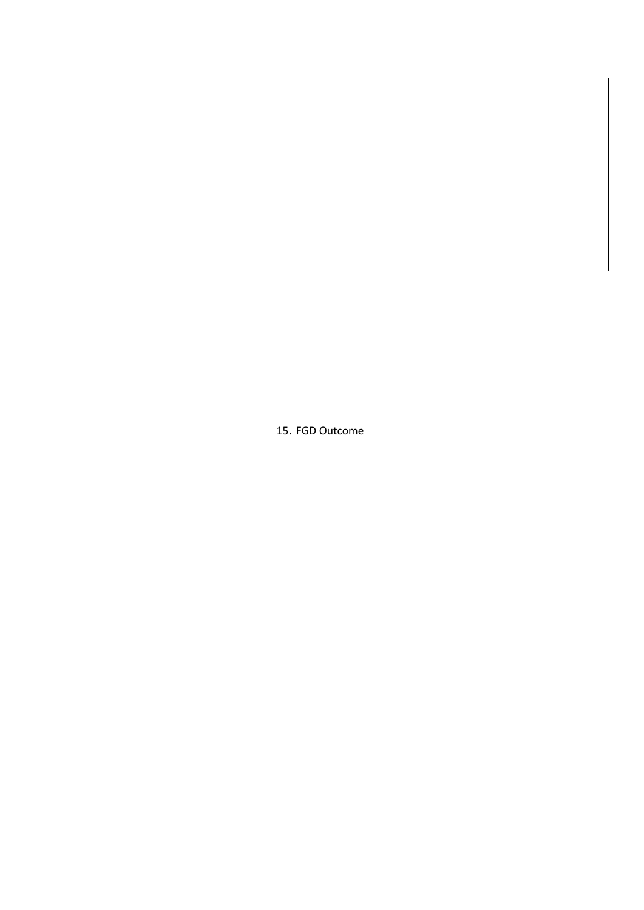15. FGD Outcome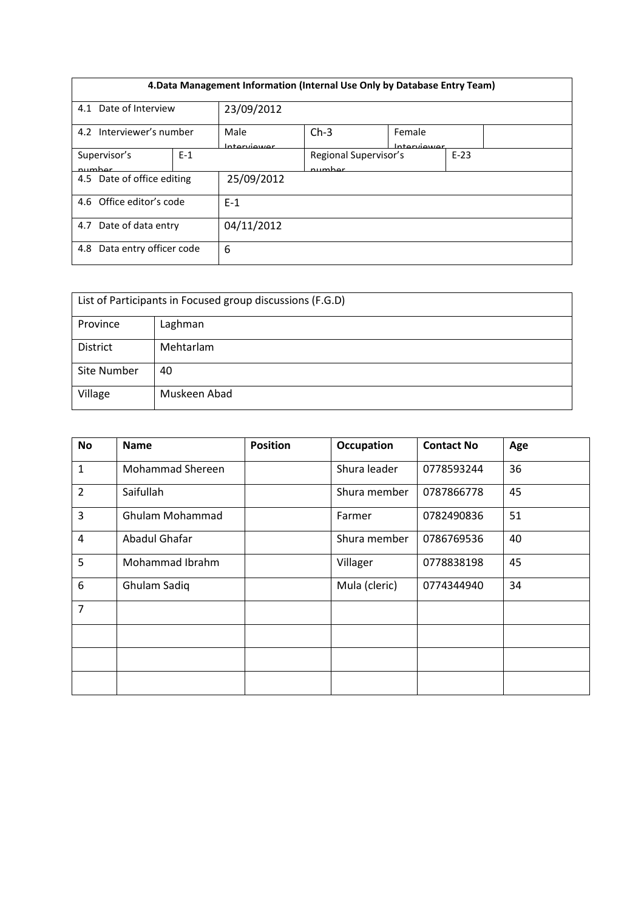| 4. Data Management Information (Internal Use Only by Database Entry Team) |       |                     |                                 |                       |        |  |
|---------------------------------------------------------------------------|-------|---------------------|---------------------------------|-----------------------|--------|--|
| Date of Interview<br>23/09/2012<br>4.1                                    |       |                     |                                 |                       |        |  |
| 4.2 Interviewer's number                                                  |       | Male<br>Interviewer | $Ch-3$                          | Female<br>Interviewer |        |  |
| Supervisor's<br>numhar                                                    | $E-1$ |                     | Regional Supervisor's<br>numhar |                       | $E-23$ |  |
| 4.5 Date of office editing                                                |       | 25/09/2012          |                                 |                       |        |  |
| 4.6 Office editor's code                                                  |       | $F-1$               |                                 |                       |        |  |
| Date of data entry<br>4.7                                                 |       | 04/11/2012          |                                 |                       |        |  |
| Data entry officer code<br>4.8                                            |       | 6                   |                                 |                       |        |  |

| List of Participants in Focused group discussions (F.G.D) |              |  |  |  |  |
|-----------------------------------------------------------|--------------|--|--|--|--|
| Province<br>Laghman                                       |              |  |  |  |  |
| <b>District</b>                                           | Mehtarlam    |  |  |  |  |
| Site Number<br>40                                         |              |  |  |  |  |
| Village                                                   | Muskeen Abad |  |  |  |  |

| <b>No</b>      | <b>Name</b>      | <b>Position</b> | <b>Occupation</b> | <b>Contact No</b> | Age |
|----------------|------------------|-----------------|-------------------|-------------------|-----|
| $\mathbf{1}$   | Mohammad Shereen |                 | Shura leader      | 0778593244        | 36  |
| 2              | Saifullah        |                 | Shura member      | 0787866778        | 45  |
| 3              | Ghulam Mohammad  |                 | Farmer            | 0782490836        | 51  |
| $\overline{4}$ | Abadul Ghafar    |                 | Shura member      | 0786769536        | 40  |
| 5              | Mohammad Ibrahm  |                 | Villager          | 0778838198        | 45  |
| 6              | Ghulam Sadiq     |                 | Mula (cleric)     | 0774344940        | 34  |
| $\overline{7}$ |                  |                 |                   |                   |     |
|                |                  |                 |                   |                   |     |
|                |                  |                 |                   |                   |     |
|                |                  |                 |                   |                   |     |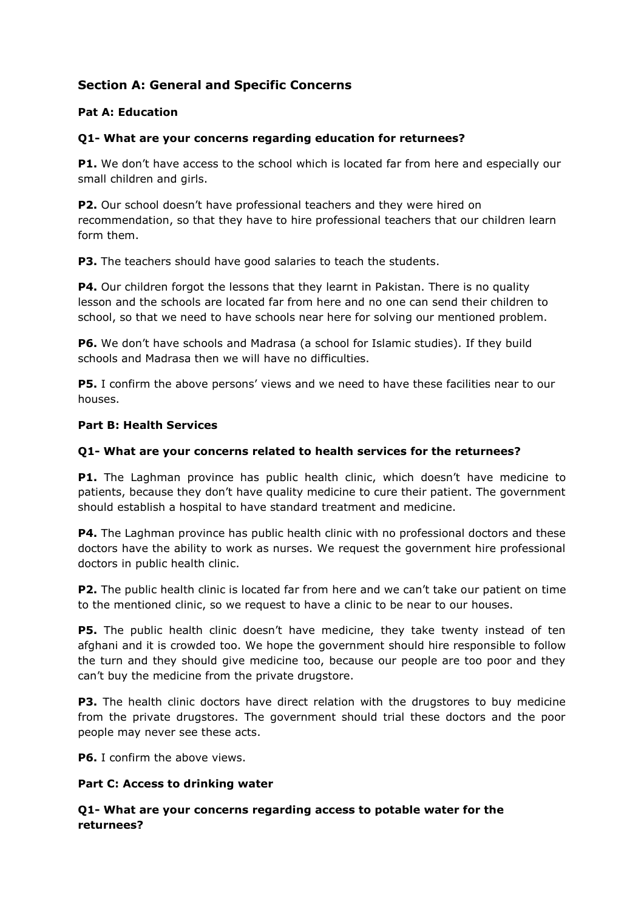# **Section A: General and Specific Concerns**

# **Pat A: Education**

# **Q1- What are your concerns regarding education for returnees?**

**P1.** We don't have access to the school which is located far from here and especially our small children and girls.

**P2.** Our school doesn't have professional teachers and they were hired on recommendation, so that they have to hire professional teachers that our children learn form them.

**P3.** The teachers should have good salaries to teach the students.

**P4.** Our children forgot the lessons that they learnt in Pakistan. There is no quality lesson and the schools are located far from here and no one can send their children to school, so that we need to have schools near here for solving our mentioned problem.

**P6.** We don't have schools and Madrasa (a school for Islamic studies). If they build schools and Madrasa then we will have no difficulties.

**P5.** I confirm the above persons' views and we need to have these facilities near to our houses.

### **Part B: Health Services**

## **Q1- What are your concerns related to health services for the returnees?**

**P1.** The Laghman province has public health clinic, which doesn't have medicine to patients, because they don't have quality medicine to cure their patient. The government should establish a hospital to have standard treatment and medicine.

**P4.** The Laghman province has public health clinic with no professional doctors and these doctors have the ability to work as nurses. We request the government hire professional doctors in public health clinic.

**P2.** The public health clinic is located far from here and we can't take our patient on time to the mentioned clinic, so we request to have a clinic to be near to our houses.

**P5.** The public health clinic doesn't have medicine, they take twenty instead of ten afghani and it is crowded too. We hope the government should hire responsible to follow the turn and they should give medicine too, because our people are too poor and they can't buy the medicine from the private drugstore.

**P3.** The health clinic doctors have direct relation with the drugstores to buy medicine from the private drugstores. The government should trial these doctors and the poor people may never see these acts.

**P6.** I confirm the above views.

### **Part C: Access to drinking water**

# **Q1- What are your concerns regarding access to potable water for the returnees?**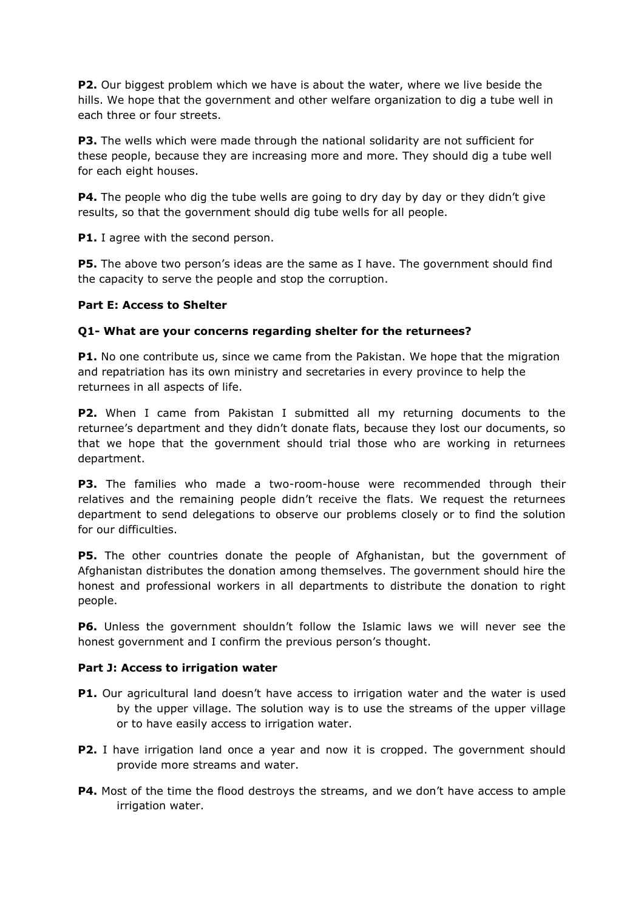**P2.** Our biggest problem which we have is about the water, where we live beside the hills. We hope that the government and other welfare organization to dig a tube well in each three or four streets.

**P3.** The wells which were made through the national solidarity are not sufficient for these people, because they are increasing more and more. They should dig a tube well for each eight houses.

**P4.** The people who dig the tube wells are going to dry day by day or they didn't give results, so that the government should dig tube wells for all people.

**P1.** I agree with the second person.

**P5.** The above two person's ideas are the same as I have. The government should find the capacity to serve the people and stop the corruption.

#### **Part E: Access to Shelter**

#### **Q1- What are your concerns regarding shelter for the returnees?**

**P1.** No one contribute us, since we came from the Pakistan. We hope that the migration and repatriation has its own ministry and secretaries in every province to help the returnees in all aspects of life.

**P2.** When I came from Pakistan I submitted all my returning documents to the returnee's department and they didn't donate flats, because they lost our documents, so that we hope that the government should trial those who are working in returnees department.

**P3.** The families who made a two-room-house were recommended through their relatives and the remaining people didn't receive the flats. We request the returnees department to send delegations to observe our problems closely or to find the solution for our difficulties.

**P5.** The other countries donate the people of Afghanistan, but the government of Afghanistan distributes the donation among themselves. The government should hire the honest and professional workers in all departments to distribute the donation to right people.

**P6.** Unless the government shouldn't follow the Islamic laws we will never see the honest government and I confirm the previous person's thought.

#### **Part J: Access to irrigation water**

- **P1.** Our agricultural land doesn't have access to irrigation water and the water is used by the upper village. The solution way is to use the streams of the upper village or to have easily access to irrigation water.
- **P2.** I have irrigation land once a year and now it is cropped. The government should provide more streams and water.
- **P4.** Most of the time the flood destroys the streams, and we don't have access to ample irrigation water.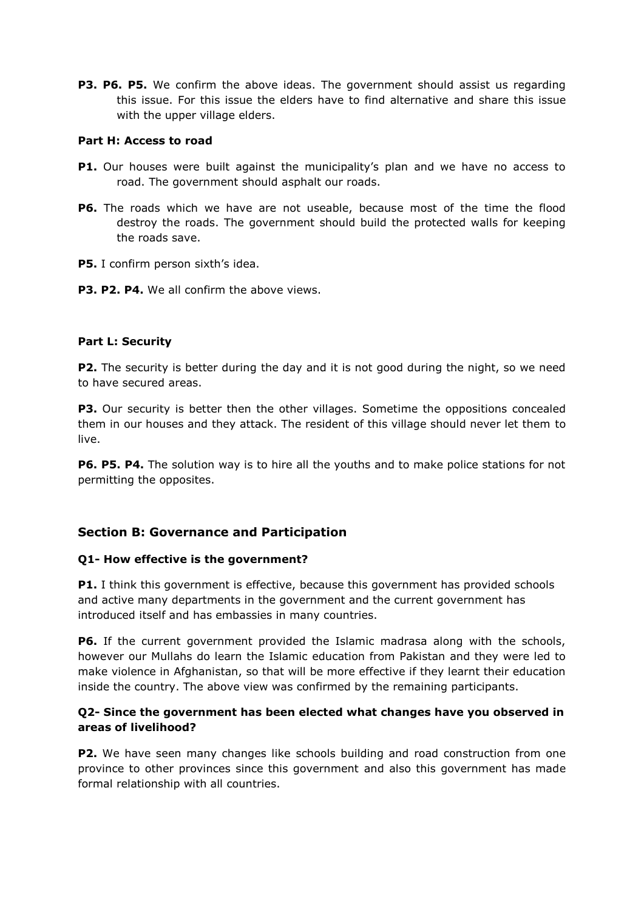**P3. P6. P5.** We confirm the above ideas. The government should assist us regarding this issue. For this issue the elders have to find alternative and share this issue with the upper village elders.

### **Part H: Access to road**

- **P1.** Our houses were built against the municipality's plan and we have no access to road. The government should asphalt our roads.
- **P6.** The roads which we have are not useable, because most of the time the flood destroy the roads. The government should build the protected walls for keeping the roads save.
- **P5.** I confirm person sixth's idea.
- **P3. P2. P4.** We all confirm the above views.

#### **Part L: Security**

**P2.** The security is better during the day and it is not good during the night, so we need to have secured areas.

**P3.** Our security is better then the other villages. Sometime the oppositions concealed them in our houses and they attack. The resident of this village should never let them to live.

**P6. P5. P4.** The solution way is to hire all the youths and to make police stations for not permitting the opposites.

# **Section B: Governance and Participation**

### **Q1- How effective is the government?**

**P1.** I think this government is effective, because this government has provided schools and active many departments in the government and the current government has introduced itself and has embassies in many countries.

**P6.** If the current government provided the Islamic madrasa along with the schools, however our Mullahs do learn the Islamic education from Pakistan and they were led to make violence in Afghanistan, so that will be more effective if they learnt their education inside the country. The above view was confirmed by the remaining participants.

### **Q2- Since the government has been elected what changes have you observed in areas of livelihood?**

**P2.** We have seen many changes like schools building and road construction from one province to other provinces since this government and also this government has made formal relationship with all countries.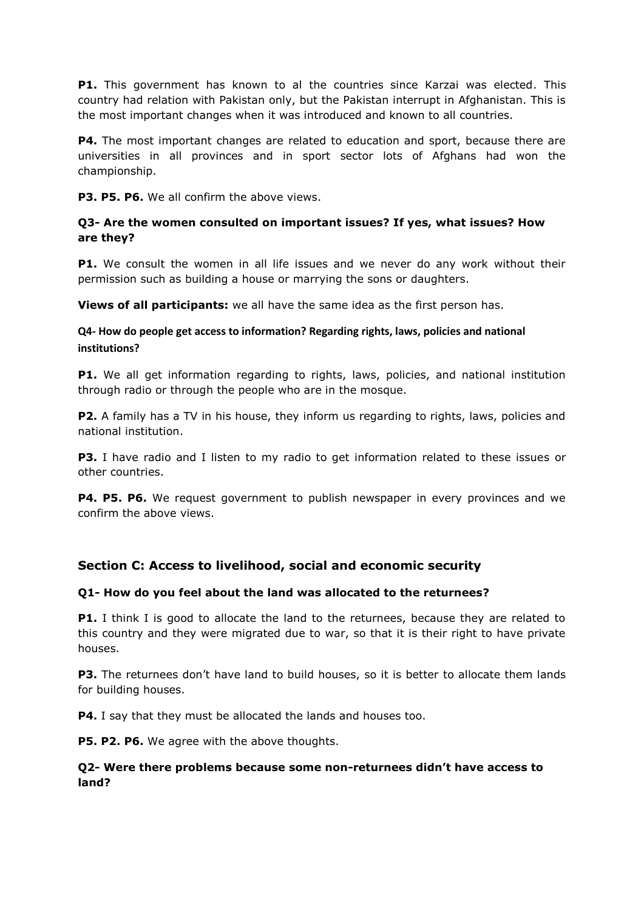**P1.** This government has known to al the countries since Karzai was elected. This country had relation with Pakistan only, but the Pakistan interrupt in Afghanistan. This is the most important changes when it was introduced and known to all countries.

**P4.** The most important changes are related to education and sport, because there are universities in all provinces and in sport sector lots of Afghans had won the championship.

**P3. P5. P6.** We all confirm the above views.

# **Q3- Are the women consulted on important issues? If yes, what issues? How are they?**

**P1.** We consult the women in all life issues and we never do any work without their permission such as building a house or marrying the sons or daughters.

**Views of all participants:** we all have the same idea as the first person has.

## **Q4- How do people get access to information? Regarding rights, laws, policies and national institutions?**

**P1.** We all get information regarding to rights, laws, policies, and national institution through radio or through the people who are in the mosque.

**P2.** A family has a TV in his house, they inform us regarding to rights, laws, policies and national institution.

**P3.** I have radio and I listen to my radio to get information related to these issues or other countries.

**P4. P5. P6.** We request government to publish newspaper in every provinces and we confirm the above views.

# **Section C: Access to livelihood, social and economic security**

### **Q1- How do you feel about the land was allocated to the returnees?**

**P1.** I think I is good to allocate the land to the returnees, because they are related to this country and they were migrated due to war, so that it is their right to have private houses.

**P3.** The returnees don't have land to build houses, so it is better to allocate them lands for building houses.

**P4.** I say that they must be allocated the lands and houses too.

**P5. P2. P6.** We agree with the above thoughts.

#### **Q2- Were there problems because some non-returnees didn't have access to land?**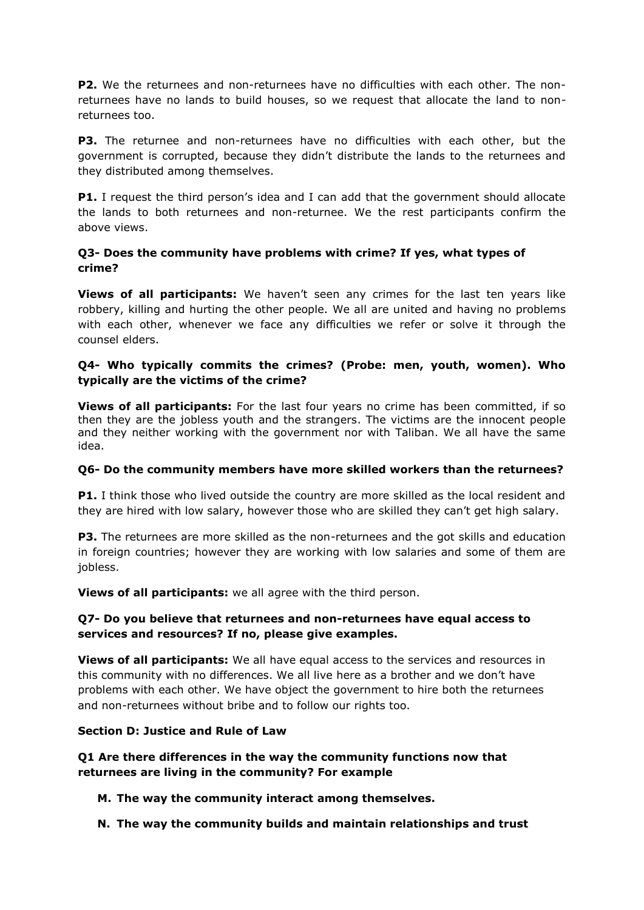**P2.** We the returnees and non-returnees have no difficulties with each other. The nonreturnees have no lands to build houses, so we request that allocate the land to nonreturnees too.

**P3.** The returnee and non-returnees have no difficulties with each other, but the government is corrupted, because they didn't distribute the lands to the returnees and they distributed among themselves.

**P1.** I request the third person's idea and I can add that the government should allocate the lands to both returnees and non-returnee. We the rest participants confirm the above views.

## **Q3- Does the community have problems with crime? If yes, what types of crime?**

**Views of all participants:** We haven't seen any crimes for the last ten years like robbery, killing and hurting the other people. We all are united and having no problems with each other, whenever we face any difficulties we refer or solve it through the counsel elders.

### **Q4- Who typically commits the crimes? (Probe: men, youth, women). Who typically are the victims of the crime?**

**Views of all participants:** For the last four years no crime has been committed, if so then they are the jobless youth and the strangers. The victims are the innocent people and they neither working with the government nor with Taliban. We all have the same idea.

### **Q6- Do the community members have more skilled workers than the returnees?**

**P1.** I think those who lived outside the country are more skilled as the local resident and they are hired with low salary, however those who are skilled they can't get high salary.

**P3.** The returnees are more skilled as the non-returnees and the got skills and education in foreign countries; however they are working with low salaries and some of them are jobless.

**Views of all participants:** we all agree with the third person.

### **Q7- Do you believe that returnees and non-returnees have equal access to services and resources? If no, please give examples.**

**Views of all participants:** We all have equal access to the services and resources in this community with no differences. We all live here as a brother and we don't have problems with each other. We have object the government to hire both the returnees and non-returnees without bribe and to follow our rights too.

### **Section D: Justice and Rule of Law**

**Q1 Are there differences in the way the community functions now that returnees are living in the community? For example**

### **M. The way the community interact among themselves.**

**N. The way the community builds and maintain relationships and trust**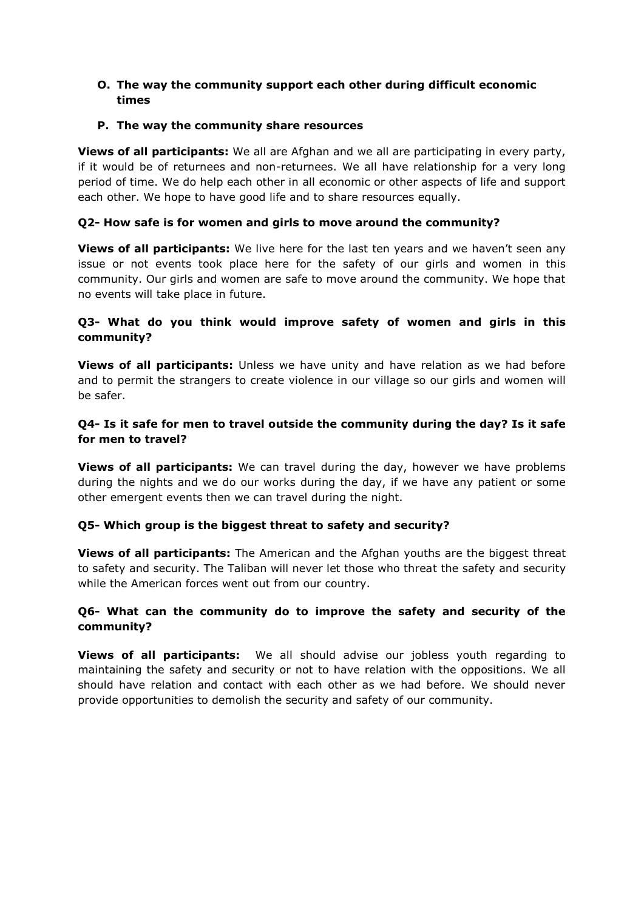### **O. The way the community support each other during difficult economic times**

#### **P. The way the community share resources**

**Views of all participants:** We all are Afghan and we all are participating in every party, if it would be of returnees and non-returnees. We all have relationship for a very long period of time. We do help each other in all economic or other aspects of life and support each other. We hope to have good life and to share resources equally.

#### **Q2- How safe is for women and girls to move around the community?**

**Views of all participants:** We live here for the last ten years and we haven't seen any issue or not events took place here for the safety of our girls and women in this community. Our girls and women are safe to move around the community. We hope that no events will take place in future.

## **Q3- What do you think would improve safety of women and girls in this community?**

**Views of all participants:** Unless we have unity and have relation as we had before and to permit the strangers to create violence in our village so our girls and women will be safer.

# **Q4- Is it safe for men to travel outside the community during the day? Is it safe for men to travel?**

**Views of all participants:** We can travel during the day, however we have problems during the nights and we do our works during the day, if we have any patient or some other emergent events then we can travel during the night.

### **Q5- Which group is the biggest threat to safety and security?**

**Views of all participants:** The American and the Afghan youths are the biggest threat to safety and security. The Taliban will never let those who threat the safety and security while the American forces went out from our country.

### **Q6- What can the community do to improve the safety and security of the community?**

**Views of all participants:** We all should advise our jobless youth regarding to maintaining the safety and security or not to have relation with the oppositions. We all should have relation and contact with each other as we had before. We should never provide opportunities to demolish the security and safety of our community.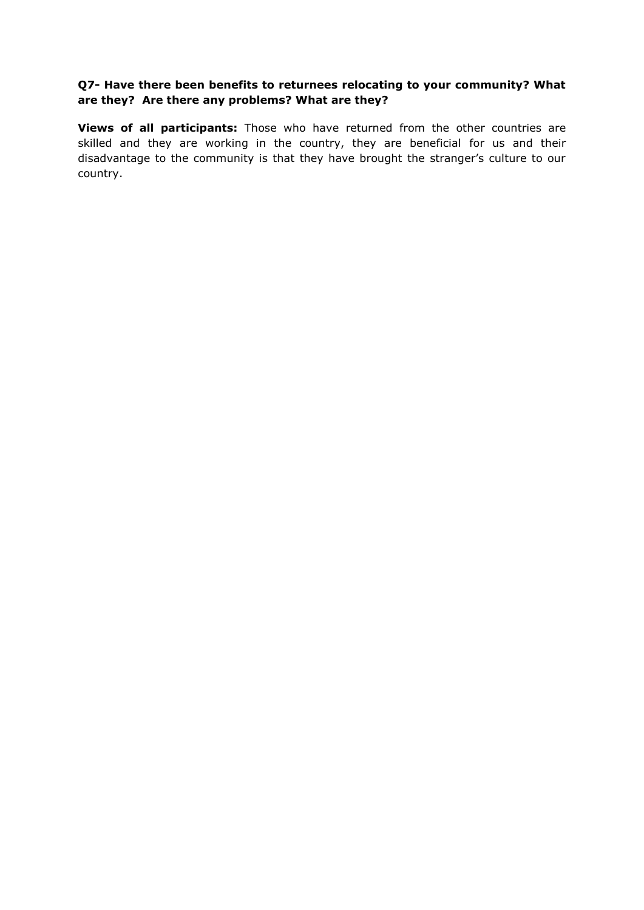### **Q7- Have there been benefits to returnees relocating to your community? What are they? Are there any problems? What are they?**

**Views of all participants:** Those who have returned from the other countries are skilled and they are working in the country, they are beneficial for us and their disadvantage to the community is that they have brought the stranger's culture to our country.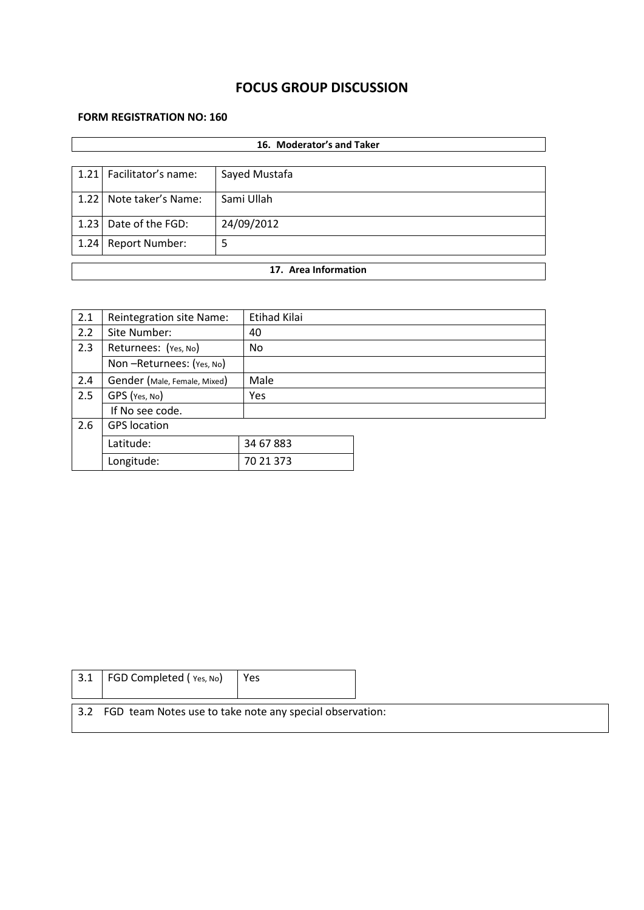# **FOCUS GROUP DISCUSSION**

# **FORM REGISTRATION NO: 160**

| 16. Moderator's and Taker |                          |               |  |  |  |
|---------------------------|--------------------------|---------------|--|--|--|
|                           |                          |               |  |  |  |
|                           | 1.21 Facilitator's name: | Sayed Mustafa |  |  |  |
| 1.22                      | Note taker's Name:       | Sami Ullah    |  |  |  |
| 1.23                      | Date of the FGD:         | 24/09/2012    |  |  |  |
| 1.24                      | <b>Report Number:</b>    | 5             |  |  |  |
|                           | 17. Area Information     |               |  |  |  |
|                           |                          |               |  |  |  |

| 2.1 | Reintegration site Name:     | Etihad Kilai |  |
|-----|------------------------------|--------------|--|
| 2.2 | Site Number:                 | 40           |  |
| 2.3 | Returnees: (Yes, No)         | No.          |  |
|     | Non-Returnees: (Yes, No)     |              |  |
| 2.4 | Gender (Male, Female, Mixed) | Male         |  |
| 2.5 | GPS (Yes, No)                | Yes          |  |
|     | If No see code.              |              |  |
| 2.6 | <b>GPS</b> location          |              |  |
|     | Latitude:                    | 34 67 883    |  |
|     | Longitude:                   | 70 21 373    |  |

| 3.1 | FGD Completed (Yes, No)                                      | Yes |  |  |  |  |  |
|-----|--------------------------------------------------------------|-----|--|--|--|--|--|
|     | 3.2 FGD team Notes use to take note any special observation: |     |  |  |  |  |  |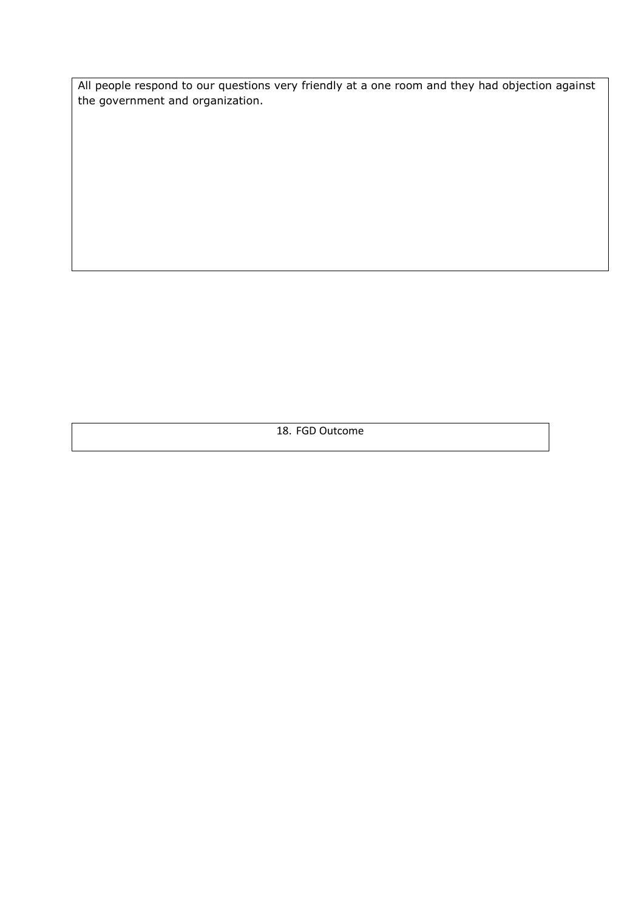All people respond to our questions very friendly at a one room and they had objection against the government and organization.

18. FGD Outcome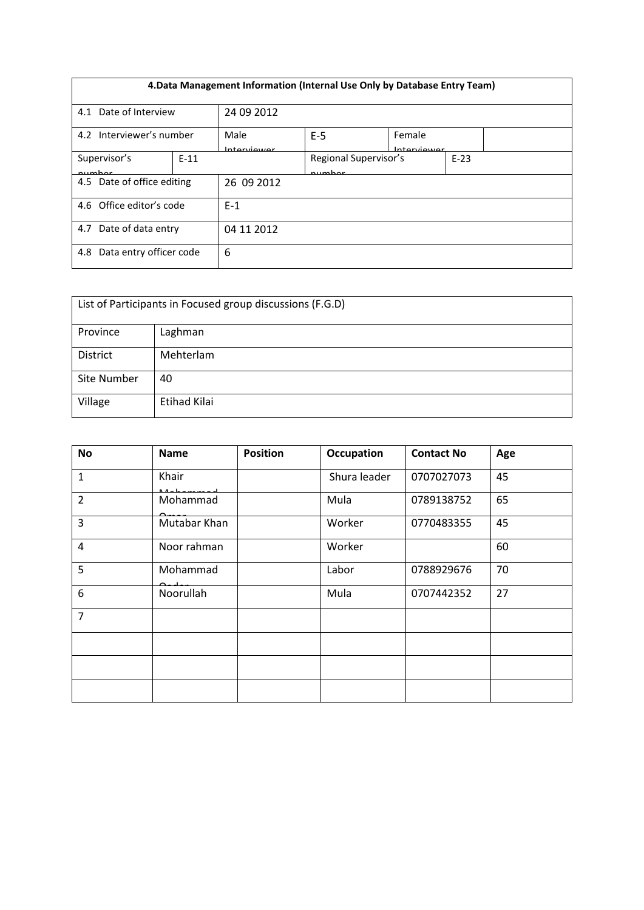| 4. Data Management Information (Internal Use Only by Database Entry Team) |        |                      |                                 |                        |        |
|---------------------------------------------------------------------------|--------|----------------------|---------------------------------|------------------------|--------|
| 4.1 Date of Interview                                                     |        | 24 09 2012           |                                 |                        |        |
| 4.2 Interviewer's number                                                  |        | Male<br>Intraniiouor | $E-5$                           | Female<br>Intraniiouor |        |
| Supervisor's<br>numhar                                                    | $E-11$ |                      | Regional Supervisor's<br>numhar |                        | $E-23$ |
| 4.5 Date of office editing                                                |        | 26 09 2012           |                                 |                        |        |
| 4.6 Office editor's code                                                  |        | $E-1$                |                                 |                        |        |
| Date of data entry<br>4.7                                                 |        | 04 11 2012           |                                 |                        |        |
| Data entry officer code<br>4.8                                            |        | 6                    |                                 |                        |        |

| List of Participants in Focused group discussions (F.G.D) |              |  |  |
|-----------------------------------------------------------|--------------|--|--|
| Province                                                  | Laghman      |  |  |
| <b>District</b>                                           | Mehterlam    |  |  |
| Site Number                                               | 40           |  |  |
| Village                                                   | Etihad Kilai |  |  |

| <b>No</b>      | <b>Name</b>  | <b>Position</b> | <b>Occupation</b> | <b>Contact No</b> | Age |
|----------------|--------------|-----------------|-------------------|-------------------|-----|
| $\mathbf{1}$   | Khair        |                 | Shura leader      | 0707027073        | 45  |
| $\overline{2}$ | Mohammad     |                 | Mula              | 0789138752        | 65  |
| $\overline{3}$ | Mutabar Khan |                 | Worker            | 0770483355        | 45  |
| 4              | Noor rahman  |                 | Worker            |                   | 60  |
| 5              | Mohammad     |                 | Labor             | 0788929676        | 70  |
| 6              | Noorullah    |                 | Mula              | 0707442352        | 27  |
| $\overline{7}$ |              |                 |                   |                   |     |
|                |              |                 |                   |                   |     |
|                |              |                 |                   |                   |     |
|                |              |                 |                   |                   |     |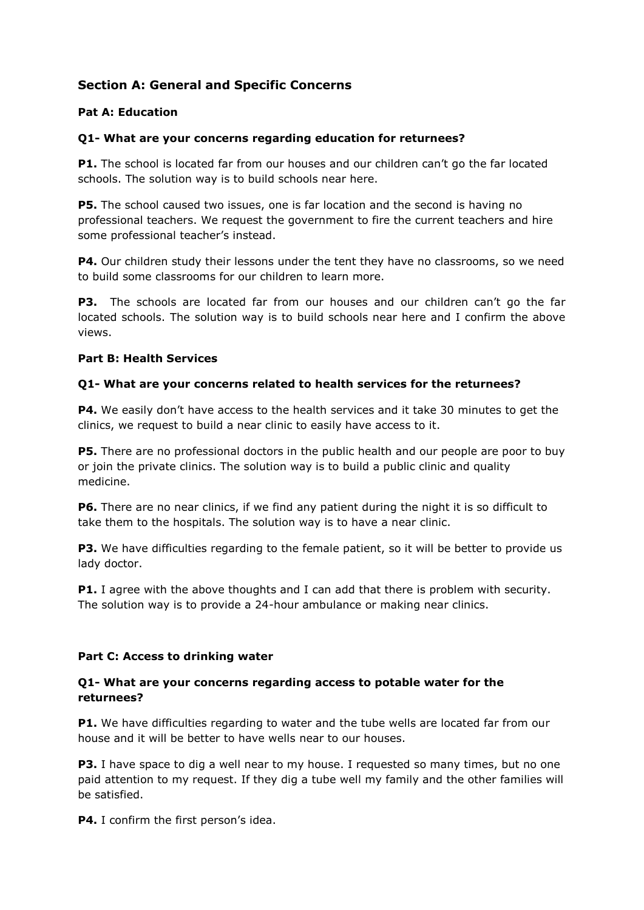# **Section A: General and Specific Concerns**

#### **Pat A: Education**

#### **Q1- What are your concerns regarding education for returnees?**

**P1.** The school is located far from our houses and our children can't go the far located schools. The solution way is to build schools near here.

**P5.** The school caused two issues, one is far location and the second is having no professional teachers. We request the government to fire the current teachers and hire some professional teacher's instead.

**P4.** Our children study their lessons under the tent they have no classrooms, so we need to build some classrooms for our children to learn more.

**P3.** The schools are located far from our houses and our children can't go the far located schools. The solution way is to build schools near here and I confirm the above views.

#### **Part B: Health Services**

#### **Q1- What are your concerns related to health services for the returnees?**

**P4.** We easily don't have access to the health services and it take 30 minutes to get the clinics, we request to build a near clinic to easily have access to it.

**P5.** There are no professional doctors in the public health and our people are poor to buy or join the private clinics. The solution way is to build a public clinic and quality medicine.

**P6.** There are no near clinics, if we find any patient during the night it is so difficult to take them to the hospitals. The solution way is to have a near clinic.

**P3.** We have difficulties regarding to the female patient, so it will be better to provide us lady doctor.

**P1.** I agree with the above thoughts and I can add that there is problem with security. The solution way is to provide a 24-hour ambulance or making near clinics.

### **Part C: Access to drinking water**

#### **Q1- What are your concerns regarding access to potable water for the returnees?**

**P1.** We have difficulties regarding to water and the tube wells are located far from our house and it will be better to have wells near to our houses.

**P3.** I have space to dig a well near to my house. I requested so many times, but no one paid attention to my request. If they dig a tube well my family and the other families will be satisfied.

**P4.** I confirm the first person's idea.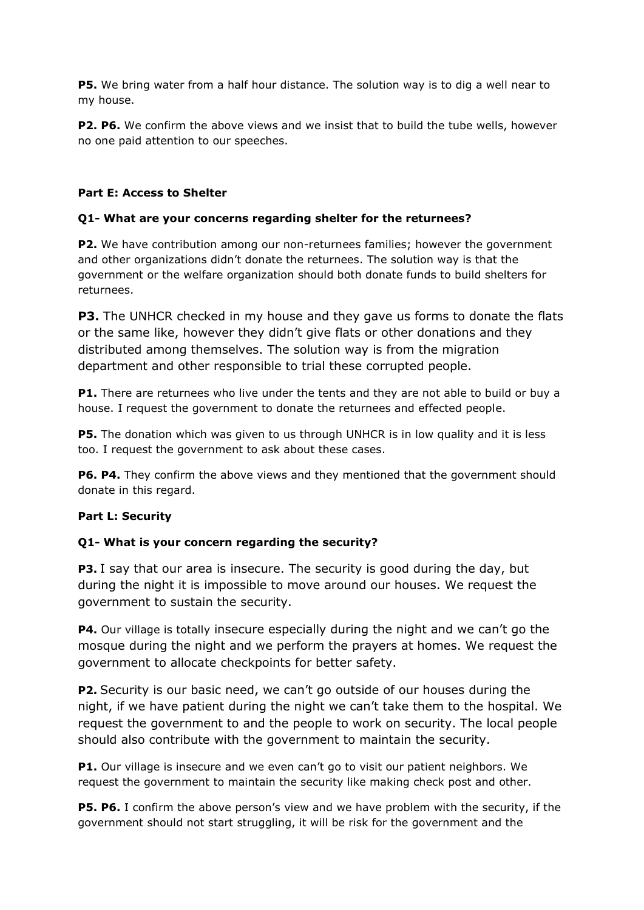**P5.** We bring water from a half hour distance. The solution way is to dig a well near to my house.

**P2. P6.** We confirm the above views and we insist that to build the tube wells, however no one paid attention to our speeches.

## **Part E: Access to Shelter**

## **Q1- What are your concerns regarding shelter for the returnees?**

**P2.** We have contribution among our non-returnees families; however the government and other organizations didn't donate the returnees. The solution way is that the government or the welfare organization should both donate funds to build shelters for returnees.

**P3.** The UNHCR checked in my house and they gave us forms to donate the flats or the same like, however they didn't give flats or other donations and they distributed among themselves. The solution way is from the migration department and other responsible to trial these corrupted people.

**P1.** There are returnees who live under the tents and they are not able to build or buy a house. I request the government to donate the returnees and effected people.

**P5.** The donation which was given to us through UNHCR is in low quality and it is less too. I request the government to ask about these cases.

**P6. P4.** They confirm the above views and they mentioned that the government should donate in this regard.

### **Part L: Security**

### **Q1- What is your concern regarding the security?**

**P3.** I say that our area is insecure. The security is good during the day, but during the night it is impossible to move around our houses. We request the government to sustain the security.

**P4.** Our village is totally insecure especially during the night and we can't go the mosque during the night and we perform the prayers at homes. We request the government to allocate checkpoints for better safety.

**P2.** Security is our basic need, we can't go outside of our houses during the night, if we have patient during the night we can't take them to the hospital. We request the government to and the people to work on security. The local people should also contribute with the government to maintain the security.

**P1.** Our village is insecure and we even can't go to visit our patient neighbors. We request the government to maintain the security like making check post and other.

**P5. P6.** I confirm the above person's view and we have problem with the security, if the government should not start struggling, it will be risk for the government and the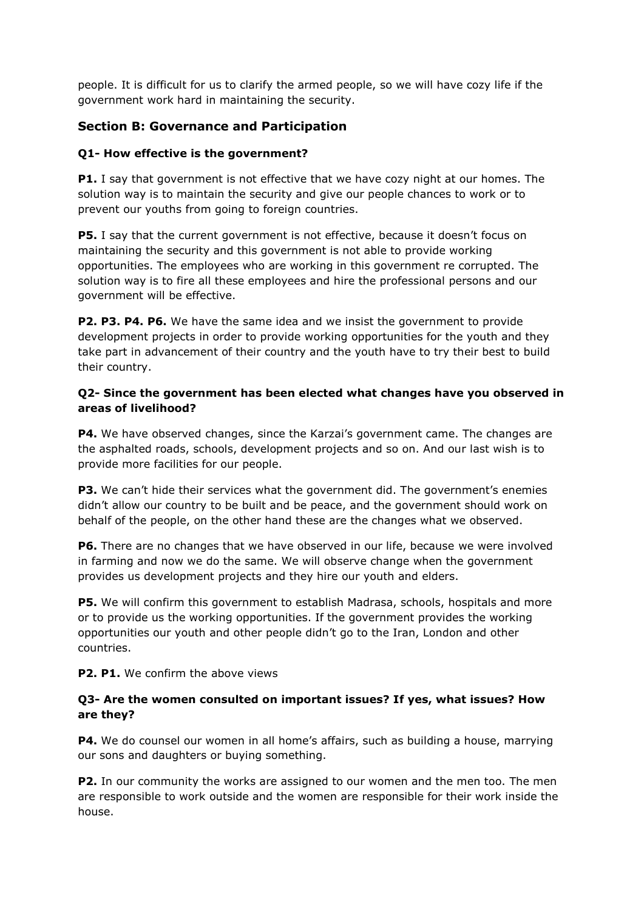people. It is difficult for us to clarify the armed people, so we will have cozy life if the government work hard in maintaining the security.

# **Section B: Governance and Participation**

## **Q1- How effective is the government?**

**P1.** I say that government is not effective that we have cozy night at our homes. The solution way is to maintain the security and give our people chances to work or to prevent our youths from going to foreign countries.

**P5.** I say that the current government is not effective, because it doesn't focus on maintaining the security and this government is not able to provide working opportunities. The employees who are working in this government re corrupted. The solution way is to fire all these employees and hire the professional persons and our government will be effective.

**P2. P3. P4. P6.** We have the same idea and we insist the government to provide development projects in order to provide working opportunities for the youth and they take part in advancement of their country and the youth have to try their best to build their country.

## **Q2- Since the government has been elected what changes have you observed in areas of livelihood?**

**P4.** We have observed changes, since the Karzai's government came. The changes are the asphalted roads, schools, development projects and so on. And our last wish is to provide more facilities for our people.

**P3.** We can't hide their services what the government did. The government's enemies didn't allow our country to be built and be peace, and the government should work on behalf of the people, on the other hand these are the changes what we observed.

**P6.** There are no changes that we have observed in our life, because we were involved in farming and now we do the same. We will observe change when the government provides us development projects and they hire our youth and elders.

**P5.** We will confirm this government to establish Madrasa, schools, hospitals and more or to provide us the working opportunities. If the government provides the working opportunities our youth and other people didn't go to the Iran, London and other countries.

**P2. P1.** We confirm the above views

# **Q3- Are the women consulted on important issues? If yes, what issues? How are they?**

**P4.** We do counsel our women in all home's affairs, such as building a house, marrying our sons and daughters or buying something.

**P2.** In our community the works are assigned to our women and the men too. The men are responsible to work outside and the women are responsible for their work inside the house.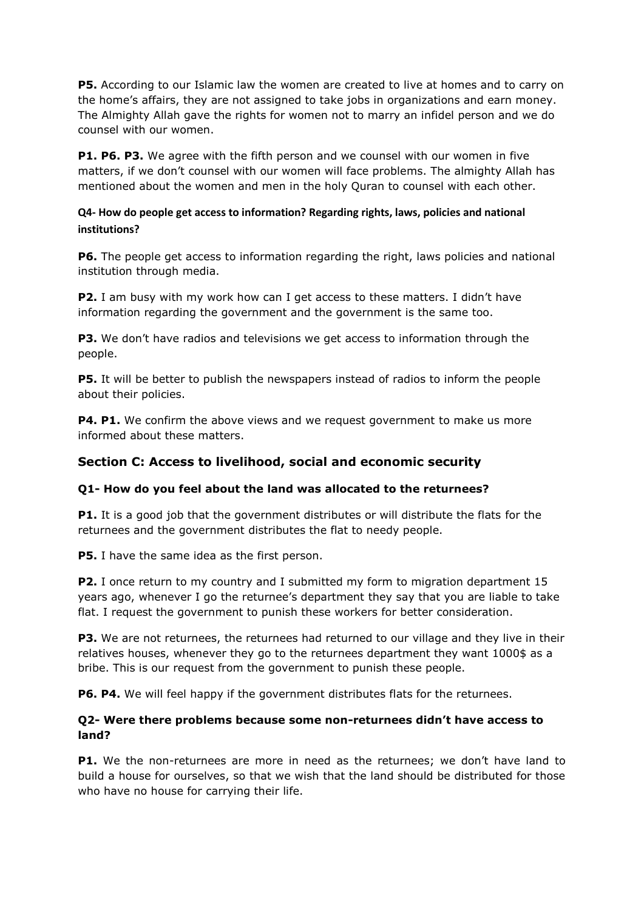**P5.** According to our Islamic law the women are created to live at homes and to carry on the home's affairs, they are not assigned to take jobs in organizations and earn money. The Almighty Allah gave the rights for women not to marry an infidel person and we do counsel with our women.

**P1. P6. P3.** We agree with the fifth person and we counsel with our women in five matters, if we don't counsel with our women will face problems. The almighty Allah has mentioned about the women and men in the holy Quran to counsel with each other.

# **Q4- How do people get access to information? Regarding rights, laws, policies and national institutions?**

**P6.** The people get access to information regarding the right, laws policies and national institution through media.

**P2.** I am busy with my work how can I get access to these matters. I didn't have information regarding the government and the government is the same too.

**P3.** We don't have radios and televisions we get access to information through the people.

**P5.** It will be better to publish the newspapers instead of radios to inform the people about their policies.

**P4. P1.** We confirm the above views and we request government to make us more informed about these matters.

# **Section C: Access to livelihood, social and economic security**

### **Q1- How do you feel about the land was allocated to the returnees?**

**P1.** It is a good job that the government distributes or will distribute the flats for the returnees and the government distributes the flat to needy people.

**P5.** I have the same idea as the first person.

**P2.** I once return to my country and I submitted my form to migration department 15 years ago, whenever I go the returnee's department they say that you are liable to take flat. I request the government to punish these workers for better consideration.

**P3.** We are not returnees, the returnees had returned to our village and they live in their relatives houses, whenever they go to the returnees department they want 1000\$ as a bribe. This is our request from the government to punish these people.

**P6. P4.** We will feel happy if the government distributes flats for the returnees.

### **Q2- Were there problems because some non-returnees didn't have access to land?**

**P1.** We the non-returnees are more in need as the returnees; we don't have land to build a house for ourselves, so that we wish that the land should be distributed for those who have no house for carrying their life.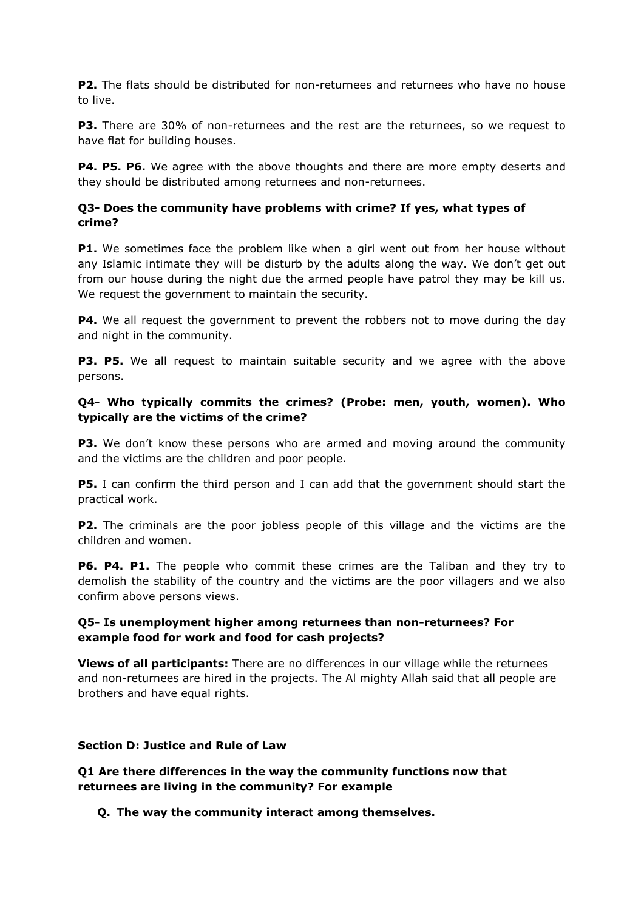**P2.** The flats should be distributed for non-returnees and returnees who have no house to live.

**P3.** There are 30% of non-returnees and the rest are the returnees, so we request to have flat for building houses.

**P4. P5. P6.** We agree with the above thoughts and there are more empty deserts and they should be distributed among returnees and non-returnees.

### **Q3- Does the community have problems with crime? If yes, what types of crime?**

**P1.** We sometimes face the problem like when a girl went out from her house without any Islamic intimate they will be disturb by the adults along the way. We don't get out from our house during the night due the armed people have patrol they may be kill us. We request the government to maintain the security.

**P4.** We all request the government to prevent the robbers not to move during the day and night in the community.

**P3. P5.** We all request to maintain suitable security and we agree with the above persons.

### **Q4- Who typically commits the crimes? (Probe: men, youth, women). Who typically are the victims of the crime?**

**P3.** We don't know these persons who are armed and moving around the community and the victims are the children and poor people.

**P5.** I can confirm the third person and I can add that the government should start the practical work.

**P2.** The criminals are the poor jobless people of this village and the victims are the children and women.

**P6. P4. P1.** The people who commit these crimes are the Taliban and they try to demolish the stability of the country and the victims are the poor villagers and we also confirm above persons views.

# **Q5- Is unemployment higher among returnees than non-returnees? For example food for work and food for cash projects?**

**Views of all participants:** There are no differences in our village while the returnees and non-returnees are hired in the projects. The Al mighty Allah said that all people are brothers and have equal rights.

### **Section D: Justice and Rule of Law**

**Q1 Are there differences in the way the community functions now that returnees are living in the community? For example**

### **Q. The way the community interact among themselves.**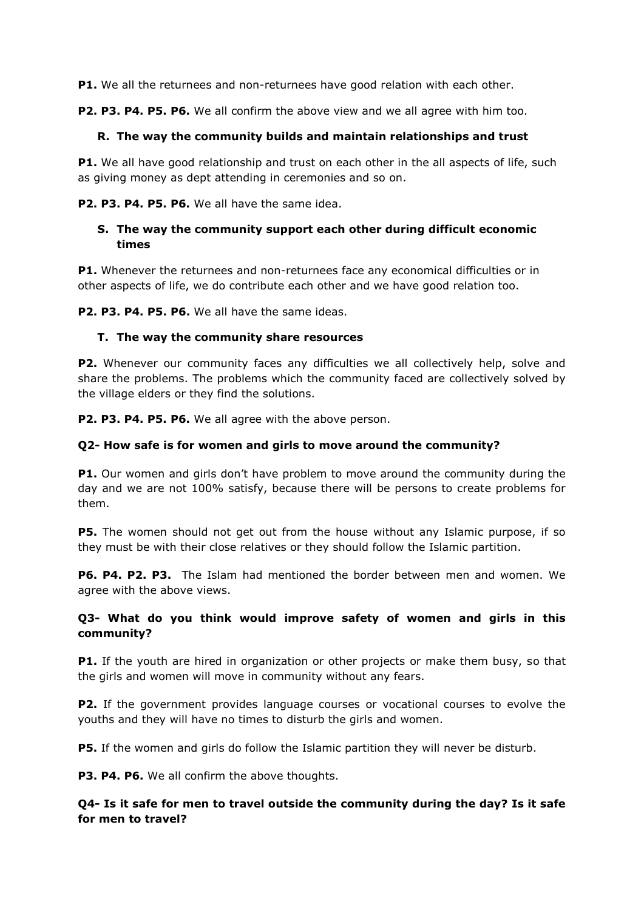**P1.** We all the returnees and non-returnees have good relation with each other.

**P2. P3. P4. P5. P6.** We all confirm the above view and we all agree with him too.

#### **R. The way the community builds and maintain relationships and trust**

**P1.** We all have good relationship and trust on each other in the all aspects of life, such as giving money as dept attending in ceremonies and so on.

**P2. P3. P4. P5. P6.** We all have the same idea.

## **S. The way the community support each other during difficult economic times**

**P1.** Whenever the returnees and non-returnees face any economical difficulties or in other aspects of life, we do contribute each other and we have good relation too.

**P2. P3. P4. P5. P6.** We all have the same ideas.

#### **T. The way the community share resources**

**P2.** Whenever our community faces any difficulties we all collectively help, solve and share the problems. The problems which the community faced are collectively solved by the village elders or they find the solutions.

**P2. P3. P4. P5. P6.** We all agree with the above person.

#### **Q2- How safe is for women and girls to move around the community?**

**P1.** Our women and girls don't have problem to move around the community during the day and we are not 100% satisfy, because there will be persons to create problems for them.

**P5.** The women should not get out from the house without any Islamic purpose, if so they must be with their close relatives or they should follow the Islamic partition.

**P6. P4. P2. P3.** The Islam had mentioned the border between men and women. We agree with the above views.

# **Q3- What do you think would improve safety of women and girls in this community?**

**P1.** If the youth are hired in organization or other projects or make them busy, so that the girls and women will move in community without any fears.

**P2.** If the government provides language courses or vocational courses to evolve the youths and they will have no times to disturb the girls and women.

**P5.** If the women and girls do follow the Islamic partition they will never be disturb.

**P3. P4. P6.** We all confirm the above thoughts.

# **Q4- Is it safe for men to travel outside the community during the day? Is it safe for men to travel?**